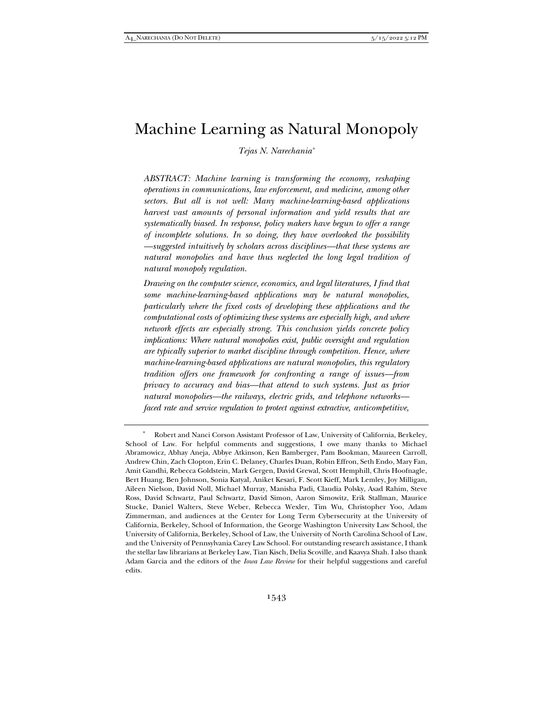# Machine Learning as Natural Monopoly

*Tejas N. Narechania\**

*ABSTRACT: Machine learning is transforming the economy, reshaping operations in communications, law enforcement, and medicine, among other sectors. But all is not well: Many machine-learning-based applications harvest vast amounts of personal information and yield results that are systematically biased. In response, policy makers have begun to offer a range of incomplete solutions. In so doing, they have overlooked the possibility —suggested intuitively by scholars across disciplines—that these systems are natural monopolies and have thus neglected the long legal tradition of natural monopoly regulation.* 

*Drawing on the computer science, economics, and legal literatures, I find that some machine-learning-based applications may be natural monopolies, particularly where the fixed costs of developing these applications and the computational costs of optimizing these systems are especially high, and where network effects are especially strong. This conclusion yields concrete policy implications: Where natural monopolies exist, public oversight and regulation are typically superior to market discipline through competition. Hence, where machine-learning-based applications are natural monopolies, this regulatory tradition offers one framework for confronting a range of issues—from privacy to accuracy and bias—that attend to such systems. Just as prior natural monopolies—the railways, electric grids, and telephone networks faced rate and service regulation to protect against extractive, anticompetitive,* 

 <sup>\*</sup> Robert and Nanci Corson Assistant Professor of Law, University of California, Berkeley, School of Law. For helpful comments and suggestions, I owe many thanks to Michael Abramowicz, Abhay Aneja, Abbye Atkinson, Ken Bamberger, Pam Bookman, Maureen Carroll, Andrew Chin, Zach Clopton, Erin C. Delaney, Charles Duan, Robin Effron, Seth Endo, Mary Fan, Amit Gandhi, Rebecca Goldstein, Mark Gergen, David Grewal, Scott Hemphill, Chris Hoofnagle, Bert Huang, Ben Johnson, Sonia Katyal, Aniket Kesari, F. Scott Kieff, Mark Lemley, Joy Milligan, Aileen Nielson, David Noll, Michael Murray, Manisha Padi, Claudia Polsky, Asad Rahim, Steve Ross, David Schwartz, Paul Schwartz, David Simon, Aaron Simowitz, Erik Stallman, Maurice Stucke, Daniel Walters, Steve Weber, Rebecca Wexler, Tim Wu, Christopher Yoo, Adam Zimmerman, and audiences at the Center for Long Term Cybersecurity at the University of California, Berkeley, School of Information, the George Washington University Law School, the University of California, Berkeley, School of Law, the University of North Carolina School of Law, and the University of Pennsylvania Carey Law School. For outstanding research assistance, I thank the stellar law librarians at Berkeley Law, Tian Kisch, Delia Scoville, and Kaavya Shah. I also thank Adam Garcia and the editors of the *Iowa Law Review* for their helpful suggestions and careful edits.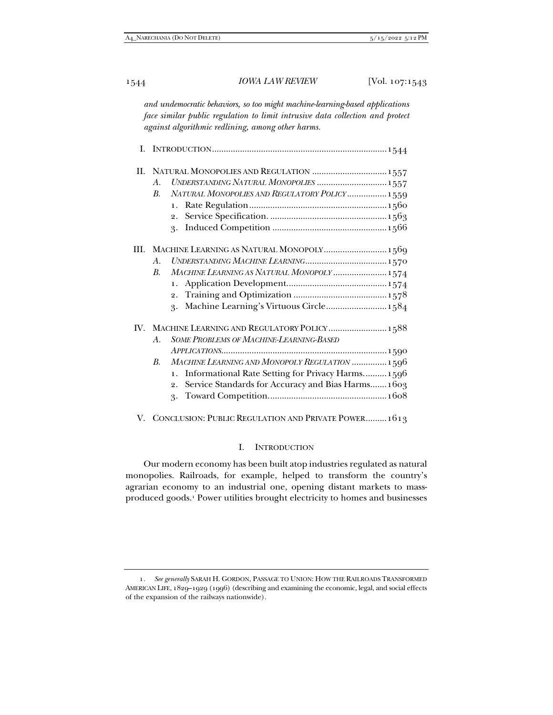*and undemocratic behaviors, so too might machine-learning-based applications face similar public regulation to limit intrusive data collection and protect against algorithmic redlining, among other harms.* 

|  | II. NATURAL MONOPOLIES AND REGULATION  1557                         |
|--|---------------------------------------------------------------------|
|  | UNDERSTANDING NATURAL MONOPOLIES  1557<br>$A_{\cdot}$               |
|  | NATURAL MONOPOLIES AND REGULATORY POLICY 1559<br>B.                 |
|  | 1.                                                                  |
|  | 2.                                                                  |
|  | 3.                                                                  |
|  | III. MACHINE LEARNING AS NATURAL MONOPOLY 1569                      |
|  | $A_{\cdot}$                                                         |
|  | MACHINE LEARNING AS NATURAL MONOPOLY  1574<br>B.                    |
|  |                                                                     |
|  |                                                                     |
|  | Machine Learning's Virtuous Circle 1584<br>3.                       |
|  | IV. MACHINE LEARNING AND REGULATORY POLICY 1588                     |
|  | SOME PROBLEMS OF MACHINE-LEARNING-BASED<br>A.                       |
|  |                                                                     |
|  | MACHINE LEARNING AND MONOPOLY REGULATION  1596<br>B.                |
|  | Informational Rate Setting for Privacy Harms 1596<br>$\mathbf{1}$ . |
|  | 2. Service Standards for Accuracy and Bias Harms 1603               |
|  | 3.                                                                  |

V. CONCLUSION: PUBLIC REGULATION AND PRIVATE POWER......... 1613

# I. INTRODUCTION

Our modern economy has been built atop industries regulated as natural monopolies. Railroads, for example, helped to transform the country's agrarian economy to an industrial one, opening distant markets to massproduced goods.1 Power utilities brought electricity to homes and businesses

<sup>1</sup>*. See generally* SARAH H. GORDON, PASSAGE TO UNION: HOW THE RAILROADS TRANSFORMED AMERICAN LIFE, 1829–1929 (1996) (describing and examining the economic, legal, and social effects of the expansion of the railways nationwide).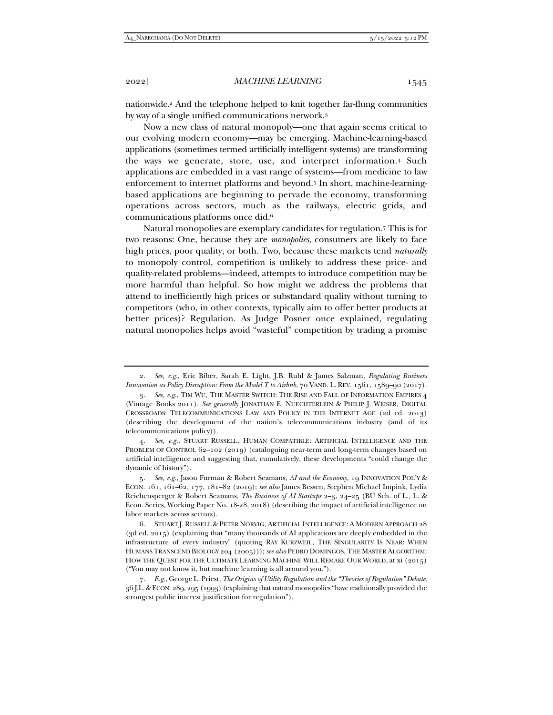nationwide.2 And the telephone helped to knit together far-flung communities by way of a single unified communications network.3

Now a new class of natural monopoly—one that again seems critical to our evolving modern economy—may be emerging. Machine-learning-based applications (sometimes termed artificially intelligent systems) are transforming the ways we generate, store, use, and interpret information.4 Such applications are embedded in a vast range of systems—from medicine to law enforcement to internet platforms and beyond.5 In short, machine-learningbased applications are beginning to pervade the economy, transforming operations across sectors, much as the railways, electric grids, and communications platforms once did.6

Natural monopolies are exemplary candidates for regulation.7 This is for two reasons: One, because they are *monopolies*, consumers are likely to face high prices, poor quality, or both. Two, because these markets tend *naturally*  to monopoly control, competition is unlikely to address these price- and quality-related problems—indeed, attempts to introduce competition may be more harmful than helpful. So how might we address the problems that attend to inefficiently high prices or substandard quality without turning to competitors (who, in other contexts, typically aim to offer better products at better prices)? Regulation. As Judge Posner once explained, regulating natural monopolies helps avoid "wasteful" competition by trading a promise

4*. See, e.g.*, STUART RUSSELL, HUMAN COMPATIBLE: ARTIFICIAL INTELLIGENCE AND THE PROBLEM OF CONTROL 62–102 (2019) (cataloguing near-term and long-term changes based on artificial intelligence and suggesting that, cumulatively, these developments "could change the dynamic of history").

<sup>2</sup>*. See, e.g.*, Eric Biber, Sarah E. Light, J.B. Ruhl & James Salzman, *Regulating Business Innovation as Policy Disruption: From the Model T to Airbnb*, 70 VAND. L. REV. 1561, 1589–90 (2017).

<sup>3</sup>*. See, e.g.*, TIM WU, THE MASTER SWITCH: THE RISE AND FALL OF INFORMATION EMPIRES 4 (Vintage Books 2011). *See generally* JONATHAN E. NUECHTERLEIN & PHILIP J. WEISER, DIGITAL CROSSROADS: TELECOMMUNICATIONS LAW AND POLICY IN THE INTERNET AGE (2d ed. 2013) (describing the development of the nation's telecommunications industry (and of its telecommunications policy)).

<sup>5</sup>*. See, e.g.*, Jason Furman & Robert Seamans, *AI and the Economy*, 19 INNOVATION POL'Y & ECON. 161, 161–62, 177, 181–82 (2019); *see also* James Bessen, Stephen Michael Impink, Lydia Reichensperger & Robert Seamans, *The Business of AI Startups* 2–3, 24–25 (BU Sch. of L., L. & Econ. Series, Working Paper No. 18-28, 2018) (describing the impact of artificial intelligence on labor markets across sectors).

 <sup>6.</sup> STUART J. RUSSELL & PETER NORVIG, ARTIFICIAL INTELLIGENCE: A MODERN APPROACH 28 (3d ed. 2015) (explaining that "many thousands of AI applications are deeply embedded in the infrastructure of every industry" (quoting RAY KURZWEIL, THE SINGULARITY IS NEAR: WHEN HUMANS TRANSCEND BIOLOGY 204 (2005))); *see also* PEDRO DOMINGOS, THE MASTER ALGORITHM: HOW THE QUEST FOR THE ULTIMATE LEARNING MACHINE WILL REMAKE OUR WORLD, at xi (2015) ("You may not know it, but machine learning is all around you.").

<sup>7</sup>*. E.g.*, George L. Priest, *The Origins of Utility Regulation and the "Theories of Regulation" Debate*, 36 J.L.&ECON. 289, 295 (1993) (explaining that natural monopolies "have traditionally provided the strongest public interest justification for regulation").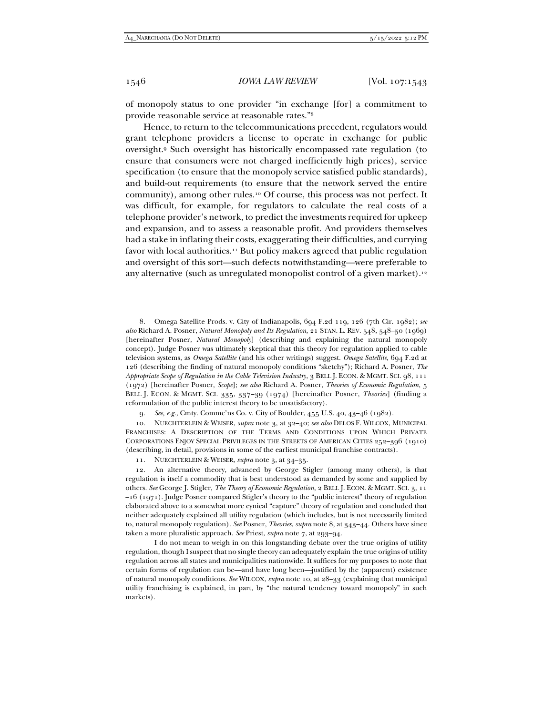of monopoly status to one provider "in exchange [for] a commitment to provide reasonable service at reasonable rates."8

Hence, to return to the telecommunications precedent, regulators would grant telephone providers a license to operate in exchange for public oversight.9 Such oversight has historically encompassed rate regulation (to ensure that consumers were not charged inefficiently high prices), service specification (to ensure that the monopoly service satisfied public standards), and build-out requirements (to ensure that the network served the entire community), among other rules.10 Of course, this process was not perfect. It was difficult, for example, for regulators to calculate the real costs of a telephone provider's network, to predict the investments required for upkeep and expansion, and to assess a reasonable profit. And providers themselves had a stake in inflating their costs, exaggerating their difficulties, and currying favor with local authorities.<sup>11</sup> But policy makers agreed that public regulation and oversight of this sort—such defects notwithstanding—were preferable to any alternative (such as unregulated monopolist control of a given market).<sup>12</sup>

9*. See, e.g.*, Cmty. Commc'ns Co. v. City of Boulder, 455 U.S. 40, 43–46 (1982).

 10. NUECHTERLEIN & WEISER, *supra* note 3, at 32–40; *see also* DELOS F. WILCOX, MUNICIPAL FRANCHISES: A DESCRIPTION OF THE TERMS AND CONDITIONS UPON WHICH PRIVATE CORPORATIONS ENJOY SPECIAL PRIVILEGES IN THE STREETS OF AMERICAN CITIES 252–396 (1910) (describing, in detail, provisions in some of the earliest municipal franchise contracts).

11. NUECHTERLEIN & WEISER, *supra* note 3, at 34–35.

 <sup>8.</sup> Omega Satellite Prods. v. City of Indianapolis, 694 F.2d 119, 126 (7th Cir. 1982); *see also* Richard A. Posner, *Natural Monopoly and Its Regulation*, 21 STAN. L. REV. 548, 548–50 (1969) [hereinafter Posner, *Natural Monopoly*] (describing and explaining the natural monopoly concept). Judge Posner was ultimately skeptical that this theory for regulation applied to cable television systems, as *Omega Satellite* (and his other writings) suggest. *Omega Satellite*, 694 F.2d at 126 (describing the finding of natural monopoly conditions "sketchy"); Richard A. Posner, *The Appropriate Scope of Regulation in the Cable Television Industry*, 3 BELL J. ECON. & MGMT. SCI. 98, 111 (1972) [hereinafter Posner, *Scope*]; *see also* Richard A. Posner, *Theories of Economic Regulation*, 5 BELL J. ECON. & MGMT. SCI. 335, 337–39 (1974) [hereinafter Posner, *Theories*] (finding a reformulation of the public interest theory to be unsatisfactory).

 <sup>12.</sup> An alternative theory, advanced by George Stigler (among many others), is that regulation is itself a commodity that is best understood as demanded by some and supplied by others. *See* George J. Stigler, *The Theory of Economic Regulation*, 2 BELL J. ECON. & MGMT. SCI. 3, 11 –16 (1971). Judge Posner compared Stigler's theory to the "public interest" theory of regulation elaborated above to a somewhat more cynical "capture" theory of regulation and concluded that neither adequately explained all utility regulation (which includes, but is not necessarily limited to, natural monopoly regulation). *See* Posner, *Theories*, *supra* note 8, at 343–44. Others have since taken a more pluralistic approach. *See* Priest, *supra* note 7, at 293–94.

I do not mean to weigh in on this longstanding debate over the true origins of utility regulation, though I suspect that no single theory can adequately explain the true origins of utility regulation across all states and municipalities nationwide. It suffices for my purposes to note that certain forms of regulation can be—and have long been—justified by the (apparent) existence of natural monopoly conditions. *See* WILCOX, *supra* note 10, at 28–33 (explaining that municipal utility franchising is explained, in part, by "the natural tendency toward monopoly" in such markets).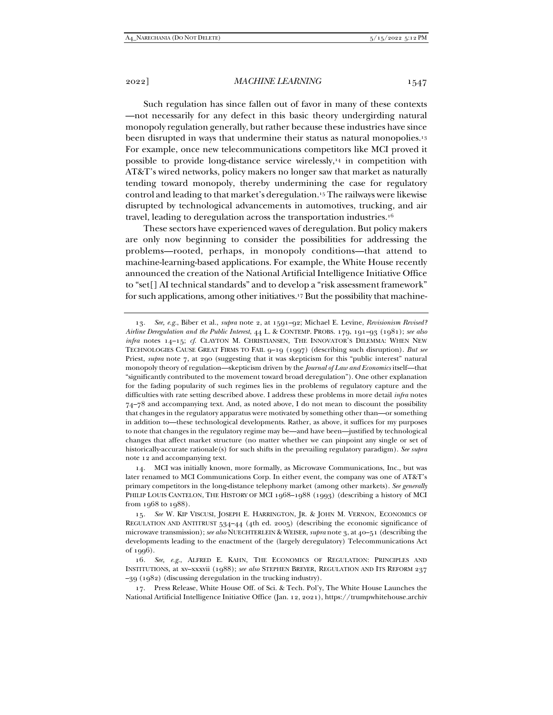2022] *MACHINE LEARNING* 1547

Such regulation has since fallen out of favor in many of these contexts —not necessarily for any defect in this basic theory undergirding natural monopoly regulation generally, but rather because these industries have since been disrupted in ways that undermine their status as natural monopolies.13 For example, once new telecommunications competitors like MCI proved it possible to provide long-distance service wirelessly,<sup>14</sup> in competition with AT&T's wired networks, policy makers no longer saw that market as naturally tending toward monopoly, thereby undermining the case for regulatory control and leading to that market's deregulation.15 The railways were likewise disrupted by technological advancements in automotives, trucking, and air travel, leading to deregulation across the transportation industries.16

These sectors have experienced waves of deregulation. But policy makers are only now beginning to consider the possibilities for addressing the problems—rooted, perhaps, in monopoly conditions—that attend to machine-learning-based applications. For example, the White House recently announced the creation of the National Artificial Intelligence Initiative Office to "set[] AI technical standards" and to develop a "risk assessment framework" for such applications, among other initiatives.17 But the possibility that machine-

<sup>13</sup>*. See, e.g.*, Biber et al., *supra* note 2, at 1591–92; Michael E. Levine, *Revisionism Revised? Airline Deregulation and the Public Interest*, 44 L. & CONTEMP. PROBS. 179, 191–93 (1981); *see also infra* notes 14–15; *cf.* CLAYTON M. CHRISTIANSEN, THE INNOVATOR'S DILEMMA: WHEN NEW TECHNOLOGIES CAUSE GREAT FIRMS TO FAIL 9–19 (1997) (describing such disruption). *But see* Priest, *supra* note 7, at 290 (suggesting that it was skepticism for this "public interest" natural monopoly theory of regulation—skepticism driven by the *Journal of Law and Economics* itself—that "significantly contributed to the movement toward broad deregulation"). One other explanation for the fading popularity of such regimes lies in the problems of regulatory capture and the difficulties with rate setting described above. I address these problems in more detail *infra* notes 74–78 and accompanying text. And, as noted above, I do not mean to discount the possibility that changes in the regulatory apparatus were motivated by something other than—or something in addition to—these technological developments. Rather, as above, it suffices for my purposes to note that changes in the regulatory regime may be—and have been—justified by technological changes that affect market structure (no matter whether we can pinpoint any single or set of historically-accurate rationale(s) for such shifts in the prevailing regulatory paradigm). *See supra* note 12 and accompanying text.

 <sup>14.</sup> MCI was initially known, more formally, as Microwave Communications, Inc., but was later renamed to MCI Communications Corp. In either event, the company was one of AT&T's primary competitors in the long-distance telephony market (among other markets). *See generally*  PHILIP LOUIS CANTELON, THE HISTORY OF MCI 1968–1988 (1993) (describing a history of MCI from 1968 to 1988).

<sup>15</sup>*. See* W. KIP VISCUSI, JOSEPH E. HARRINGTON, JR. & JOHN M. VERNON, ECONOMICS OF REGULATION AND ANTITRUST 534–44 (4th ed. 2005) (describing the economic significance of microwave transmission); *see also* NUECHTERLEIN & WEISER, *supra* note 3, at 40–51 (describing the developments leading to the enactment of the (largely deregulatory) Telecommunications Act of 1996).

<sup>16</sup>*. See, e.g.*, ALFRED E. KAHN, THE ECONOMICS OF REGULATION: PRINCIPLES AND INSTITUTIONS, at xv–xxxvii (1988); *see also* STEPHEN BREYER, REGULATION AND ITS REFORM 237 –39 (1982) (discussing deregulation in the trucking industry).

 <sup>17.</sup> Press Release, White House Off. of Sci. & Tech. Pol'y, The White House Launches the National Artificial Intelligence Initiative Office (Jan. 12, 2021), https://trumpwhitehouse.archiv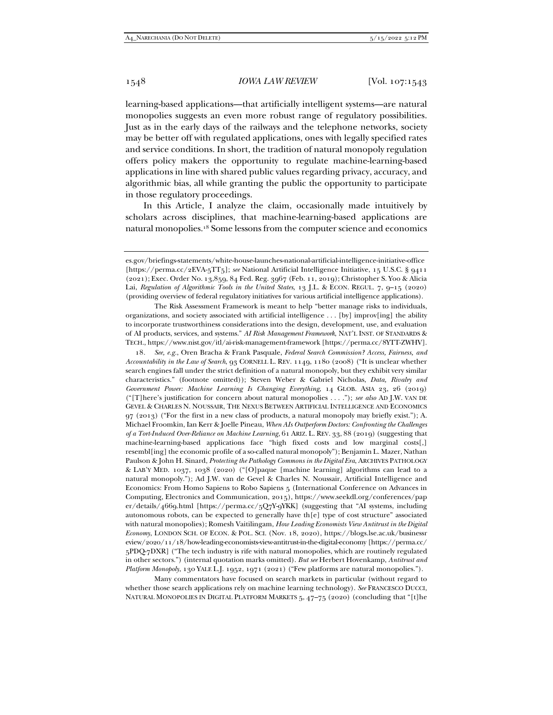learning-based applications—that artificially intelligent systems—are natural monopolies suggests an even more robust range of regulatory possibilities. Just as in the early days of the railways and the telephone networks, society may be better off with regulated applications, ones with legally specified rates and service conditions. In short, the tradition of natural monopoly regulation offers policy makers the opportunity to regulate machine-learning-based applications in line with shared public values regarding privacy, accuracy, and algorithmic bias, all while granting the public the opportunity to participate in those regulatory proceedings.

In this Article, I analyze the claim, occasionally made intuitively by scholars across disciplines, that machine-learning-based applications are natural monopolies.18 Some lessons from the computer science and economics

 The Risk Assessment Framework is meant to help "better manage risks to individuals, organizations, and society associated with artificial intelligence . . . [by] improv[ing] the ability to incorporate trustworthiness considerations into the design, development, use, and evaluation of AI products, services, and systems." *AI Risk Management Framework*, NAT'L INST. OF STANDARDS & TECH., https://www.nist.gov/itl/ai-risk-management-framework [https://perma.cc/8YTT-ZWHV].

18*. See, e.g.*, Oren Bracha & Frank Pasquale, *Federal Search Commission? Access, Fairness, and Accountability in the Law of Search*, 93 CORNELL L. REV. 1149, 1180 (2008) ("It is unclear whether search engines fall under the strict definition of a natural monopoly, but they exhibit very similar characteristics." (footnote omitted)); Steven Weber & Gabriel Nicholas, *Data, Rivalry and Government Power: Machine Learning Is Changing Everything*, 14 GLOB. ASIA 23, 26 (2019) ("[T]here's justification for concern about natural monopolies . . . ."); *see also* AD J.W. VAN DE GEVEL & CHARLES N. NOUSSAIR, THE NEXUS BETWEEN ARTIFICIAL INTELLIGENCE AND ECONOMICS 97 (2013) ("For the first in a new class of products, a natural monopoly may briefly exist."); A. Michael Froomkin, Ian Kerr & Joelle Pineau, *When AIs Outperform Doctors: Confronting the Challenges of a Tort-Induced Over-Reliance on Machine Learning*, 61 ARIZ. L. REV. 33, 88 (2019) (suggesting that machine-learning-based applications face "high fixed costs and low marginal costs[,] resembl[ing] the economic profile of a so-called natural monopoly"); Benjamin L. Mazer, Nathan Paulson & John H. Sinard, *Protecting the Pathology Commons in the Digital Era*, ARCHIVES PATHOLOGY & LAB'Y MED. 1037, 1038 (2020) ("[O]paque [machine learning] algorithms can lead to a natural monopoly."); Ad J.W. van de Gevel & Charles N. Noussair, Artificial Intelligence and Economics: From Homo Sapiens to Robo Sapiens 5 (International Conference on Advances in Computing, Electronics and Communication, 2015), https://www.seekdl.org/conferences/pap er/details/4669.html [https://perma.cc/5Q7Y-9YKK] (suggesting that "AI systems, including autonomous robots, can be expected to generally have th[e] type of cost structure" associated with natural monopolies); Romesh Vaitilingam, *How Leading Economists View Antitrust in the Digital Economy*, LONDON SCH. OF ECON. & POL. SCI. (Nov. 18, 2020), https://blogs.lse.ac.uk/businessr eview/2020/11/18/how-leading-economists-view-antitrust-in-the-digital-economy [https://perma.cc/ 5PDQ-7DXR] ("The tech industry is rife with natural monopolies, which are routinely regulated in other sectors.") (internal quotation marks omitted). *But see* Herbert Hovenkamp, *Antitrust and Platform Monopoly*, 130 YALE L.J. 1952, 1971 (2021) ("Few platforms are natural monopolies.").

 Many commentators have focused on search markets in particular (without regard to whether those search applications rely on machine learning technology). *See* FRANCESCO DUCCI, NATURAL MONOPOLIES IN DIGITAL PLATFORM MARKETS 5, 47-75 (2020) (concluding that "[t]he

es.gov/briefings-statements/white-house-launches-national-artificial-intelligence-initiative-office [https://perma.cc/2EVA-5TT5]; *see* National Artificial Intelligence Initiative, 15 U.S.C. § 9411 (2021); Exec. Order No. 13,859, 84 Fed. Reg. 3967 (Feb. 11, 2019); Christopher S. Yoo & Alicia Lai, *Regulation of Algorithmic Tools in the United States*, 13 J.L. & ECON. REGUL. 7, 9–15 (2020) (providing overview of federal regulatory initiatives for various artificial intelligence applications).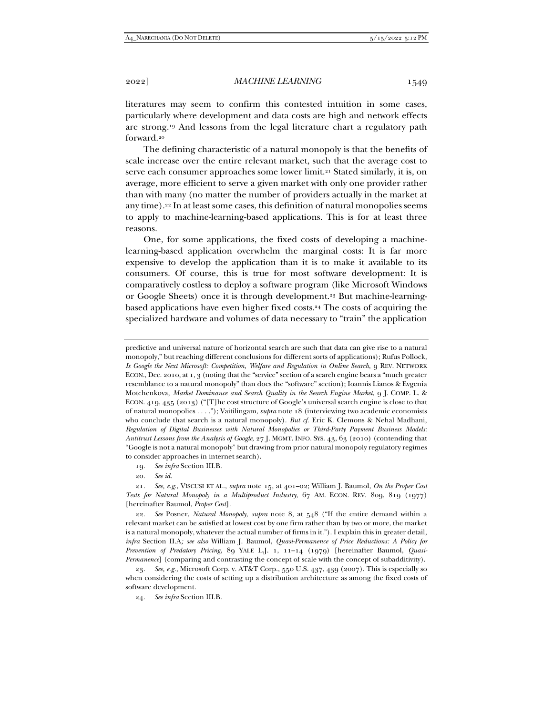literatures may seem to confirm this contested intuition in some cases, particularly where development and data costs are high and network effects are strong.19 And lessons from the legal literature chart a regulatory path forward.20

The defining characteristic of a natural monopoly is that the benefits of scale increase over the entire relevant market, such that the average cost to serve each consumer approaches some lower limit.<sup>21</sup> Stated similarly, it is, on average, more efficient to serve a given market with only one provider rather than with many (no matter the number of providers actually in the market at any time).22 In at least some cases, this definition of natural monopolies seems to apply to machine-learning-based applications. This is for at least three reasons.

One, for some applications, the fixed costs of developing a machinelearning-based application overwhelm the marginal costs: It is far more expensive to develop the application than it is to make it available to its consumers. Of course, this is true for most software development: It is comparatively costless to deploy a software program (like Microsoft Windows or Google Sheets) once it is through development.23 But machine-learningbased applications have even higher fixed costs.24 The costs of acquiring the specialized hardware and volumes of data necessary to "train" the application

predictive and universal nature of horizontal search are such that data can give rise to a natural monopoly," but reaching different conclusions for different sorts of applications); Rufus Pollock, *Is Google the Next Microsoft: Competition, Welfare and Regulation in Online Search*, 9 REV. NETWORK ECON., Dec. 2010, at 1, 3 (noting that the "service" section of a search engine bears a "much greater resemblance to a natural monopoly" than does the "software" section); Ioannis Lianos & Evgenia Motchenkova, *Market Dominance and Search Quality in the Search Engine Market*, 9 J. COMP. L. & ECON. 419, 435 (2013) ("[T]he cost structure of Google's universal search engine is close to that of natural monopolies . . . ."); Vaitilingam, *supra* note 18 (interviewing two academic economists who conclude that search is a natural monopoly). *But cf.* Eric K. Clemons & Nehal Madhani, *Regulation of Digital Businesses with Natural Monopolies or Third-Party Payment Business Models: Antitrust Lessons from the Analysis of Google*, 27 J. MGMT. INFO. SYS. 43, 63 (2010) (contending that "Google is not a natural monopoly" but drawing from prior natural monopoly regulatory regimes to consider approaches in internet search).

19*. See infra* Section III.B.

20*. See id.*

21*. See, e.g.*, VISCUSI ET AL., *supra* note 15, at 401–02; William J. Baumol, *On the Proper Cost Tests for Natural Monopoly in a Multiproduct Industry*, 67 AM. ECON. REV. 809, 819 (1977) [hereinafter Baumol, *Proper Cost*].

22*. See* Posner, *Natural Monopoly*, *supra* note 8, at 548 ("If the entire demand within a relevant market can be satisfied at lowest cost by one firm rather than by two or more, the market is a natural monopoly, whatever the actual number of firms in it."). I explain this in greater detail, *infra* Section II.A*; see also* William J. Baumol, *Quasi-Permanence of Price Reductions: A Policy for Prevention of Predatory Pricing*, 89 YALE L.J. 1, 11–14 (1979) [hereinafter Baumol, *Quasi-Permanence*] (comparing and contrasting the concept of scale with the concept of subadditivity).

23*. See, e.g.*, Microsoft Corp. v. AT&T Corp., 550 U.S. 437, 439 (2007). This is especially so when considering the costs of setting up a distribution architecture as among the fixed costs of software development.

24*. See infra* Section III.B.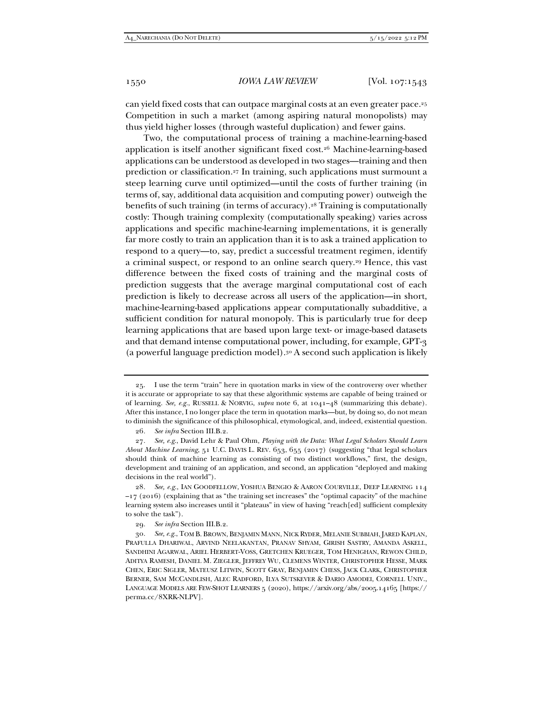can yield fixed costs that can outpace marginal costs at an even greater pace.25 Competition in such a market (among aspiring natural monopolists) may thus yield higher losses (through wasteful duplication) and fewer gains.

Two, the computational process of training a machine-learning-based application is itself another significant fixed cost.26 Machine-learning-based applications can be understood as developed in two stages—training and then prediction or classification.27 In training, such applications must surmount a steep learning curve until optimized—until the costs of further training (in terms of, say, additional data acquisition and computing power) outweigh the benefits of such training (in terms of accuracy).28 Training is computationally costly: Though training complexity (computationally speaking) varies across applications and specific machine-learning implementations, it is generally far more costly to train an application than it is to ask a trained application to respond to a query—to, say, predict a successful treatment regimen, identify a criminal suspect, or respond to an online search query.29 Hence, this vast difference between the fixed costs of training and the marginal costs of prediction suggests that the average marginal computational cost of each prediction is likely to decrease across all users of the application—in short, machine-learning-based applications appear computationally subadditive, a sufficient condition for natural monopoly. This is particularly true for deep learning applications that are based upon large text- or image-based datasets and that demand intense computational power, including, for example, GPT-3 (a powerful language prediction model).30 A second such application is likely

 <sup>25.</sup> I use the term "train" here in quotation marks in view of the controversy over whether it is accurate or appropriate to say that these algorithmic systems are capable of being trained or of learning. *See, e.g.*, RUSSELL & NORVIG, *supra* note 6, at 1041–48 (summarizing this debate). After this instance, I no longer place the term in quotation marks—but, by doing so, do not mean to diminish the significance of this philosophical, etymological, and, indeed, existential question.

<sup>26</sup>*. See infra* Section III.B.2.

<sup>27</sup>*. See, e.g*., David Lehr & Paul Ohm, *Playing with the Data: What Legal Scholars Should Learn About Machine Learning*, 51 U.C. DAVIS L. REV. 653, 655 (2017) (suggesting "that legal scholars should think of machine learning as consisting of two distinct workflows," first, the design, development and training of an application, and second, an application "deployed and making decisions in the real world").

<sup>28</sup>*. See, e.g.*, IAN GOODFELLOW, YOSHUA BENGIO & AARON COURVILLE, DEEP LEARNING 114  $-17$  (2016) (explaining that as "the training set increases" the "optimal capacity" of the machine learning system also increases until it "plateaus" in view of having "reach[ed] sufficient complexity to solve the task").

<sup>29</sup>*. See infra* Section III.B.2.

<sup>30</sup>*. See, e.g.*, TOM B. BROWN, BENJAMIN MANN, NICK RYDER, MELANIE SUBBIAH, JARED KAPLAN, PRAFULLA DHARIWAL, ARVIND NEELAKANTAN, PRANAV SHYAM, GIRISH SASTRY, AMANDA ASKELL, SANDHINI AGARWAL, ARIEL HERBERT-VOSS, GRETCHEN KRUEGER, TOM HENIGHAN, REWON CHILD, ADITYA RAMESH, DANIEL M. ZIEGLER, JEFFREY WU, CLEMENS WINTER, CHRISTOPHER HESSE, MARK CHEN, ERIC SIGLER, MATEUSZ LITWIN, SCOTT GRAY, BENJAMIN CHESS, JACK CLARK, CHRISTOPHER BERNER, SAM MCCANDLISH, ALEC RADFORD, ILYA SUTSKEVER & DARIO AMODEI, CORNELL UNIV., LANGUAGE MODELS ARE FEW-SHOT LEARNERS 5 (2020), https://arxiv.org/abs/2005.14165 [https:// perma.cc/8XRK-NLPV].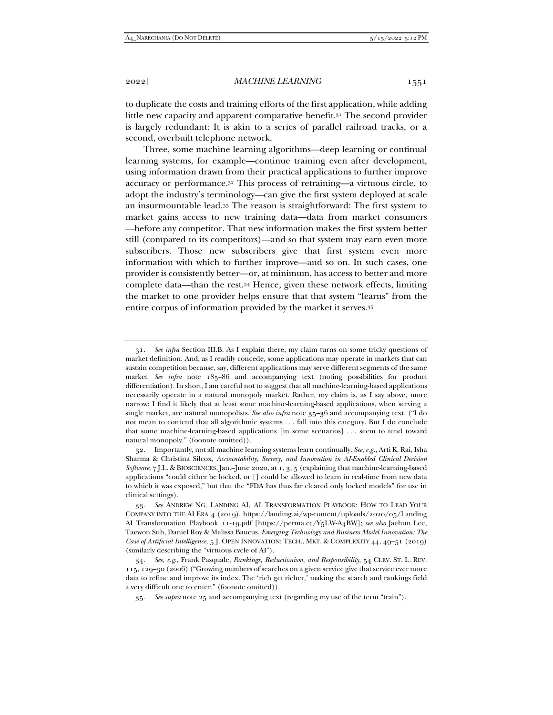to duplicate the costs and training efforts of the first application, while adding little new capacity and apparent comparative benefit.31 The second provider is largely redundant: It is akin to a series of parallel railroad tracks, or a second, overbuilt telephone network.

Three, some machine learning algorithms—deep learning or continual learning systems, for example—continue training even after development, using information drawn from their practical applications to further improve accuracy or performance.32 This process of retraining—a virtuous circle, to adopt the industry's terminology—can give the first system deployed at scale an insurmountable lead.33 The reason is straightforward: The first system to market gains access to new training data—data from market consumers —before any competitor. That new information makes the first system better still (compared to its competitors)—and so that system may earn even more subscribers. Those new subscribers give that first system even more information with which to further improve—and so on. In such cases, one provider is consistently better—or, at minimum, has access to better and more complete data—than the rest.34 Hence, given these network effects, limiting the market to one provider helps ensure that that system "learns" from the entire corpus of information provided by the market it serves.35

<sup>31</sup>*. See infra* Section III.B. As I explain there, my claim turns on some tricky questions of market definition. And, as I readily concede, some applications may operate in markets that can sustain competition because, say, different applications may serve different segments of the same market. *See infra* note 185–86 and accompanying text (noting possibilities for product differentiation). In short, I am careful not to suggest that all machine-learning-based applications necessarily operate in a natural monopoly market. Rather, my claim is, as I say above, more narrow: I find it likely that at least some machine-learning-based applications, when serving a single market, are natural monopolists. *See also infra* note 35–36 and accompanying text. ("I do not mean to contend that all algorithmic systems . . . fall into this category. But I do conclude that some machine-learning-based applications [in some scenarios] . . . seem to tend toward natural monopoly." (foonote omitted)).

 <sup>32.</sup> Importantly, not all machine learning systems learn continually. *See, e.g.*, Arti K. Rai, Isha Sharma & Christina Silcox, *Accountability, Secrecy, and Innovation in AI-Enabled Clinical Decision Software*, 7 J.L. & BIOSCIENCES, Jan.–June 2020, at 1, 3, 5 (explaining that machine-learning-based applications "could either be locked, or [] could be allowed to learn in real-time from new data to which it was exposed," but that the "FDA has thus far cleared only locked models" for use in clinical settings).

<sup>33</sup>*. See* ANDREW NG, LANDING AI, AI TRANSFORMATION PLAYBOOK: HOW TO LEAD YOUR COMPANY INTO THE AI ERA 4 (2019), https://landing.ai/wp-content/uploads/2020/05/Landing AI\_Transformation\_Playbook\_11-19.pdf [https://perma.cc/Y5LW-A4BW]; *see also* Jaehun Lee, Taewon Suh, Daniel Roy & Melissa Baucus, *Emerging Technology and Business Model Innovation: The Case of Artificial Intelligence*, 5 J. OPEN INNOVATION: TECH., MKT. & COMPLEXITY 44, 49–51 (2019) (similarly describing the "virtuous cycle of AI").

<sup>34</sup>*. See, e.g.*, Frank Pasquale, *Rankings, Reductionism, and Responsibility*, 54 CLEV. ST. L. REV. 115, 129–30 (2006) ("Growing numbers of searches on a given service give that service ever more data to refine and improve its index. The 'rich get richer,' making the search and rankings field a very difficult one to enter." (foonote omitted)).

<sup>35</sup>*. See supra* note 25 and accompanying text (regarding my use of the term "train").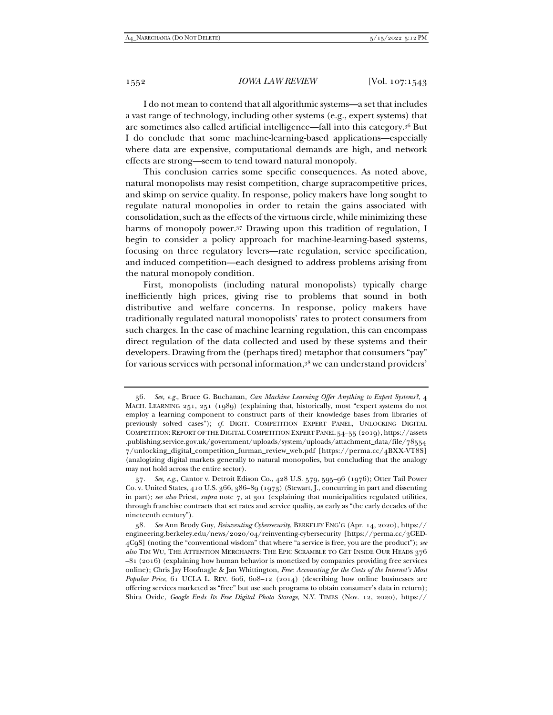I do not mean to contend that all algorithmic systems—a set that includes a vast range of technology, including other systems (e.g., expert systems) that are sometimes also called artificial intelligence—fall into this category.36 But I do conclude that some machine-learning-based applications—especially where data are expensive, computational demands are high, and network effects are strong—seem to tend toward natural monopoly.

This conclusion carries some specific consequences. As noted above, natural monopolists may resist competition, charge supracompetitive prices, and skimp on service quality. In response, policy makers have long sought to regulate natural monopolies in order to retain the gains associated with consolidation, such as the effects of the virtuous circle, while minimizing these harms of monopoly power.37 Drawing upon this tradition of regulation, I begin to consider a policy approach for machine-learning-based systems, focusing on three regulatory levers—rate regulation, service specification, and induced competition—each designed to address problems arising from the natural monopoly condition.

First, monopolists (including natural monopolists) typically charge inefficiently high prices, giving rise to problems that sound in both distributive and welfare concerns. In response, policy makers have traditionally regulated natural monopolists' rates to protect consumers from such charges. In the case of machine learning regulation, this can encompass direct regulation of the data collected and used by these systems and their developers. Drawing from the (perhaps tired) metaphor that consumers "pay" for various services with personal information,38 we can understand providers'

<sup>36</sup>*. See, e.g.*, Bruce G. Buchanan, *Can Machine Learning Offer Anything to Expert Systems?*, 4 MACH. LEARNING 251, 251 (1989) (explaining that, historically, most "expert systems do not employ a learning component to construct parts of their knowledge bases from libraries of previously solved cases"); *cf.* DIGIT. COMPETITION EXPERT PANEL, UNLOCKING DIGITAL COMPETITION: REPORT OF THE DIGITAL COMPETITION EXPERT PANEL 54–55 (2019), https://assets .publishing.service.gov.uk/government/uploads/system/uploads/attachment\_data/file/78554 7/unlocking\_digital\_competition\_furman\_review\_web.pdf [https://perma.cc/4BXX-VT8S] (analogizing digital markets generally to natural monopolies, but concluding that the analogy may not hold across the entire sector).

<sup>37</sup>*. See, e.g.*, Cantor v. Detroit Edison Co., 428 U.S. 579, 595–96 (1976); Otter Tail Power Co. v. United States, 410 U.S. 366, 386–89 (1973) (Stewart, J., concurring in part and dissenting in part); *see also* Priest, *supra* note 7, at 301 (explaining that municipalities regulated utilities, through franchise contracts that set rates and service quality, as early as "the early decades of the nineteenth century").

<sup>38</sup>*. See* Ann Brody Guy, *Reinventing Cybersecurity*, BERKELEY ENG'G (Apr. 14, 2020), https:// engineering.berkeley.edu/news/2020/04/reinventing-cybersecurity [https://perma.cc/3GED-4C9S] (noting the "conventional wisdom" that where "a service is free, you are the product"); *see also* TIM WU, THE ATTENTION MERCHANTS: THE EPIC SCRAMBLE TO GET INSIDE OUR HEADS 376 –81 (2016) (explaining how human behavior is monetized by companies providing free services online); Chris Jay Hoofnagle & Jan Whittington, *Free: Accounting for the Costs of the Internet's Most Popular Price*, 61 UCLA L. REV. 606, 608–12 (2014) (describing how online businesses are offering services marketed as "free" but use such programs to obtain consumer's data in return); Shira Ovide, *Google Ends Its Free Digital Photo Storage*, N.Y. TIMES (Nov. 12, 2020), https://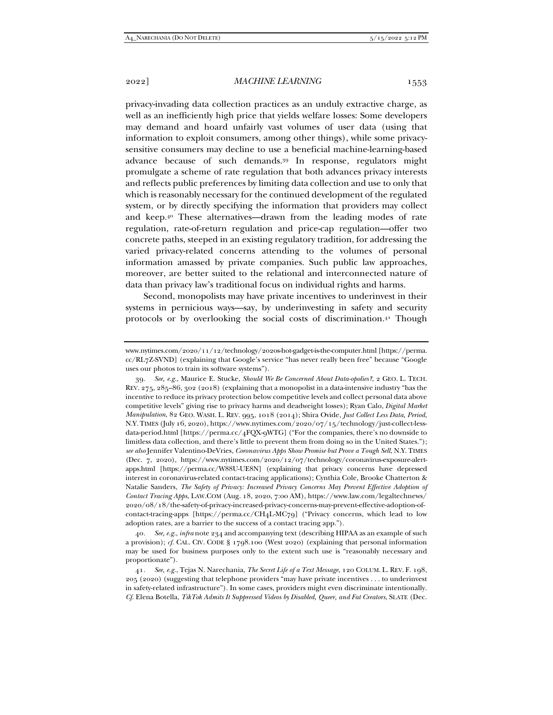privacy-invading data collection practices as an unduly extractive charge, as well as an inefficiently high price that yields welfare losses: Some developers may demand and hoard unfairly vast volumes of user data (using that information to exploit consumers, among other things), while some privacysensitive consumers may decline to use a beneficial machine-learning-based advance because of such demands.39 In response, regulators might promulgate a scheme of rate regulation that both advances privacy interests and reflects public preferences by limiting data collection and use to only that which is reasonably necessary for the continued development of the regulated system, or by directly specifying the information that providers may collect and keep.40 These alternatives—drawn from the leading modes of rate regulation, rate-of-return regulation and price-cap regulation—offer two concrete paths, steeped in an existing regulatory tradition, for addressing the varied privacy-related concerns attending to the volumes of personal information amassed by private companies. Such public law approaches, moreover, are better suited to the relational and interconnected nature of data than privacy law's traditional focus on individual rights and harms.

Second, monopolists may have private incentives to underinvest in their systems in pernicious ways—say, by underinvesting in safety and security protocols or by overlooking the social costs of discrimination.41 Though

39*. See, e.g.*, Maurice E. Stucke, *Should We Be Concerned About Data-opolies?*, 2 GEO. L. TECH. REV. 275, 285–86, 302 (2018) (explaining that a monopolist in a data-intensive industry "has the incentive to reduce its privacy protection below competitive levels and collect personal data above competitive levels" giving rise to privacy harms and deadweight losses); Ryan Calo, *Digital Market Manipulation*, 82 GEO. WASH. L. REV. 995, 1018 (2014); Shira Ovide, *Just Collect Less Data, Period*, N.Y. TIMES (July 16, 2020), https://www.nytimes.com/2020/07/15/technology/just-collect-lessdata-period.html [https://perma.cc/4FQX-9WTG] ("For the companies, there's no downside to limitless data collection, and there's little to prevent them from doing so in the United States."); *see also* Jennifer Valentino-DeVries, *Coronavirus Apps Show Promise but Prove a Tough Sell*, N.Y. TIMES (Dec. 7, 2020), https://www.nytimes.com/2020/12/07/technology/coronavirus-exposure-alertapps.html [https://perma.cc/W88U-UE8N] (explaining that privacy concerns have depressed interest in coronavirus-related contact-tracing applications); Cynthia Cole, Brooke Chatterton & Natalie Sanders, *The Safety of Privacy: Increased Privacy Concerns May Prevent Effective Adoption of Contact Tracing Apps*, LAW.COM (Aug. 18, 2020, 7:00 AM), https://www.law.com/legaltechnews/ 2020/08/18/the-safety-of-privacy-increased-privacy-concerns-may-prevent-effective-adoption-ofcontact-tracing-apps [https://perma.cc/CH4L-MC79] ("Privacy concerns, which lead to low adoption rates, are a barrier to the success of a contact tracing app.").

40*. See, e.g.*, *infra* note 234 and accompanying text (describing HIPAA as an example of such a provision); *cf.* CAL. CIV. CODE § 1798.100 (West 2020) (explaining that personal information may be used for business purposes only to the extent such use is "reasonably necessary and proportionate").

41*. See, e.g.*, Tejas N. Narechania, *The Secret Life of a Text Message*, 120 COLUM. L. REV. F. 198, 205 (2020) (suggesting that telephone providers "may have private incentives . . . to underinvest in safety-related infrastructure"). In some cases, providers might even discriminate intentionally. *Cf.* Elena Botella, *TikTok Admits It Suppressed Videos by Disabled, Queer, and Fat Creators*, SLATE (Dec.

www.nytimes.com/2020/11/12/technology/2020s-hot-gadget-is-the-computer.html [https://perma. cc/RL7Z-SVND] (explaining that Google's service "has never really been free" because "Google uses our photos to train its software systems").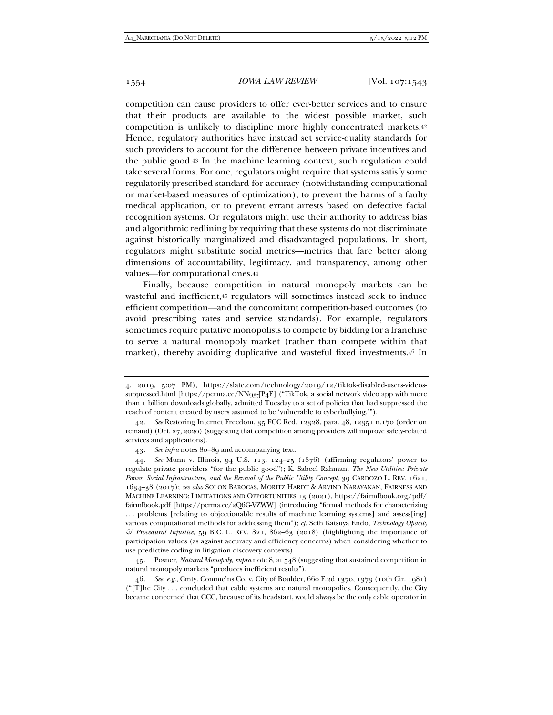competition can cause providers to offer ever-better services and to ensure that their products are available to the widest possible market, such competition is unlikely to discipline more highly concentrated markets.42 Hence, regulatory authorities have instead set service-quality standards for such providers to account for the difference between private incentives and the public good.43 In the machine learning context, such regulation could take several forms. For one, regulators might require that systems satisfy some regulatorily-prescribed standard for accuracy (notwithstanding computational or market-based measures of optimization), to prevent the harms of a faulty medical application, or to prevent errant arrests based on defective facial recognition systems. Or regulators might use their authority to address bias and algorithmic redlining by requiring that these systems do not discriminate against historically marginalized and disadvantaged populations. In short, regulators might substitute social metrics—metrics that fare better along dimensions of accountability, legitimacy, and transparency, among other values—for computational ones.44

Finally, because competition in natural monopoly markets can be wasteful and inefficient,45 regulators will sometimes instead seek to induce efficient competition—and the concomitant competition-based outcomes (to avoid prescribing rates and service standards). For example, regulators sometimes require putative monopolists to compete by bidding for a franchise to serve a natural monopoly market (rather than compete within that market), thereby avoiding duplicative and wasteful fixed investments.46 In

 45. Posner, *Natural Monopoly*, *supra* note 8, at 548 (suggesting that sustained competition in natural monopoly markets "produces inefficient results").

46*. See, e.g.*, Cmty. Commc'ns Co. v. City of Boulder, 660 F.2d 1370, 1373 (10th Cir. 1981) ("[T]he City . . . concluded that cable systems are natural monopolies. Consequently, the City became concerned that CCC, because of its headstart, would always be the only cable operator in

<sup>4, 2019, 5:07</sup> PM), https://slate.com/technology/2019/12/tiktok-disabled-users-videossuppressed.html [https://perma.cc/NN93-JP4E] ("TikTok, a social network video app with more than 1 billion downloads globally, admitted Tuesday to a set of policies that had suppressed the reach of content created by users assumed to be 'vulnerable to cyberbullying.'").

<sup>42</sup>*. See* Restoring Internet Freedom, 35 FCC Rcd. 12328, para. 48, 12351 n.170 (order on remand) (Oct. 27, 2020) (suggesting that competition among providers will improve safety-related services and applications).

<sup>43</sup>*. See infra* notes 80–89 and accompanying text.

<sup>44</sup>*. See* Munn v. Illinois, 94 U.S. 113, 124–25 (1876) (affirming regulators' power to regulate private providers "for the public good"); K. Sabeel Rahman, *The New Utilities: Private Power, Social Infrastructure, and the Revival of the Public Utility Concept*, 39 CARDOZO L. REV. 1621, 1634–38 (2017); *see also* SOLON BAROCAS, MORITZ HARDT & ARVIND NARAYANAN, FAIRNESS AND MACHINE LEARNING: LIMITATIONS AND OPPORTUNITIES 13 (2021), https://fairmlbook.org/pdf/ fairmlbook.pdf [https://perma.cc/2Q6G-VZWW] (introducing "formal methods for characterizing ... problems [relating to objectionable results of machine learning systems] and assess[ing] various computational methods for addressing them"); *cf.* Seth Katsuya Endo, *Technology Opacity & Procedural Injustice*, 59 B.C. L. REV. 821, 862–63 (2018) (highlighting the importance of participation values (as against accuracy and efficiency concerns) when considering whether to use predictive coding in litigation discovery contexts).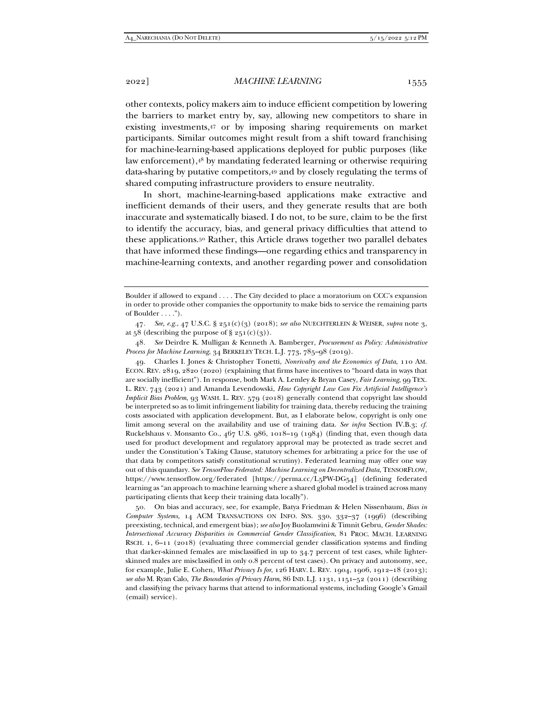2022] *MACHINE LEARNING* 1555

other contexts, policy makers aim to induce efficient competition by lowering the barriers to market entry by, say, allowing new competitors to share in existing investments,47 or by imposing sharing requirements on market participants. Similar outcomes might result from a shift toward franchising for machine-learning-based applications deployed for public purposes (like law enforcement),48 by mandating federated learning or otherwise requiring data-sharing by putative competitors,49 and by closely regulating the terms of shared computing infrastructure providers to ensure neutrality.

In short, machine-learning-based applications make extractive and inefficient demands of their users, and they generate results that are both inaccurate and systematically biased. I do not, to be sure, claim to be the first to identify the accuracy, bias, and general privacy difficulties that attend to these applications.50 Rather, this Article draws together two parallel debates that have informed these findings—one regarding ethics and transparency in machine-learning contexts, and another regarding power and consolidation

48*. See* Deirdre K. Mulligan & Kenneth A. Bamberger, *Procurement as Policy: Administrative Process for Machine Learning*, 34 BERKELEY TECH. L.J. 773, 785–98 (2019).

 49. Charles I. Jones & Christopher Tonetti, *Nonrivalry and the Economics of Data*, 110 AM. ECON. REV. 2819, 2820 (2020) (explaining that firms have incentives to "hoard data in ways that are socially inefficient"). In response, both Mark A. Lemley & Bryan Casey, *Fair Learning*, 99 TEX. L. REV. 743 (2021) and Amanda Levendowski, *How Copyright Law Can Fix Artificial Intelligence's Implicit Bias Problem*, 93 WASH. L. REV. 579 (2018) generally contend that copyright law should be interpreted so as to limit infringement liability for training data, thereby reducing the training costs associated with application development. But, as I elaborate below, copyright is only one limit among several on the availability and use of training data. *See infra* Section IV.B.3; *cf.* Ruckelshaus v. Monsanto Co.,  $467$  U.S.  $986$ , 1018–19 (1984) (finding that, even though data used for product development and regulatory approval may be protected as trade secret and under the Constitution's Taking Clause, statutory schemes for arbitrating a price for the use of that data by competitors satisfy constitutional scrutiny). Federated learning may offer one way out of this quandary. *See TensorFlow Federated: Machine Learning on Decentralized Data*, TENSORFLOW, https://www.tensorflow.org/federated [https://perma.cc/L5PW-DG54] (defining federated learning as "an approach to machine learning where a shared global model is trained across many participating clients that keep their training data locally").

 50. On bias and accuracy, see, for example, Batya Friedman & Helen Nissenbaum, *Bias in Computer Systems*, 14 ACM TRANSACTIONS ON INFO. SYS. 330, 332–37 (1996) (describing preexisting, technical, and emergent bias); *see also* Joy Buolamwini & Timnit Gebru, *Gender Shades: Intersectional Accuracy Disparities in Commercial Gender Classification*, 81 PROC. MACH. LEARNING RSCH. 1, 6–11 (2018) (evaluating three commercial gender classification systems and finding that darker-skinned females are misclassified in up to 34.7 percent of test cases, while lighterskinned males are misclassified in only 0.8 percent of test cases). On privacy and autonomy, see, for example, Julie E. Cohen, *What Privacy Is for*, 126 HARV. L. REV. 1904, 1906, 1912–18 (2013); *see also* M. Ryan Calo, *The Boundaries of Privacy Harm*, 86 IND. L.J. 1131, 1151–52 (2011) (describing and classifying the privacy harms that attend to informational systems, including Google's Gmail (email) service).

Boulder if allowed to expand . . . . The City decided to place a moratorium on CCC's expansion in order to provide other companies the opportunity to make bids to service the remaining parts of Boulder . . . .").

<sup>47</sup>*. See, e.g.*, 47 U.S.C. § 251(c)(3) (2018); *see also* NUECHTERLEIN & WEISER, *supra* note 3, at  $58$  (describing the purpose of  $\S 251(c)(3)$ ).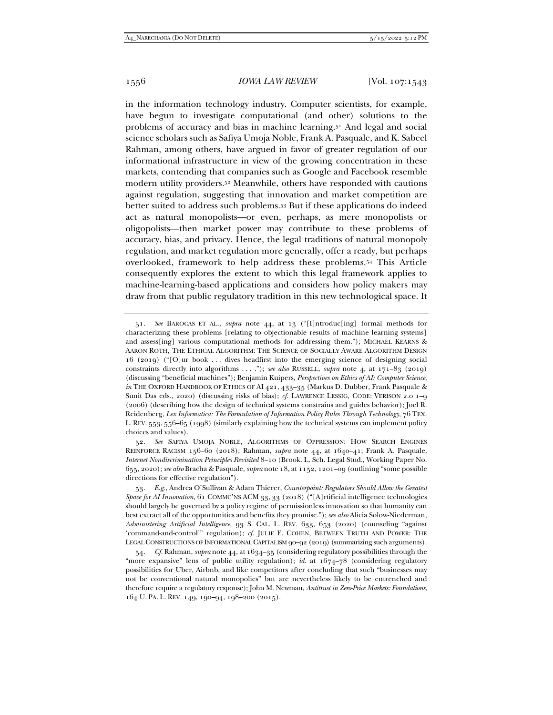in the information technology industry. Computer scientists, for example, have begun to investigate computational (and other) solutions to the problems of accuracy and bias in machine learning.51 And legal and social science scholars such as Safiya Umoja Noble, Frank A. Pasquale, and K. Sabeel Rahman, among others, have argued in favor of greater regulation of our informational infrastructure in view of the growing concentration in these markets, contending that companies such as Google and Facebook resemble modern utility providers.52 Meanwhile, others have responded with cautions against regulation, suggesting that innovation and market competition are better suited to address such problems.53 But if these applications do indeed act as natural monopolists—or even, perhaps, as mere monopolists or oligopolists—then market power may contribute to these problems of accuracy, bias, and privacy. Hence, the legal traditions of natural monopoly regulation, and market regulation more generally, offer a ready, but perhaps overlooked, framework to help address these problems.54 This Article consequently explores the extent to which this legal framework applies to machine-learning-based applications and considers how policy makers may draw from that public regulatory tradition in this new technological space. It

<sup>51</sup>*. See* BAROCAS ET AL., *supra* note 44, at 13 ("[I]ntroduc[ing] formal methods for characterizing these problems [relating to objectionable results of machine learning systems] and assess[ing] various computational methods for addressing them."); MICHAEL KEARNS & AARON ROTH, THE ETHICAL ALGORITHM: THE SCIENCE OF SOCIALLY AWARE ALGORITHM DESIGN 16 (2019) ("[O]ur book . . . dives headfirst into the emerging science of designing social constraints directly into algorithms . . . ."); *see also* RUSSELL, *supra* note 4, at 171–83 (2019) (discussing "beneficial machines"); Benjamin Kuipers, *Perspectives on Ethics of AI: Computer Science*, *in* THE OXFORD HANDBOOK OF ETHICS OF AI 421, 433-35 (Markus D. Dubber, Frank Pasquale & Sunit Das eds., 2020) (discussing risks of bias); *cf.* LAWRENCE LESSIG, CODE: VERISON 2.0 1–9 (2006) (describing how the design of technical systems constrains and guides behavior); Joel R. Reidenberg, *Lex Informatica: The Formulation of Information Policy Rules Through Technology*, 76 TEX. L. REV. 553, 556–65 (1998) (similarly explaining how the technical systems can implement policy choices and values).

<sup>52</sup>*. See* SAFIYA UMOJA NOBLE, ALGORITHMS OF OPPRESSION: HOW SEARCH ENGINES REINFORCE RACISM 156–60 (2018); Rahman, *supra* note 44, at 1640–41; Frank A. Pasquale, *Internet Nondiscrimination Principles Revisited* 8–10 (Brook. L. Sch. Legal Stud., Working Paper No. 655, 2020); *see also* Bracha & Pasquale, *supra* note 18, at 1152, 1201–09 (outlining "some possible directions for effective regulation").

<sup>53</sup>*. E.g.*, Andrea O'Sullivan & Adam Thierer, *Counterpoint: Regulators Should Allow the Greatest Space for AI Innovation*, 61 COMMC'NS ACM 33, 33 (2018) ("[A]rtificial intelligence technologies should largely be governed by a policy regime of permissionless innovation so that humanity can best extract all of the opportunities and benefits they promise."); *see also* Alicia Solow-Niederman, *Administering Artificial Intelligence*, 93 S. CAL. L. REV. 633, 653 (2020) (counseling "against 'command-and-control'" regulation); *cf.* JULIE E. COHEN, BETWEEN TRUTH AND POWER: THE LEGAL CONSTRUCTIONS OF INFORMATIONAL CAPITALISM 90–92 (2019) (summarizing such arguments).

<sup>54</sup>*. Cf.* Rahman, *supra* note 44, at 1634–35 (considering regulatory possibilities through the "more expansive" lens of public utility regulation); *id*. at 1674–78 (considering regulatory possibilities for Uber, Airbnb, and like competitors after concluding that such "businesses may not be conventional natural monopolies" but are nevertheless likely to be entrenched and therefore require a regulatory response); John M. Newman, *Antitrust in Zero-Price Markets: Foundations*, 164 U. PA. L. REV. 149, 190–94, 198–200 (2015).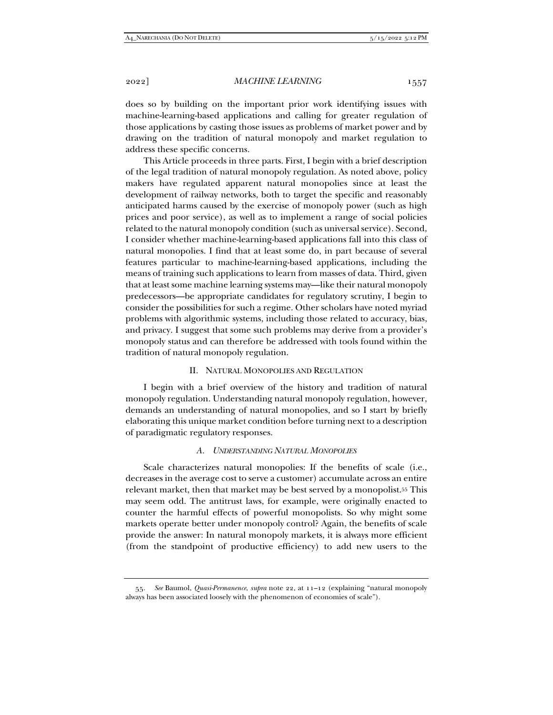does so by building on the important prior work identifying issues with machine-learning-based applications and calling for greater regulation of those applications by casting those issues as problems of market power and by drawing on the tradition of natural monopoly and market regulation to address these specific concerns.

This Article proceeds in three parts. First, I begin with a brief description of the legal tradition of natural monopoly regulation. As noted above, policy makers have regulated apparent natural monopolies since at least the development of railway networks, both to target the specific and reasonably anticipated harms caused by the exercise of monopoly power (such as high prices and poor service), as well as to implement a range of social policies related to the natural monopoly condition (such as universal service). Second, I consider whether machine-learning-based applications fall into this class of natural monopolies. I find that at least some do, in part because of several features particular to machine-learning-based applications, including the means of training such applications to learn from masses of data. Third, given that at least some machine learning systems may—like their natural monopoly predecessors—be appropriate candidates for regulatory scrutiny, I begin to consider the possibilities for such a regime. Other scholars have noted myriad problems with algorithmic systems, including those related to accuracy, bias, and privacy. I suggest that some such problems may derive from a provider's monopoly status and can therefore be addressed with tools found within the tradition of natural monopoly regulation.

# II. NATURAL MONOPOLIES AND REGULATION

I begin with a brief overview of the history and tradition of natural monopoly regulation. Understanding natural monopoly regulation, however, demands an understanding of natural monopolies, and so I start by briefly elaborating this unique market condition before turning next to a description of paradigmatic regulatory responses.

### *A. UNDERSTANDING NATURAL MONOPOLIES*

Scale characterizes natural monopolies: If the benefits of scale (i.e., decreases in the average cost to serve a customer) accumulate across an entire relevant market, then that market may be best served by a monopolist.55 This may seem odd. The antitrust laws, for example, were originally enacted to counter the harmful effects of powerful monopolists. So why might some markets operate better under monopoly control? Again, the benefits of scale provide the answer: In natural monopoly markets, it is always more efficient (from the standpoint of productive efficiency) to add new users to the

<sup>55</sup>*. See* Baumol, *Quasi-Permanence*, *supra* note 22, at 11–12 (explaining "natural monopoly always has been associated loosely with the phenomenon of economies of scale").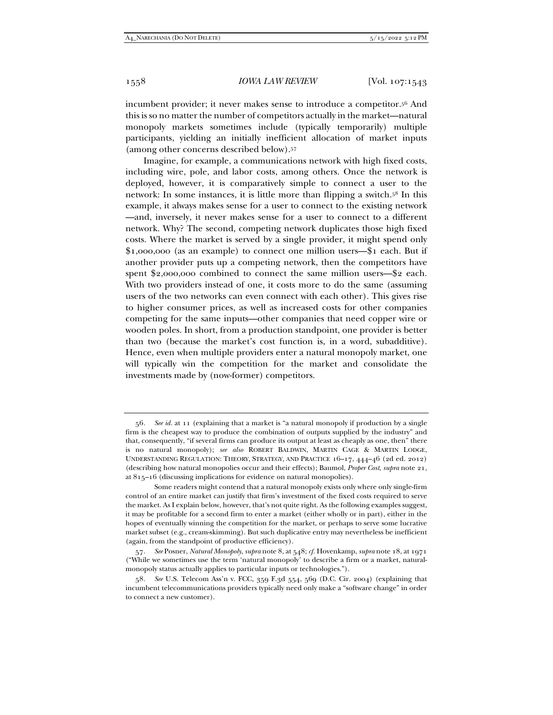incumbent provider; it never makes sense to introduce a competitor.56 And this is so no matter the number of competitors actually in the market—natural monopoly markets sometimes include (typically temporarily) multiple participants, yielding an initially inefficient allocation of market inputs (among other concerns described below).57

Imagine, for example, a communications network with high fixed costs, including wire, pole, and labor costs, among others. Once the network is deployed, however, it is comparatively simple to connect a user to the network: In some instances, it is little more than flipping a switch.58 In this example, it always makes sense for a user to connect to the existing network —and, inversely, it never makes sense for a user to connect to a different network. Why? The second, competing network duplicates those high fixed costs. Where the market is served by a single provider, it might spend only \$1,000,000 (as an example) to connect one million users—\$1 each. But if another provider puts up a competing network, then the competitors have spent \$2,000,000 combined to connect the same million users—\$2 each. With two providers instead of one, it costs more to do the same (assuming users of the two networks can even connect with each other). This gives rise to higher consumer prices, as well as increased costs for other companies competing for the same inputs—other companies that need copper wire or wooden poles. In short, from a production standpoint, one provider is better than two (because the market's cost function is, in a word, subadditive). Hence, even when multiple providers enter a natural monopoly market, one will typically win the competition for the market and consolidate the investments made by (now-former) competitors.

<sup>56</sup>*. See id.* at 11 (explaining that a market is "a natural monopoly if production by a single firm is the cheapest way to produce the combination of outputs supplied by the industry" and that, consequently, "if several firms can produce its output at least as cheaply as one, then" there is no natural monopoly); *see also* ROBERT BALDWIN, MARTIN CAGE & MARTIN LODGE, UNDERSTANDING REGULATION: THEORY, STRATEGY, AND PRACTICE 16–17, 444–46 (2d ed. 2012) (describing how natural monopolies occur and their effects); Baumol, *Proper Cost*, *supra* note 21, at 815–16 (discussing implications for evidence on natural monopolies).

Some readers might contend that a natural monopoly exists only where only single-firm control of an entire market can justify that firm's investment of the fixed costs required to serve the market. As I explain below, however, that's not quite right. As the following examples suggest, it may be profitable for a second firm to enter a market (either wholly or in part), either in the hopes of eventually winning the competition for the market, or perhaps to serve some lucrative market subset (e.g., cream-skimming). But such duplicative entry may nevertheless be inefficient (again, from the standpoint of productive efficiency).

<sup>57</sup>*. See* Posner, *Natural Monopoly*, *supra* note 8, at 548; *cf.* Hovenkamp, *supra* note 18, at 1971 ("While we sometimes use the term 'natural monopoly' to describe a firm or a market, naturalmonopoly status actually applies to particular inputs or technologies.").

<sup>58</sup>*. See* U.S. Telecom Ass'n v. FCC, 359 F.3d 554, 569 (D.C. Cir. 2004) (explaining that incumbent telecommunications providers typically need only make a "software change" in order to connect a new customer).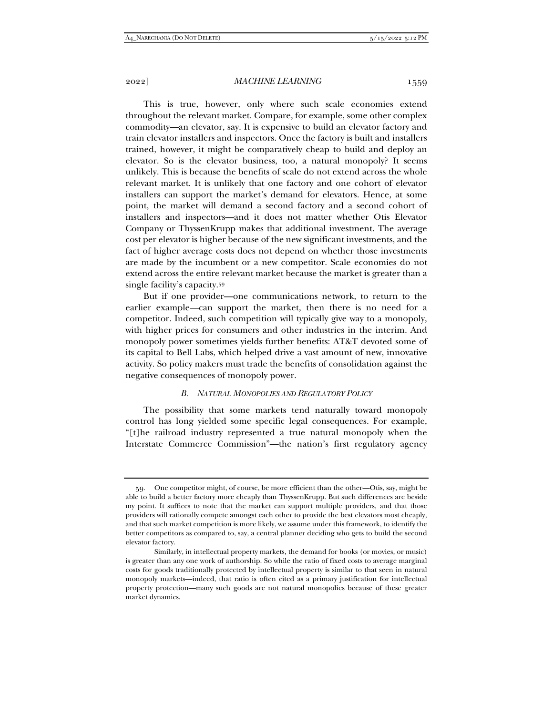This is true, however, only where such scale economies extend throughout the relevant market. Compare, for example, some other complex commodity—an elevator, say. It is expensive to build an elevator factory and train elevator installers and inspectors. Once the factory is built and installers trained, however, it might be comparatively cheap to build and deploy an elevator. So is the elevator business, too, a natural monopoly? It seems unlikely. This is because the benefits of scale do not extend across the whole relevant market. It is unlikely that one factory and one cohort of elevator installers can support the market's demand for elevators. Hence, at some point, the market will demand a second factory and a second cohort of installers and inspectors—and it does not matter whether Otis Elevator Company or ThyssenKrupp makes that additional investment. The average cost per elevator is higher because of the new significant investments, and the fact of higher average costs does not depend on whether those investments are made by the incumbent or a new competitor. Scale economies do not extend across the entire relevant market because the market is greater than a single facility's capacity.59

But if one provider—one communications network, to return to the earlier example—can support the market, then there is no need for a competitor. Indeed, such competition will typically give way to a monopoly, with higher prices for consumers and other industries in the interim. And monopoly power sometimes yields further benefits: AT&T devoted some of its capital to Bell Labs, which helped drive a vast amount of new, innovative activity. So policy makers must trade the benefits of consolidation against the negative consequences of monopoly power.

## *B. NATURAL MONOPOLIES AND REGULATORY POLICY*

The possibility that some markets tend naturally toward monopoly control has long yielded some specific legal consequences. For example, "[t]he railroad industry represented a true natural monopoly when the Interstate Commerce Commission"—the nation's first regulatory agency

 <sup>59.</sup> One competitor might, of course, be more efficient than the other—Otis, say, might be able to build a better factory more cheaply than ThyssenKrupp. But such differences are beside my point. It suffices to note that the market can support multiple providers, and that those providers will rationally compete amongst each other to provide the best elevators most cheaply, and that such market competition is more likely, we assume under this framework, to identify the better competitors as compared to, say, a central planner deciding who gets to build the second elevator factory.

Similarly, in intellectual property markets, the demand for books (or movies, or music) is greater than any one work of authorship. So while the ratio of fixed costs to average marginal costs for goods traditionally protected by intellectual property is similar to that seen in natural monopoly markets—indeed, that ratio is often cited as a primary justification for intellectual property protection—many such goods are not natural monopolies because of these greater market dynamics.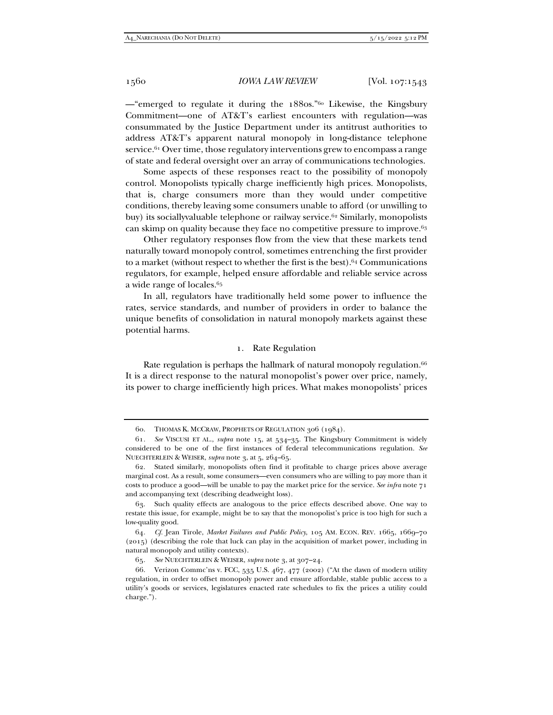—"emerged to regulate it during the 1880s."60 Likewise, the Kingsbury Commitment—one of AT&T's earliest encounters with regulation—was consummated by the Justice Department under its antitrust authorities to address AT&T's apparent natural monopoly in long-distance telephone service.61 Over time, those regulatory interventions grew to encompass a range of state and federal oversight over an array of communications technologies.

Some aspects of these responses react to the possibility of monopoly control. Monopolists typically charge inefficiently high prices. Monopolists, that is, charge consumers more than they would under competitive conditions, thereby leaving some consumers unable to afford (or unwilling to buy) its sociallyvaluable telephone or railway service.<sup>62</sup> Similarly, monopolists can skimp on quality because they face no competitive pressure to improve.<sup>63</sup>

Other regulatory responses flow from the view that these markets tend naturally toward monopoly control, sometimes entrenching the first provider to a market (without respect to whether the first is the best).64 Communications regulators, for example, helped ensure affordable and reliable service across a wide range of locales.65

In all, regulators have traditionally held some power to influence the rates, service standards, and number of providers in order to balance the unique benefits of consolidation in natural monopoly markets against these potential harms.

# 1. Rate Regulation

Rate regulation is perhaps the hallmark of natural monopoly regulation.<sup>66</sup> It is a direct response to the natural monopolist's power over price, namely, its power to charge inefficiently high prices. What makes monopolists' prices

 <sup>60.</sup> THOMAS K. MCCRAW, PROPHETS OF REGULATION 306 (1984).

<sup>61</sup>*. See* VISCUSI ET AL., *supra* note 15, at 534–35. The Kingsbury Commitment is widely considered to be one of the first instances of federal telecommunications regulation. *See*  NUECHTERLEIN & WEISER, *supra* note 3, at 5, 264–65.

 <sup>62.</sup> Stated similarly, monopolists often find it profitable to charge prices above average marginal cost. As a result, some consumers—even consumers who are willing to pay more than it costs to produce a good—will be unable to pay the market price for the service. *See infra* note 71 and accompanying text (describing deadweight loss).

 <sup>63.</sup> Such quality effects are analogous to the price effects described above. One way to restate this issue, for example, might be to say that the monopolist's price is too high for such a low-quality good.

<sup>64</sup>*. Cf.* Jean Tirole, *Market Failures and Public Policy*, 105 AM. ECON. REV. 1665, 1669–70 (2015) (describing the role that luck can play in the acquisition of market power, including in natural monopoly and utility contexts).

<sup>65</sup>*. See* NUECHTERLEIN & WEISER, *supra* note 3, at 307–24.

 <sup>66.</sup> Verizon Commc'ns v. FCC, 535 U.S. 467, 477 (2002) ("At the dawn of modern utility regulation, in order to offset monopoly power and ensure affordable, stable public access to a utility's goods or services, legislatures enacted rate schedules to fix the prices a utility could charge.").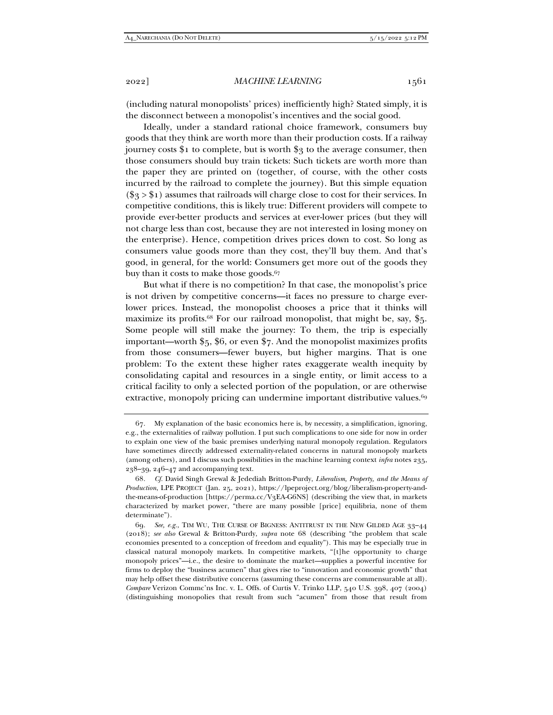(including natural monopolists' prices) inefficiently high? Stated simply, it is the disconnect between a monopolist's incentives and the social good.

Ideally, under a standard rational choice framework, consumers buy goods that they think are worth more than their production costs. If a railway journey costs  $i_1$  to complete, but is worth  $i_3$  to the average consumer, then those consumers should buy train tickets: Such tickets are worth more than the paper they are printed on (together, of course, with the other costs incurred by the railroad to complete the journey). But this simple equation  $(\frac{6}{3} > \frac{6}{3})$  assumes that railroads will charge close to cost for their services. In competitive conditions, this is likely true: Different providers will compete to provide ever-better products and services at ever-lower prices (but they will not charge less than cost, because they are not interested in losing money on the enterprise). Hence, competition drives prices down to cost. So long as consumers value goods more than they cost, they'll buy them. And that's good, in general, for the world: Consumers get more out of the goods they buy than it costs to make those goods.<sup>67</sup>

But what if there is no competition? In that case, the monopolist's price is not driven by competitive concerns—it faces no pressure to charge everlower prices. Instead, the monopolist chooses a price that it thinks will maximize its profits.<sup>68</sup> For our railroad monopolist, that might be, say, \$5. Some people will still make the journey: To them, the trip is especially important—worth \$5, \$6, or even \$7. And the monopolist maximizes profits from those consumers—fewer buyers, but higher margins. That is one problem: To the extent these higher rates exaggerate wealth inequity by consolidating capital and resources in a single entity, or limit access to a critical facility to only a selected portion of the population, or are otherwise extractive, monopoly pricing can undermine important distributive values.<sup>69</sup>

 <sup>67.</sup> My explanation of the basic economics here is, by necessity, a simplification, ignoring, e.g., the externalities of railway pollution. I put such complications to one side for now in order to explain one view of the basic premises underlying natural monopoly regulation. Regulators have sometimes directly addressed externality-related concerns in natural monopoly markets (among others), and I discuss such possibilities in the machine learning context *infra* notes 235, 238–39, 246–47 and accompanying text.

<sup>68</sup>*. Cf.* David Singh Grewal & Jedediah Britton-Purdy, *Liberalism, Property, and the Means of Production*, LPE PROJECT (Jan. 25, 2021), https://lpeproject.org/blog/liberalism-property-andthe-means-of-production [https://perma.cc/V3EA-G6NS] (describing the view that, in markets characterized by market power, "there are many possible [price] equilibria, none of them determinate").

<sup>69</sup>*. See, e.g.*, TIM WU, THE CURSE OF BIGNESS: ANTITRUST IN THE NEW GILDED AGE 33–44 (2018); *see also* Grewal & Britton-Purdy, *supra* note 68 (describing "the problem that scale economies presented to a conception of freedom and equality"). This may be especially true in classical natural monopoly markets. In competitive markets, "[t]he opportunity to charge monopoly prices"—i.e., the desire to dominate the market—supplies a powerful incentive for firms to deploy the "business acumen" that gives rise to "innovation and economic growth" that may help offset these distributive concerns (assuming these concerns are commensurable at all). *Compare* Verizon Commc'ns Inc. v. L. Offs. of Curtis V. Trinko LLP, 540 U.S. 398, 407 (2004) (distinguishing monopolies that result from such "acumen" from those that result from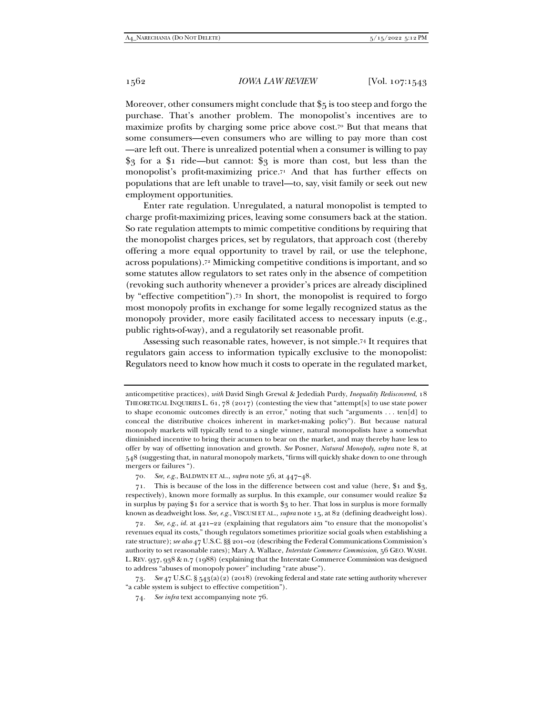Moreover, other consumers might conclude that \$5 is too steep and forgo the purchase. That's another problem. The monopolist's incentives are to maximize profits by charging some price above cost.70 But that means that some consumers—even consumers who are willing to pay more than cost —are left out. There is unrealized potential when a consumer is willing to pay \$3 for a \$1 ride—but cannot: \$3 is more than cost, but less than the monopolist's profit-maximizing price.71 And that has further effects on populations that are left unable to travel—to, say, visit family or seek out new employment opportunities.

Enter rate regulation. Unregulated, a natural monopolist is tempted to charge profit-maximizing prices, leaving some consumers back at the station. So rate regulation attempts to mimic competitive conditions by requiring that the monopolist charges prices, set by regulators, that approach cost (thereby offering a more equal opportunity to travel by rail, or use the telephone, across populations).72 Mimicking competitive conditions is important, and so some statutes allow regulators to set rates only in the absence of competition (revoking such authority whenever a provider's prices are already disciplined by "effective competition").73 In short, the monopolist is required to forgo most monopoly profits in exchange for some legally recognized status as the monopoly provider, more easily facilitated access to necessary inputs (e.g., public rights-of-way), and a regulatorily set reasonable profit.

Assessing such reasonable rates, however, is not simple.74 It requires that regulators gain access to information typically exclusive to the monopolist: Regulators need to know how much it costs to operate in the regulated market,

73*. See* 47 U.S.C. § 543(a)(2) (2018) (revoking federal and state rate setting authority wherever "a cable system is subject to effective competition").

anticompetitive practices), *with* David Singh Grewal & Jedediah Purdy, *Inequality Rediscovered*, 18 THEORETICAL INQUIRIES L.  $61, 78$  (2017) (contesting the view that "attempt[s] to use state power to shape economic outcomes directly is an error," noting that such "arguments . . . ten[d] to conceal the distributive choices inherent in market-making policy"). But because natural monopoly markets will typically tend to a single winner, natural monopolists have a somewhat diminished incentive to bring their acumen to bear on the market, and may thereby have less to offer by way of offsetting innovation and growth. *See* Posner, *Natural Monopoly*, *supra* note 8, at 548 (suggesting that, in natural monopoly markets, "firms will quickly shake down to one through mergers or failures ").

<sup>70</sup>*. See, e.g.*, BALDWIN ET AL., *supra* note 56, at 447–48.

 <sup>71.</sup> This is because of the loss in the difference between cost and value (here, \$1 and \$3, respectively), known more formally as surplus. In this example, our consumer would realize \$2 in surplus by paying \$1 for a service that is worth \$3 to her. That loss in surplus is more formally known as deadweight loss. *See, e.g.*, VISCUSI ET AL., *supra* note 15, at 82 (defining deadweight loss).

<sup>72</sup>*. See, e.g.*, *id.* at 421–22 (explaining that regulators aim "to ensure that the monopolist's revenues equal its costs," though regulators sometimes prioritize social goals when establishing a rate structure); *see also* 47 U.S.C. §§ 201–02 (describing the Federal Communications Commission's authority to set reasonable rates); Mary A. Wallace, *Interstate Commerce Commission*, 56 GEO. WASH. L.REV. 937, 938 & n.7 (1988) (explaining that the Interstate Commerce Commission was designed to address "abuses of monopoly power" including "rate abuse").

<sup>74</sup>*. See infra* text accompanying note 76.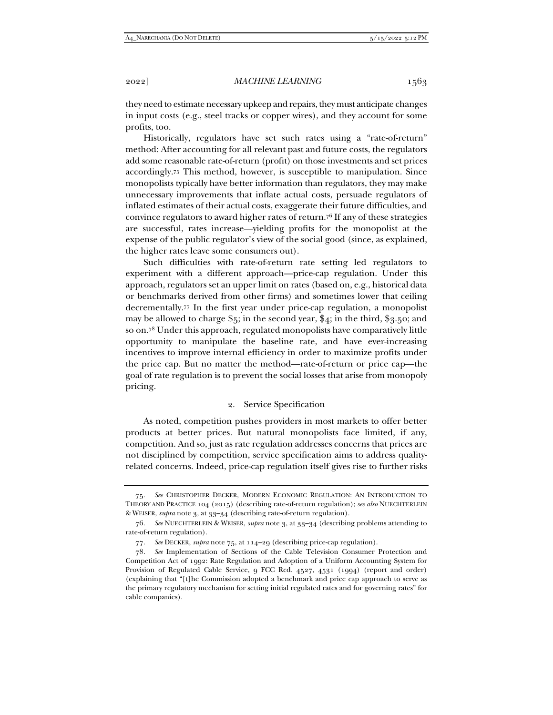they need to estimate necessary upkeep and repairs, they must anticipate changes in input costs (e.g., steel tracks or copper wires), and they account for some profits, too.

Historically, regulators have set such rates using a "rate-of-return" method: After accounting for all relevant past and future costs, the regulators add some reasonable rate-of-return (profit) on those investments and set prices accordingly.75 This method, however, is susceptible to manipulation. Since monopolists typically have better information than regulators, they may make unnecessary improvements that inflate actual costs, persuade regulators of inflated estimates of their actual costs, exaggerate their future difficulties, and convince regulators to award higher rates of return.76 If any of these strategies are successful, rates increase—yielding profits for the monopolist at the expense of the public regulator's view of the social good (since, as explained, the higher rates leave some consumers out).

Such difficulties with rate-of-return rate setting led regulators to experiment with a different approach—price-cap regulation. Under this approach, regulators set an upper limit on rates (based on, e.g., historical data or benchmarks derived from other firms) and sometimes lower that ceiling decrementally.77 In the first year under price-cap regulation, a monopolist may be allowed to charge  $\frac{1}{5}$ ; in the second year,  $\frac{1}{4}$ ; in the third,  $\frac{1}{5}$ , so; and so on.78 Under this approach, regulated monopolists have comparatively little opportunity to manipulate the baseline rate, and have ever-increasing incentives to improve internal efficiency in order to maximize profits under the price cap. But no matter the method—rate-of-return or price cap—the goal of rate regulation is to prevent the social losses that arise from monopoly pricing.

# 2. Service Specification

As noted, competition pushes providers in most markets to offer better products at better prices. But natural monopolists face limited, if any, competition. And so, just as rate regulation addresses concerns that prices are not disciplined by competition, service specification aims to address qualityrelated concerns. Indeed, price-cap regulation itself gives rise to further risks

<sup>75</sup>*. See* CHRISTOPHER DECKER, MODERN ECONOMIC REGULATION: AN INTRODUCTION TO THEORY AND PRACTICE 104 (2015) (describing rate-of-return regulation); *see also* NUECHTERLEIN & WEISER, *supra* note 3, at 33–34 (describing rate-of-return regulation).

<sup>76</sup>*. See* NUECHTERLEIN & WEISER, *supra* note 3, at 33–34 (describing problems attending to rate-of-return regulation).

<sup>77</sup>*. See* DECKER, *supra* note 75, at 114–29 (describing price-cap regulation).

<sup>78</sup>*. See* Implementation of Sections of the Cable Television Consumer Protection and Competition Act of 1992: Rate Regulation and Adoption of a Uniform Accounting System for Provision of Regulated Cable Service, 9 FCC Rcd. 4527, 4531 (1994) (report and order) (explaining that "[t]he Commission adopted a benchmark and price cap approach to serve as the primary regulatory mechanism for setting initial regulated rates and for governing rates" for cable companies).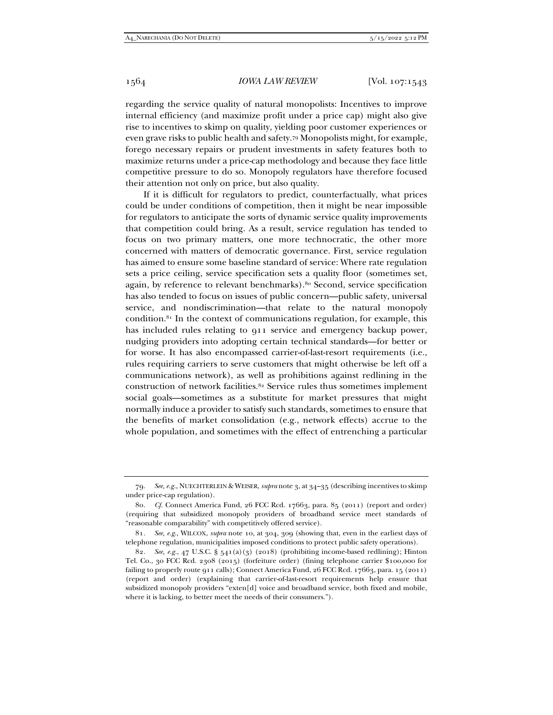regarding the service quality of natural monopolists: Incentives to improve internal efficiency (and maximize profit under a price cap) might also give rise to incentives to skimp on quality, yielding poor customer experiences or even grave risks to public health and safety.79 Monopolists might, for example, forego necessary repairs or prudent investments in safety features both to maximize returns under a price-cap methodology and because they face little competitive pressure to do so. Monopoly regulators have therefore focused their attention not only on price, but also quality.

If it is difficult for regulators to predict, counterfactually, what prices could be under conditions of competition, then it might be near impossible for regulators to anticipate the sorts of dynamic service quality improvements that competition could bring. As a result, service regulation has tended to focus on two primary matters, one more technocratic, the other more concerned with matters of democratic governance. First, service regulation has aimed to ensure some baseline standard of service: Where rate regulation sets a price ceiling, service specification sets a quality floor (sometimes set, again, by reference to relevant benchmarks).80 Second, service specification has also tended to focus on issues of public concern—public safety, universal service, and nondiscrimination—that relate to the natural monopoly condition.81 In the context of communications regulation, for example, this has included rules relating to 911 service and emergency backup power, nudging providers into adopting certain technical standards—for better or for worse. It has also encompassed carrier-of-last-resort requirements (i.e., rules requiring carriers to serve customers that might otherwise be left off a communications network), as well as prohibitions against redlining in the construction of network facilities.82 Service rules thus sometimes implement social goals—sometimes as a substitute for market pressures that might normally induce a provider to satisfy such standards, sometimes to ensure that the benefits of market consolidation (e.g., network effects) accrue to the whole population, and sometimes with the effect of entrenching a particular

<sup>79</sup>*. See, e.g.*, NUECHTERLEIN & WEISER, *supra* note 3, at 34–35 (describing incentives to skimp under price-cap regulation).

<sup>80</sup>*. Cf.* Connect America Fund, 26 FCC Rcd. 17663, para. 85 (2011) (report and order) (requiring that subsidized monopoly providers of broadband service meet standards of "reasonable comparability" with competitively offered service).

<sup>81</sup>*. See, e.g.*, WILCOX, *supra* note 10, at 304, 309 (showing that, even in the earliest days of telephone regulation, municipalities imposed conditions to protect public safety operations).

<sup>82</sup>*. See, e.g.*, 47 U.S.C. § 541(a)(3) (2018) (prohibiting income-based redlining); Hinton Tel. Co., 30 FCC Rcd. 2308 (2015) (forfeiture order) (fining telephone carrier \$100,000 for failing to properly route 911 calls); Connect America Fund, 26 FCC Rcd. 17663, para. 15 (2011) (report and order) (explaining that carrier-of-last-resort requirements help ensure that subsidized monopoly providers "exten[d] voice and broadband service, both fixed and mobile, where it is lacking, to better meet the needs of their consumers.").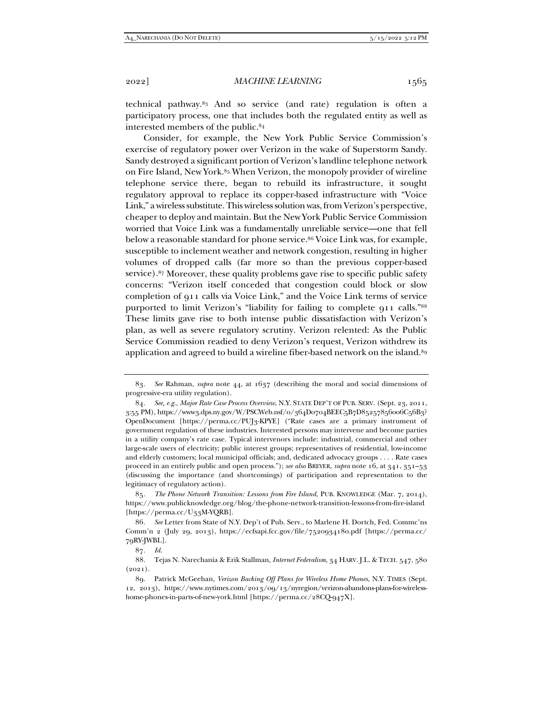technical pathway.83 And so service (and rate) regulation is often a participatory process, one that includes both the regulated entity as well as interested members of the public.84

Consider, for example, the New York Public Service Commission's exercise of regulatory power over Verizon in the wake of Superstorm Sandy. Sandy destroyed a significant portion of Verizon's landline telephone network on Fire Island, New York.85 When Verizon, the monopoly provider of wireline telephone service there, began to rebuild its infrastructure, it sought regulatory approval to replace its copper-based infrastructure with "Voice Link," a wireless substitute. This wireless solution was, from Verizon's perspective, cheaper to deploy and maintain. But the New York Public Service Commission worried that Voice Link was a fundamentally unreliable service—one that fell below a reasonable standard for phone service.<sup>86</sup> Voice Link was, for example, susceptible to inclement weather and network congestion, resulting in higher volumes of dropped calls (far more so than the previous copper-based service).<sup>87</sup> Moreover, these quality problems gave rise to specific public safety concerns: "Verizon itself conceded that congestion could block or slow completion of 911 calls via Voice Link," and the Voice Link terms of service purported to limit Verizon's "liability for failing to complete 911 calls."88 These limits gave rise to both intense public dissatisfaction with Verizon's plan, as well as severe regulatory scrutiny. Verizon relented: As the Public Service Commission readied to deny Verizon's request, Verizon withdrew its application and agreed to build a wireline fiber-based network on the island.<sup>89</sup>

<sup>83</sup>*. See* Rahman, *supra* note 44, at 1637 (describing the moral and social dimensions of progressive-era utility regulation).

<sup>84</sup>*. See, e.g.*, *Major Rate Case Process Overview*, N.Y. STATE DEP'T OF PUB. SERV. (Sept. 23, 2011, 3:55 PM), https://www3.dps.ny.gov/W/PSCWeb.nsf/0/364D0704BEEC5B7D85257856006C56B3? OpenDocument [https://perma.cc/PUJ3-KPYE] ("Rate cases are a primary instrument of government regulation of these industries. Interested persons may intervene and become parties in a utility company's rate case. Typical intervenors include: industrial, commercial and other large-scale users of electricity; public interest groups; representatives of residential, low-income and elderly customers; local municipal officials; and, dedicated advocacy groups . . . . Rate cases proceed in an entirely public and open process."); *see also* BREYER, *supra* note 16, at 341, 351–53 (discussing the importance (and shortcomings) of participation and representation to the legitimacy of regulatory action).

<sup>85</sup>*. The Phone Network Transition: Lessons from Fire Island*, PUB. KNOWLEDGE (Mar. 7, 2014), https://www.publicknowledge.org/blog/the-phone-network-transition-lessons-from-fire-island [https://perma.cc/U33M-YQRB].

<sup>86</sup>*. See* Letter from State of N.Y. Dep't of Pub. Serv., to Marlene H. Dortch, Fed. Commc'ns Comm'n 2 (July 29, 2013), https://ecfsapi.fcc.gov/file/7520934180.pdf [https://perma.cc/ 79RY-JWBL].

<sup>87</sup>*. Id.*

 <sup>88.</sup> Tejas N. Narechania & Erik Stallman, *Internet Federalism*, 34 HARV. J.L. & TECH. 547, 580  $(2021).$ 

 <sup>89.</sup> Patrick McGeehan, *Verizon Backing Off Plans for Wireless Home Phones*, N.Y. TIMES (Sept. 12, 2013), https://www.nytimes.com/2013/09/13/nyregion/verizon-abandons-plans-for-wirelesshome-phones-in-parts-of-new-york.html [https://perma.cc/28CQ-947X].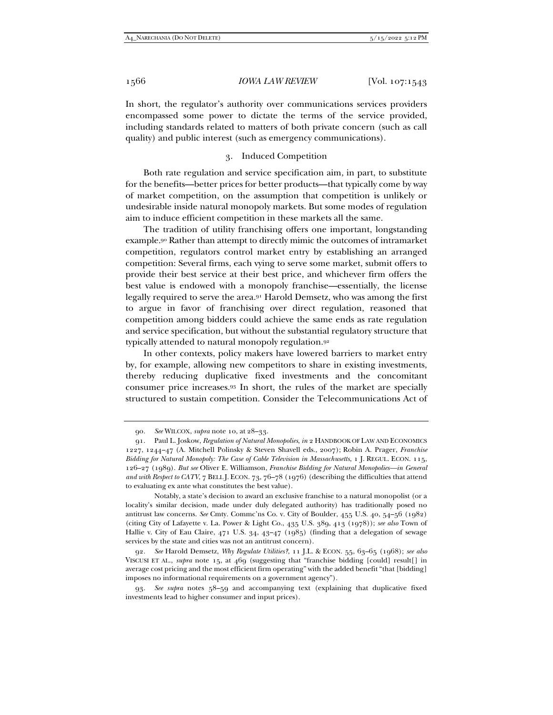In short, the regulator's authority over communications services providers encompassed some power to dictate the terms of the service provided, including standards related to matters of both private concern (such as call quality) and public interest (such as emergency communications).

## 3. Induced Competition

Both rate regulation and service specification aim, in part, to substitute for the benefits—better prices for better products—that typically come by way of market competition, on the assumption that competition is unlikely or undesirable inside natural monopoly markets. But some modes of regulation aim to induce efficient competition in these markets all the same.

The tradition of utility franchising offers one important, longstanding example.90 Rather than attempt to directly mimic the outcomes of intramarket competition, regulators control market entry by establishing an arranged competition: Several firms, each vying to serve some market, submit offers to provide their best service at their best price, and whichever firm offers the best value is endowed with a monopoly franchise—essentially, the license legally required to serve the area.91 Harold Demsetz, who was among the first to argue in favor of franchising over direct regulation, reasoned that competition among bidders could achieve the same ends as rate regulation and service specification, but without the substantial regulatory structure that typically attended to natural monopoly regulation.92

In other contexts, policy makers have lowered barriers to market entry by, for example, allowing new competitors to share in existing investments, thereby reducing duplicative fixed investments and the concomitant consumer price increases.93 In short, the rules of the market are specially structured to sustain competition. Consider the Telecommunications Act of

 Notably, a state's decision to award an exclusive franchise to a natural monopolist (or a locality's similar decision, made under duly delegated authority) has traditionally posed no antitrust law concerns. *See* Cmty. Commc'ns Co. v. City of Boulder, 455 U.S. 40, 54–56 (1982) (citing City of Lafayette v. La. Power & Light Co., 435 U.S. 389, 413 (1978)); *see also* Town of Hallie v. City of Eau Claire, 471 U.S. 34, 43–47 (1985) (finding that a delegation of sewage services by the state and cities was not an antitrust concern).

<sup>90</sup>*. See* WILCOX, *supra* note 10, at 28–33.

 <sup>91.</sup> Paul L. Joskow, *Regulation of Natural Monopolies*, *in* 2 HANDBOOK OF LAW AND ECONOMICS 1227, 1244–47 (A. Mitchell Polinsky & Steven Shavell eds., 2007); Robin A. Prager, *Franchise Bidding for Natural Monopoly: The Case of Cable Television in Massachusetts*, 1 J. REGUL. ECON. 115, 126–27 (1989). *But see* Oliver E. Williamson, *Franchise Bidding for Natural Monopolies—in General and with Respect to CATV*, 7 BELL J. ECON. 73, 76–78 (1976) (describing the difficulties that attend to evaluating ex ante what constitutes the best value).

<sup>92</sup>*. See* Harold Demsetz, *Why Regulate Utilities?*, 11 J.L. & ECON. 55, 63–65 (1968); *see also* VISCUSI ET AL., *supra* note 15, at 469 (suggesting that "franchise bidding [could] result[] in average cost pricing and the most efficient firm operating" with the added benefit "that [bidding] imposes no informational requirements on a government agency").

<sup>93</sup>*. See supra* notes 58–59 and accompanying text (explaining that duplicative fixed investments lead to higher consumer and input prices).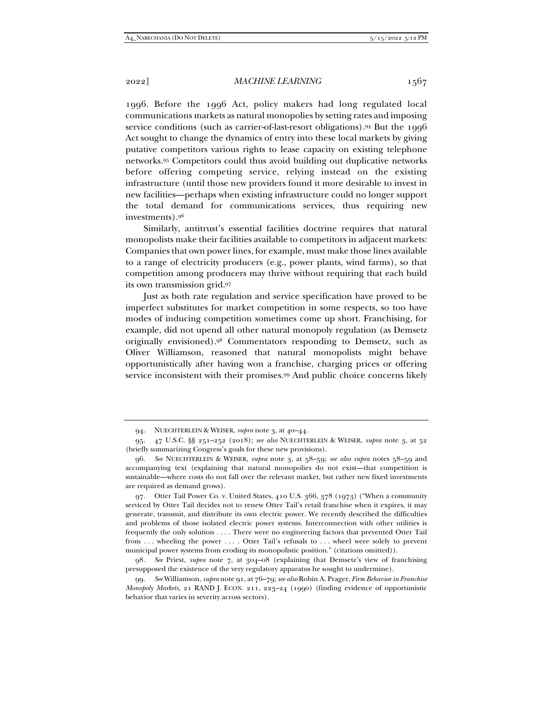2022] *MACHINE LEARNING* 1567

1996. Before the 1996 Act, policy makers had long regulated local communications markets as natural monopolies by setting rates and imposing service conditions (such as carrier-of-last-resort obligations).<sup>94</sup> But the 1996 Act sought to change the dynamics of entry into these local markets by giving putative competitors various rights to lease capacity on existing telephone networks.95 Competitors could thus avoid building out duplicative networks before offering competing service, relying instead on the existing infrastructure (until those new providers found it more desirable to invest in new facilities—perhaps when existing infrastructure could no longer support the total demand for communications services, thus requiring new investments).96

Similarly, antitrust's essential facilities doctrine requires that natural monopolists make their facilities available to competitors in adjacent markets: Companies that own power lines, for example, must make those lines available to a range of electricity producers (e.g., power plants, wind farms), so that competition among producers may thrive without requiring that each build its own transmission grid.97

Just as both rate regulation and service specification have proved to be imperfect substitutes for market competition in some respects, so too have modes of inducing competition sometimes come up short. Franchising, for example, did not upend all other natural monopoly regulation (as Demsetz originally envisioned).98 Commentators responding to Demsetz, such as Oliver Williamson, reasoned that natural monopolists might behave opportunistically after having won a franchise, charging prices or offering service inconsistent with their promises.99 And public choice concerns likely

 <sup>94.</sup> NUECHTERLEIN & WEISER, *supra* note 3, at 40–44.

 <sup>95. 47</sup> U.S.C. §§ 251–252 (2018); *see also* NUECHTERLEIN & WEISER, *supra* note 3, at 52 (briefly summarizing Congress's goals for these new provisions).

<sup>96</sup>*. See* NUECHTERLEIN & WEISER, *supra* note 3, at 58–59; *see also supra* notes 58–59 and accompanying text (explaining that natural monopolies do not exist—that competition is sustainable—where costs do not fall over the relevant market, but rather new fixed investments are required as demand grows).

 <sup>97.</sup> Otter Tail Power Co. v. United States, 410 U.S. 366, 378 (1973) ("When a community serviced by Otter Tail decides not to renew Otter Tail's retail franchise when it expires, it may generate, transmit, and distribute its own electric power. We recently described the difficulties and problems of those isolated electric power systems. Interconnection with other utilities is frequently the only solution . . . . There were no engineering factors that prevented Otter Tail from ... wheeling the power ... . Otter Tail's refusals to ... wheel were solely to prevent municipal power systems from eroding its monopolistic position." (citations omitted)).

<sup>98</sup>*. See* Priest, *supra* note 7, at 304–08 (explaining that Demsetz's view of franchising presupposed the existence of the very regulatory apparatus he sought to undermine).

<sup>99</sup>*. See* Williamson, *supra* note 91, at 76–79; *see also* Robin A. Prager, *Firm Behavior in Franchise Monopoly Markets*, 21 RAND J. ECON. 211, 223–24 (1990) (finding evidence of opportunistic behavior that varies in severity across sectors).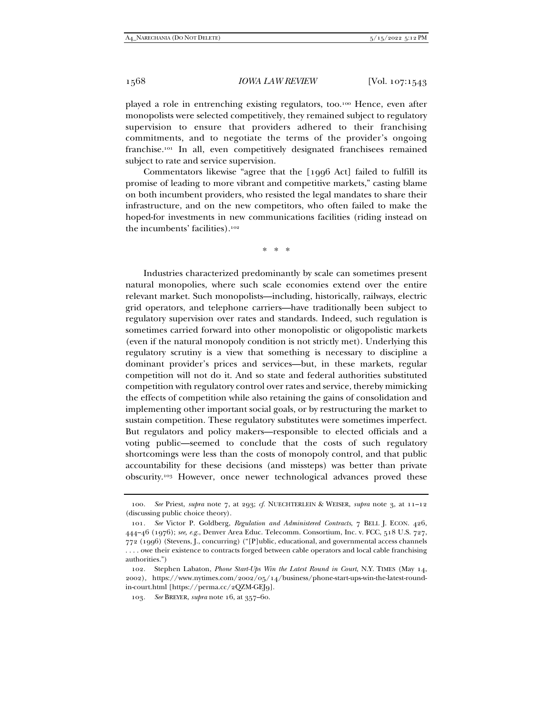played a role in entrenching existing regulators, too.100 Hence, even after monopolists were selected competitively, they remained subject to regulatory supervision to ensure that providers adhered to their franchising commitments, and to negotiate the terms of the provider's ongoing franchise.101 In all, even competitively designated franchisees remained subject to rate and service supervision.

Commentators likewise "agree that the [1996 Act] failed to fulfill its promise of leading to more vibrant and competitive markets," casting blame on both incumbent providers, who resisted the legal mandates to share their infrastructure, and on the new competitors, who often failed to make the hoped-for investments in new communications facilities (riding instead on the incumbents' facilities).102

\* \* \*

Industries characterized predominantly by scale can sometimes present natural monopolies, where such scale economies extend over the entire relevant market. Such monopolists—including, historically, railways, electric grid operators, and telephone carriers—have traditionally been subject to regulatory supervision over rates and standards. Indeed, such regulation is sometimes carried forward into other monopolistic or oligopolistic markets (even if the natural monopoly condition is not strictly met). Underlying this regulatory scrutiny is a view that something is necessary to discipline a dominant provider's prices and services—but, in these markets, regular competition will not do it. And so state and federal authorities substituted competition with regulatory control over rates and service, thereby mimicking the effects of competition while also retaining the gains of consolidation and implementing other important social goals, or by restructuring the market to sustain competition. These regulatory substitutes were sometimes imperfect. But regulators and policy makers—responsible to elected officials and a voting public—seemed to conclude that the costs of such regulatory shortcomings were less than the costs of monopoly control, and that public accountability for these decisions (and missteps) was better than private obscurity.103 However, once newer technological advances proved these

<sup>100</sup>*. See* Priest, *supra* note 7, at 293; *cf.* NUECHTERLEIN & WEISER, *supra* note 3, at 11–12 (discussing public choice theory).

<sup>101</sup>*. See* Victor P. Goldberg, *Regulation and Administered Contracts*, 7 BELL J. ECON. 426, 444–46 (1976); *see, e.g.*, Denver Area Educ. Telecomm. Consortium, Inc. v. FCC, 518 U.S. 727, 772 (1996) (Stevens, J., concurring) ("[P]ublic, educational, and governmental access channels . . . . owe their existence to contracts forged between cable operators and local cable franchising authorities.")

 <sup>102.</sup> Stephen Labaton, *Phone Start-Ups Win the Latest Round in Court*, N.Y. TIMES (May 14, 2002), https://www.nytimes.com/2002/05/14/business/phone-start-ups-win-the-latest-roundin-court.html [https://perma.cc/2QZM-GEJ9].

<sup>103</sup>*. See* BREYER, *supra* note 16, at 357–60.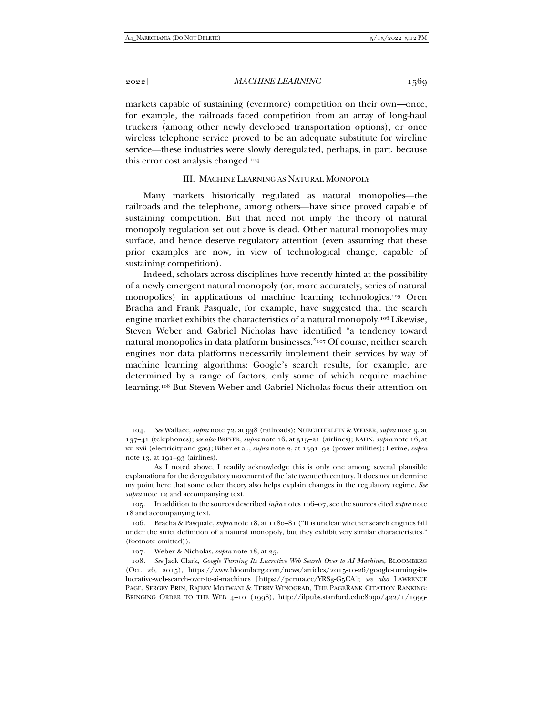2022] *MACHINE LEARNING* 1569

markets capable of sustaining (evermore) competition on their own—once, for example, the railroads faced competition from an array of long-haul truckers (among other newly developed transportation options), or once wireless telephone service proved to be an adequate substitute for wireline service—these industries were slowly deregulated, perhaps, in part, because this error cost analysis changed.104

#### III. MACHINE LEARNING AS NATURAL MONOPOLY

Many markets historically regulated as natural monopolies—the railroads and the telephone, among others—have since proved capable of sustaining competition. But that need not imply the theory of natural monopoly regulation set out above is dead. Other natural monopolies may surface, and hence deserve regulatory attention (even assuming that these prior examples are now, in view of technological change, capable of sustaining competition).

Indeed, scholars across disciplines have recently hinted at the possibility of a newly emergent natural monopoly (or, more accurately, series of natural monopolies) in applications of machine learning technologies.105 Oren Bracha and Frank Pasquale, for example, have suggested that the search engine market exhibits the characteristics of a natural monopoly.106 Likewise, Steven Weber and Gabriel Nicholas have identified "a tendency toward natural monopolies in data platform businesses."107 Of course, neither search engines nor data platforms necessarily implement their services by way of machine learning algorithms: Google's search results, for example, are determined by a range of factors, only some of which require machine learning.108 But Steven Weber and Gabriel Nicholas focus their attention on

<sup>104</sup>*. See* Wallace, *supra* note 72, at 938 (railroads); NUECHTERLEIN & WEISER, *supra* note 3, at 137–41 (telephones); *see also* BREYER, *supra* note 16, at 315–21 (airlines); KAHN, *supra* note 16, at xv–xvii (electricity and gas); Biber et al., *supra* note 2, at 1591–92 (power utilities); Levine, *supra* note 13, at 191–93 (airlines).

As I noted above, I readily acknowledge this is only one among several plausible explanations for the deregulatory movement of the late twentieth century. It does not undermine my point here that some other theory also helps explain changes in the regulatory regime. *See supra* note 12 and accompanying text.

 <sup>105.</sup> In addition to the sources described *infra* notes 106–07, see the sources cited *supra* note 18 and accompanying text.

 <sup>106.</sup> Bracha & Pasquale, *supra* note 18, at 1180–81 ("It is unclear whether search engines fall under the strict definition of a natural monopoly, but they exhibit very similar characteristics." (footnote omitted)).

 <sup>107.</sup> Weber & Nicholas, *supra* note 18, at 25.

<sup>108</sup>*. See* Jack Clark, *Google Turning Its Lucrative Web Search Over to AI Machines*, BLOOMBERG (Oct. 26, 2015), https://www.bloomberg.com/news/articles/2015-10-26/google-turning-itslucrative-web-search-over-to-ai-machines [https://perma.cc/YRS3-G5CA]; *see also* LAWRENCE PAGE, SERGEY BRIN, RAJEEV MOTWANI & TERRY WINOGRAD, THE PAGERANK CITATION RANKING: BRINGING ORDER TO THE WEB 4–10 (1998), http://ilpubs.stanford.edu:8090/422/1/1999-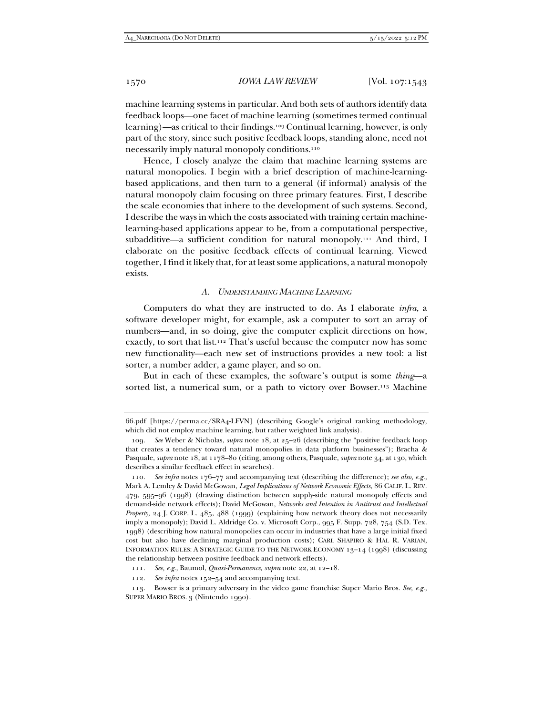machine learning systems in particular. And both sets of authors identify data feedback loops—one facet of machine learning (sometimes termed continual learning)—as critical to their findings.109 Continual learning, however, is only part of the story, since such positive feedback loops, standing alone, need not necessarily imply natural monopoly conditions.110

Hence, I closely analyze the claim that machine learning systems are natural monopolies. I begin with a brief description of machine-learningbased applications, and then turn to a general (if informal) analysis of the natural monopoly claim focusing on three primary features. First, I describe the scale economies that inhere to the development of such systems. Second, I describe the ways in which the costs associated with training certain machinelearning-based applications appear to be, from a computational perspective, subadditive—a sufficient condition for natural monopoly.111 And third, I elaborate on the positive feedback effects of continual learning. Viewed together, I find it likely that, for at least some applications, a natural monopoly exists.

#### *A. UNDERSTANDING MACHINE LEARNING*

Computers do what they are instructed to do. As I elaborate *infra*, a software developer might, for example, ask a computer to sort an array of numbers—and, in so doing, give the computer explicit directions on how, exactly, to sort that list.112 That's useful because the computer now has some new functionality—each new set of instructions provides a new tool: a list sorter, a number adder, a game player, and so on.

But in each of these examples, the software's output is some *thing*—a sorted list, a numerical sum, or a path to victory over Bowser.<sup>113</sup> Machine

<sup>66.</sup>pdf [https://perma.cc/SRA4-LFVN] (describing Google's original ranking methodology, which did not employ machine learning, but rather weighted link analysis).

<sup>109</sup>*. See* Weber & Nicholas, *supra* note 18, at 25–26 (describing the "positive feedback loop that creates a tendency toward natural monopolies in data platform businesses"); Bracha & Pasquale, *supra* note 18, at 1178–80 (citing, among others, Pasquale, *supra* note 34, at 130, which describes a similar feedback effect in searches).

<sup>110</sup>*. See infra* notes 176–77 and accompanying text (describing the difference); *see also, e.g.*, Mark A. Lemley & David McGowan, *Legal Implications of Network Economic Effects*, 86 CALIF. L. REV. 479, 595–96 (1998) (drawing distinction between supply-side natural monopoly effects and demand-side network effects); David McGowan, *Networks and Intention in Antitrust and Intellectual Property*, 24 J. CORP. L. 485, 488 (1999) (explaining how network theory does not necessarily imply a monopoly); David L. Aldridge Co. v. Microsoft Corp., 995 F. Supp. 728, 754 (S.D. Tex. 1998) (describing how natural monopolies can occur in industries that have a large initial fixed cost but also have declining marginal production costs); CARL SHAPIRO & HAL R. VARIAN, INFORMATION RULES: A STRATEGIC GUIDE TO THE NETWORK ECONOMY 13–14 (1998) (discussing the relationship between positive feedback and network effects).

<sup>111</sup>*. See, e.g*., Baumol, *Quasi-Permanence*, *supra* note 22, at 12–18.

<sup>112</sup>*. See infra* notes 152–54 and accompanying text.

 <sup>113.</sup> Bowser is a primary adversary in the video game franchise Super Mario Bros. *See, e.g.*, SUPER MARIO BROS. 3 (Nintendo 1990).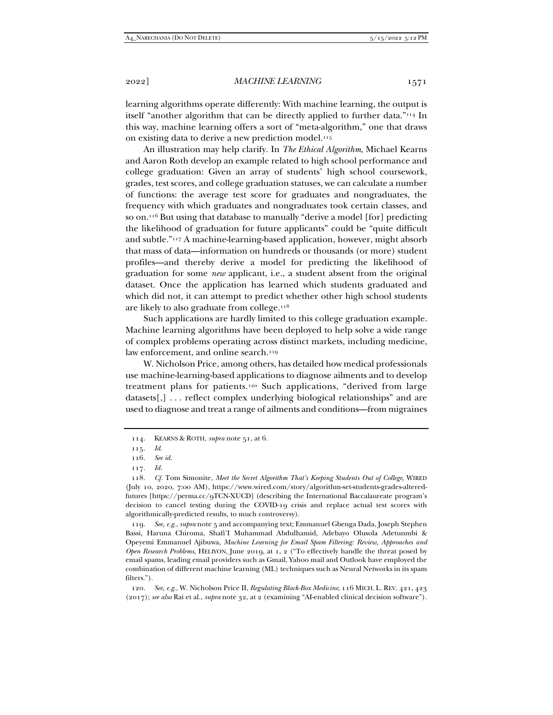learning algorithms operate differently: With machine learning, the output is itself "another algorithm that can be directly applied to further data."114 In this way, machine learning offers a sort of "meta-algorithm," one that draws on existing data to derive a new prediction model.115

An illustration may help clarify. In *The Ethical Algorithm*, Michael Kearns and Aaron Roth develop an example related to high school performance and college graduation: Given an array of students' high school coursework, grades, test scores, and college graduation statuses, we can calculate a number of functions: the average test score for graduates and nongraduates, the frequency with which graduates and nongraduates took certain classes, and so on.116 But using that database to manually "derive a model [for] predicting the likelihood of graduation for future applicants" could be "quite difficult and subtle."117 A machine-learning-based application, however, might absorb that mass of data—information on hundreds or thousands (or more) student profiles—and thereby derive a model for predicting the likelihood of graduation for some *new* applicant, i.e., a student absent from the original dataset. Once the application has learned which students graduated and which did not, it can attempt to predict whether other high school students are likely to also graduate from college.118

Such applications are hardly limited to this college graduation example. Machine learning algorithms have been deployed to help solve a wide range of complex problems operating across distinct markets, including medicine, law enforcement, and online search.<sup>119</sup>

W. Nicholson Price, among others, has detailed how medical professionals use machine-learning-based applications to diagnose ailments and to develop treatment plans for patients.120 Such applications, "derived from large datasets[,] . . . reflect complex underlying biological relationships" and are used to diagnose and treat a range of ailments and conditions—from migraines

119*. See, e.g.*, *supra* note 5 and accompanying text; Emmanuel Gbenga Dada, Joseph Stephen Bassi, Haruna Chiroma, Shafi'I Muhammad Abdulhamid, Adebayo Olusola Adetunmbi & Opeyemi Emmanuel Ajibuwa, *Machine Learning for Email Spam Filtering: Review, Approaches and Open Research Problems*, HELIYON, June 2019, at 1, 2 ("To effectively handle the threat posed by email spams, leading email providers such as Gmail, Yahoo mail and Outlook have employed the combination of different machine learning (ML) techniques such as Neural Networks in its spam filters.").

120*. See, e.g.*, W. Nicholson Price II, *Regulating Black-Box Medicine*, 116 MICH. L. REV. 421, 423 (2017); *see also* Rai et al., *supra* note 32, at 2 (examining "AI-enabled clinical decision software").

 <sup>114.</sup> KEARNS & ROTH, *supra* note 51, at 6.

<sup>115</sup>*. Id.*

<sup>116</sup>*. See id.*

<sup>117</sup>*. Id.*

<sup>118</sup>*. Cf.* Tom Simonite, *Meet the Secret Algorithm That's Keeping Students Out of College*, WIRED (July 10, 2020, 7:00 AM), https://www.wired.com/story/algorithm-set-students-grades-alteredfutures [https://perma.cc/9TCN-XUCD] (describing the International Baccalaureate program's decision to cancel testing during the COVID-19 crisis and replace actual test scores with algorithmically-predicted results, to much controversy).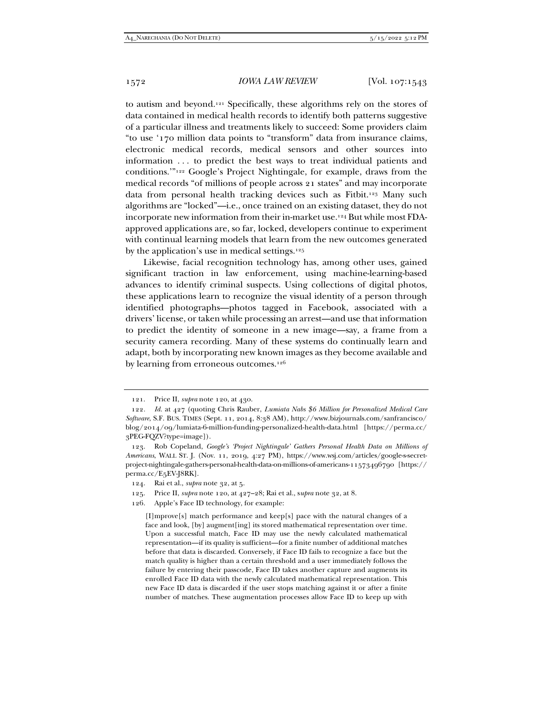to autism and beyond.121 Specifically, these algorithms rely on the stores of data contained in medical health records to identify both patterns suggestive of a particular illness and treatments likely to succeed: Some providers claim "to use '170 million data points to "transform" data from insurance claims, electronic medical records, medical sensors and other sources into information . . . to predict the best ways to treat individual patients and conditions.'"122 Google's Project Nightingale, for example, draws from the medical records "of millions of people across 21 states" and may incorporate data from personal health tracking devices such as Fitbit.<sup>123</sup> Many such algorithms are "locked"—i.e., once trained on an existing dataset, they do not incorporate new information from their in-market use.124 But while most FDAapproved applications are, so far, locked, developers continue to experiment with continual learning models that learn from the new outcomes generated by the application's use in medical settings.125

Likewise, facial recognition technology has, among other uses, gained significant traction in law enforcement, using machine-learning-based advances to identify criminal suspects. Using collections of digital photos, these applications learn to recognize the visual identity of a person through identified photographs—photos tagged in Facebook, associated with a drivers' license, or taken while processing an arrest—and use that information to predict the identity of someone in a new image—say, a frame from a security camera recording. Many of these systems do continually learn and adapt, both by incorporating new known images as they become available and by learning from erroneous outcomes.126

 <sup>121.</sup> Price II, *supra* note 120, at 430.

<sup>122</sup>*. Id.* at 427 (quoting Chris Rauber, *Lumiata Nabs \$6 Million for Personalized Medical Care Software*, S.F. BUS. TIMES (Sept. 11, 2014, 8:38 AM), http://www.bizjournals.com/sanfrancisco/ blog/2014/09/lumiata-6-million-funding-personalized-health-data.html [https://perma.cc/ 3PEG-FQZV?type=image]).

 <sup>123.</sup> Rob Copeland, *Google's 'Project Nightingale' Gathers Personal Health Data on Millions of Americans*, WALL ST. J. (Nov. 11, 2019, 4:27 PM), https://www.wsj.com/articles/google-s-secretproject-nightingale-gathers-personal-health-data-on-millions-of-americans-11573496790 [https:// perma.cc/E5EV-J8RK].

 <sup>124.</sup> Rai et al., *supra* note 32, at 5.

 <sup>125.</sup> Price II, *supra* note 120, at 427–28; Rai et al., s*upra* note 32, at 8.

 <sup>126.</sup> Apple's Face ID technology, for example:

<sup>[</sup>I]mprove[s] match performance and keep[s] pace with the natural changes of a face and look, [by] augment[ing] its stored mathematical representation over time. Upon a successful match, Face ID may use the newly calculated mathematical representation—if its quality is sufficient—for a finite number of additional matches before that data is discarded. Conversely, if Face ID fails to recognize a face but the match quality is higher than a certain threshold and a user immediately follows the failure by entering their passcode, Face ID takes another capture and augments its enrolled Face ID data with the newly calculated mathematical representation. This new Face ID data is discarded if the user stops matching against it or after a finite number of matches. These augmentation processes allow Face ID to keep up with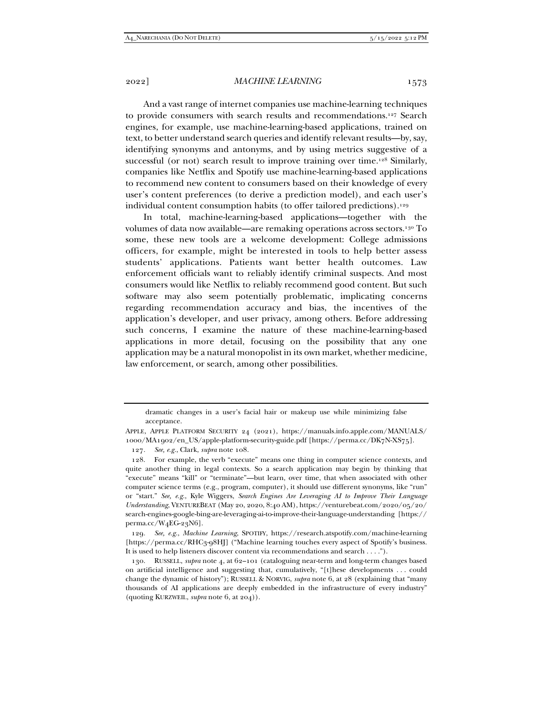And a vast range of internet companies use machine-learning techniques to provide consumers with search results and recommendations.127 Search engines, for example, use machine-learning-based applications, trained on text, to better understand search queries and identify relevant results—by, say, identifying synonyms and antonyms, and by using metrics suggestive of a successful (or not) search result to improve training over time.<sup>128</sup> Similarly, companies like Netflix and Spotify use machine-learning-based applications to recommend new content to consumers based on their knowledge of every user's content preferences (to derive a prediction model), and each user's individual content consumption habits (to offer tailored predictions).<sup>129</sup>

In total, machine-learning-based applications—together with the volumes of data now available—are remaking operations across sectors.130 To some, these new tools are a welcome development: College admissions officers, for example, might be interested in tools to help better assess students' applications. Patients want better health outcomes. Law enforcement officials want to reliably identify criminal suspects. And most consumers would like Netflix to reliably recommend good content. But such software may also seem potentially problematic, implicating concerns regarding recommendation accuracy and bias, the incentives of the application's developer, and user privacy, among others. Before addressing such concerns, I examine the nature of these machine-learning-based applications in more detail, focusing on the possibility that any one application may be a natural monopolist in its own market, whether medicine, law enforcement, or search, among other possibilities.

129*. See, e.g.*, *Machine Learning*, SPOTIFY, https://research.atspotify.com/machine-learning [https://perma.cc/RHC3-98HJ] ("Machine learning touches every aspect of Spotify's business. It is used to help listeners discover content via recommendations and search . . . .").

dramatic changes in a user's facial hair or makeup use while minimizing false acceptance.

APPLE, APPLE PLATFORM SECURITY 24 (2021), https://manuals.info.apple.com/MANUALS/ 1000/MA1902/en\_US/apple-platform-security-guide.pdf [https://perma.cc/DK7N-XS75].

<sup>127</sup>*. See, e.g.*, Clark, *supra* note 108.

 <sup>128.</sup> For example, the verb "execute" means one thing in computer science contexts, and quite another thing in legal contexts. So a search application may begin by thinking that "execute" means "kill" or "terminate"—but learn, over time, that when associated with other computer science terms (e.g., program, computer), it should use different synonyms, like "run" or "start." *See, e.g.*, Kyle Wiggers, *Search Engines Are Leveraging AI to Improve Their Language Understanding*, VENTUREBEAT (May 20, 2020, 8:40 AM), https://venturebeat.com/2020/05/20/ search-engines-google-bing-are-leveraging-ai-to-improve-their-language-understanding [https:// perma.cc/W4EG-23N6].

 <sup>130.</sup> RUSSELL, *supra* note 4, at 62–101 (cataloguing near-term and long-term changes based on artificial intelligence and suggesting that, cumulatively, "[t]hese developments . . . could change the dynamic of history"); RUSSELL & NORVIG, *supra* note 6, at 28 (explaining that "many thousands of AI applications are deeply embedded in the infrastructure of every industry" (quoting KURZWEIL, *supra* note 6, at 204)).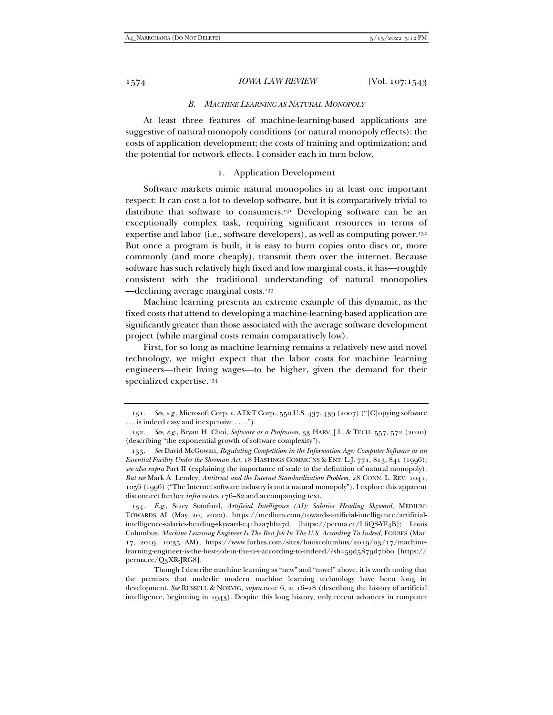#### *B. MACHINE LEARNING AS NATURAL MONOPOLY*

At least three features of machine-learning-based applications are suggestive of natural monopoly conditions (or natural monopoly effects): the costs of application development; the costs of training and optimization; and the potential for network effects. I consider each in turn below.

## 1. Application Development

Software markets mimic natural monopolies in at least one important respect: It can cost a lot to develop software, but it is comparatively trivial to distribute that software to consumers.<sup>131</sup> Developing software can be an exceptionally complex task, requiring significant resources in terms of expertise and labor (i.e., software developers), as well as computing power.132 But once a program is built, it is easy to burn copies onto discs or, more commonly (and more cheaply), transmit them over the internet. Because software has such relatively high fixed and low marginal costs, it has—roughly consistent with the traditional understanding of natural monopolies —declining average marginal costs.133

Machine learning presents an extreme example of this dynamic, as the fixed costs that attend to developing a machine-learning-based application are significantly greater than those associated with the average software development project (while marginal costs remain comparatively low).

First, for so long as machine learning remains a relatively new and novel technology, we might expect that the labor costs for machine learning engineers—their living wages—to be higher, given the demand for their specialized expertise.134

134*. E.g.*, Stacy Stanford, *Artificial Intelligence (AI): Salaries Heading Skyward*, MEDIUM: TOWARDS AI (May 20, 2020), https://medium.com/towards-artificial-intelligence/artificialintelligence-salaries-heading-skyward-e41b2a7bba7d [https://perma.cc/L6Q8-YF4B]; Louis Columbus, *Machine Learning Engineer Is The Best Job In The U.S. According To Indeed*, FORBES (Mar. 17, 2019, 10:35 AM), https://www.forbes.com/sites/louiscolumbus/2019/03/17/machinelearning-engineer-is-the-best-job-in-the-u-s-according-to-indeed/?sh=59d5879d7bb0 [https:// perma.cc/Q3XR-JRG8].

 Though I describe machine learning as "new" and "novel" above, it is worth noting that the premises that underlie modern machine learning technology have been long in development. *See* RUSSELL & NORVIG, *supra* note 6, at 16–28 (describing the history of artificial intelligence, beginning in 1943). Despite this long history, only recent advances in computer

<sup>131</sup>*. See, e.g.*, Microsoft Corp. v. AT&T Corp., 550 U.S. 437, 439 (2007) ("[C]opying software . . . is indeed easy and inexpensive . . . .").

<sup>132</sup>*. See, e.g.*, Bryan H. Choi, *Software as a Profession*, 33 HARV. J.L. & TECH. 557, 572 (2020) (describing "the exponential growth of software complexity").

<sup>133</sup>*. See* David McGowan, *Regulating Competition in the Information Age: Computer Software as an Essential Facility Under the Sherman Act*, 18 HASTINGS COMMC'NS & ENT. L.J. 771, 813, 841 (1996); *see also supra* Part II (explaining the importance of scale to the definition of natural monopoly). *But see* Mark A. Lemley, *Antitrust and the Internet Standardization Problem*, 28 CONN. L. REV. 1041, 1056 (1996) ("The Internet software industry is not a natural monopoly"). I explore this apparent disconnect further *infra* notes 176–82 and accompanying text.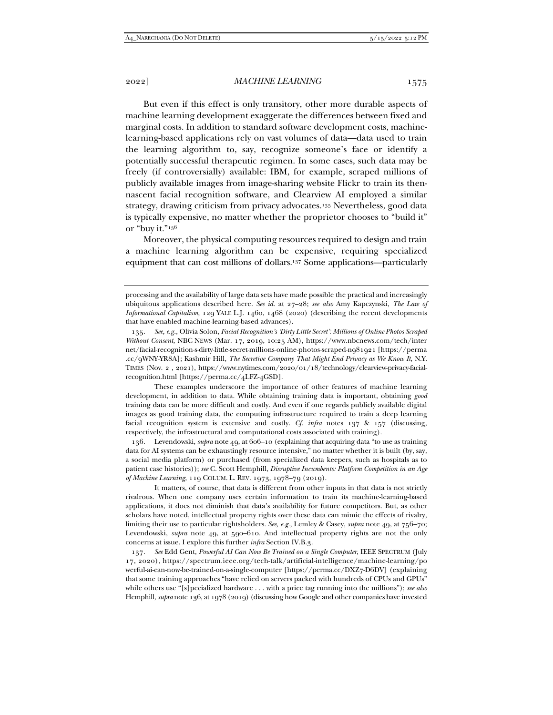2022] *MACHINE LEARNING* 1575

But even if this effect is only transitory, other more durable aspects of machine learning development exaggerate the differences between fixed and marginal costs. In addition to standard software development costs, machinelearning-based applications rely on vast volumes of data—data used to train the learning algorithm to, say, recognize someone's face or identify a potentially successful therapeutic regimen. In some cases, such data may be freely (if controversially) available: IBM, for example, scraped millions of publicly available images from image-sharing website Flickr to train its thennascent facial recognition software, and Clearview AI employed a similar strategy, drawing criticism from privacy advocates.135 Nevertheless, good data is typically expensive, no matter whether the proprietor chooses to "build it" or "buy it."136

Moreover, the physical computing resources required to design and train a machine learning algorithm can be expensive, requiring specialized equipment that can cost millions of dollars.137 Some applications—particularly

 These examples underscore the importance of other features of machine learning development, in addition to data. While obtaining training data is important, obtaining *good* training data can be more difficult and costly. And even if one regards publicly available digital images as good training data, the computing infrastructure required to train a deep learning facial recognition system is extensive and costly. *Cf. infra* notes 137 & 157 (discussing, respectively, the infrastructural and computational costs associated with training).

 136. Levendowski, *supra* note 49, at 606–10 (explaining that acquiring data "to use as training data for AI systems can be exhaustingly resource intensive," no matter whether it is built (by, say, a social media platform) or purchased (from specialized data keepers, such as hospitals as to patient case histories)); *see* C. Scott Hemphill, *Disruptive Incumbents: Platform Competition in an Age of Machine Learning*, 119 COLUM. L. REV. 1973, 1978–79 (2019).

 It matters, of course, that data is different from other inputs in that data is not strictly rivalrous. When one company uses certain information to train its machine-learning-based applications, it does not diminish that data's availability for future competitors. But, as other scholars have noted, intellectual property rights over these data can mimic the effects of rivalry, limiting their use to particular rightsholders. *See, e.g.*, Lemley & Casey, *supra* note 49, at 756–70; Levendowski, *supra* note 49, at 590–610. And intellectual property rights are not the only concerns at issue. I explore this further *infra* Section IV.B.3.

137*. See* Edd Gent, *Powerful AI Can Now Be Trained on a Single Computer*, IEEE SPECTRUM (July 17, 2020), https://spectrum.ieee.org/tech-talk/artificial-intelligence/machine-learning/po werful-ai-can-now-be-trained-on-a-single-computer [https://perma.cc/DXZ7-D6DV] (explaining that some training approaches "have relied on servers packed with hundreds of CPUs and GPUs" while others use "[s]pecialized hardware . . . with a price tag running into the millions"); *see also* Hemphill, *supra* note 136, at 1978 (2019) (discussing how Google and other companies have invested

processing and the availability of large data sets have made possible the practical and increasingly ubiquitous applications described here. *See id.* at 27–28; *see also* Amy Kapczynski, *The Law of Informational Capitalism*, 129 YALE L.J. 1460, 1468 (2020) (describing the recent developments that have enabled machine-learning-based advances).

<sup>135</sup>*. See, e.g.*, Olivia Solon, *Facial Recognition's 'Dirty Little Secret': Millions of Online Photos Scraped Without Consent*, NBC NEWS (Mar. 17, 2019, 10:25 AM), https://www.nbcnews.com/tech/inter net/facial-recognition-s-dirty-little-secret-millions-online-photos-scraped-n981921 [https://perma .cc/9WNY-YR8A]; Kashmir Hill, *The Secretive Company That Might End Privacy as We Know It*, N.Y. TIMES (Nov. 2 , 2021), https://www.nytimes.com/2020/01/18/technology/clearview-privacy-facialrecognition.html [https://perma.cc/4LFZ-4GSD].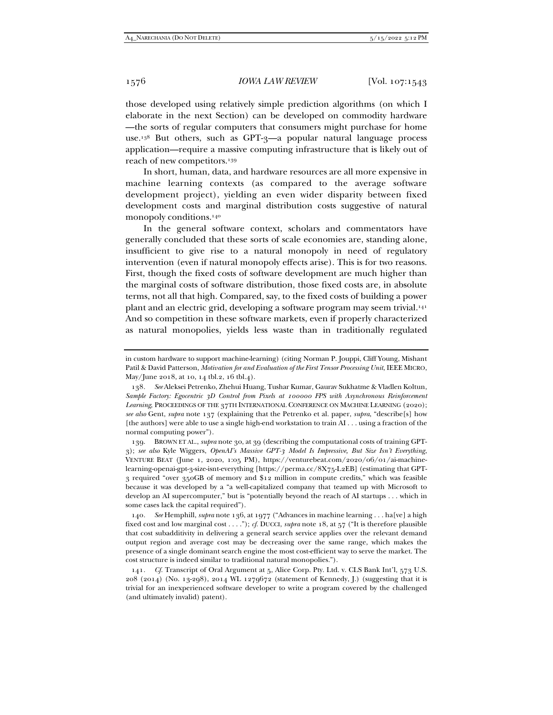those developed using relatively simple prediction algorithms (on which I elaborate in the next Section) can be developed on commodity hardware —the sorts of regular computers that consumers might purchase for home use.<sup>138</sup> But others, such as GPT-3—a popular natural language process application—require a massive computing infrastructure that is likely out of reach of new competitors.139

In short, human, data, and hardware resources are all more expensive in machine learning contexts (as compared to the average software development project), yielding an even wider disparity between fixed development costs and marginal distribution costs suggestive of natural monopoly conditions.<sup>140</sup>

In the general software context, scholars and commentators have generally concluded that these sorts of scale economies are, standing alone, insufficient to give rise to a natural monopoly in need of regulatory intervention (even if natural monopoly effects arise). This is for two reasons. First, though the fixed costs of software development are much higher than the marginal costs of software distribution, those fixed costs are, in absolute terms, not all that high. Compared, say, to the fixed costs of building a power plant and an electric grid, developing a software program may seem trivial.141 And so competition in these software markets, even if properly characterized as natural monopolies, yields less waste than in traditionally regulated

 139. BROWN ET AL., *supra* note 30, at 39 (describing the computational costs of training GPT-3); *see also* Kyle Wiggers, *OpenAI's Massive GPT-3 Model Is Impressive, But Size Isn't Everything*, VENTURE BEAT (June 1, 2020, 1:05 PM), https://venturebeat.com/2020/06/01/ai-machinelearning-openai-gpt-3-size-isnt-everything [https://perma.cc/8X75-L2EB] (estimating that GPT-3 required "over 350GB of memory and \$12 million in compute credits," which was feasible because it was developed by a "a well-capitalized company that teamed up with Microsoft to develop an AI supercomputer," but is "potentially beyond the reach of AI startups . . . which in some cases lack the capital required").

140*. See* Hemphill, *supra* note 136, at 1977 ("Advances in machine learning . . . ha[ve] a high fixed cost and low marginal cost . . . ."); *cf.* DUCCI, *supra* note 18, at 57 ("It is therefore plausible that cost subadditivity in delivering a general search service applies over the relevant demand output region and average cost may be decreasing over the same range, which makes the presence of a single dominant search engine the most cost-efficient way to serve the market. The cost structure is indeed similar to traditional natural monopolies.").

141*. Cf.* Transcript of Oral Argument at 5, Alice Corp. Pty. Ltd. v. CLS Bank Int'l, 573 U.S. 208 (2014) (No. 13-298), 2014 WL 1279672 (statement of Kennedy, J.) (suggesting that it is trivial for an inexperienced software developer to write a program covered by the challenged (and ultimately invalid) patent).

in custom hardware to support machine-learning) (citing Norman P. Jouppi, Cliff Young, Mishant Patil & David Patterson, *Motivation for and Evaluation of the First Tensor Processing Unit*, IEEE MICRO, May/June 2018, at 10, 14 tbl.2, 16 tbl.4).

<sup>138</sup>*. See* Aleksei Petrenko, Zhehui Huang, Tushar Kumar, Gaurav Sukhatme & Vladlen Koltun, *Sample Factory: Egocentric 3D Control from Pixels at 100000 FPS with Asynchronous Reinforcement Learning*, PROCEEDINGS OF THE 37TH INTERNATIONAL CONFERENCE ON MACHINE LEARNING (2020); *see also* Gent, *supra* note 137 (explaining that the Petrenko et al. paper, *supra*, "describe[s] how [the authors] were able to use a single high-end workstation to train AI . . . using a fraction of the normal computing power").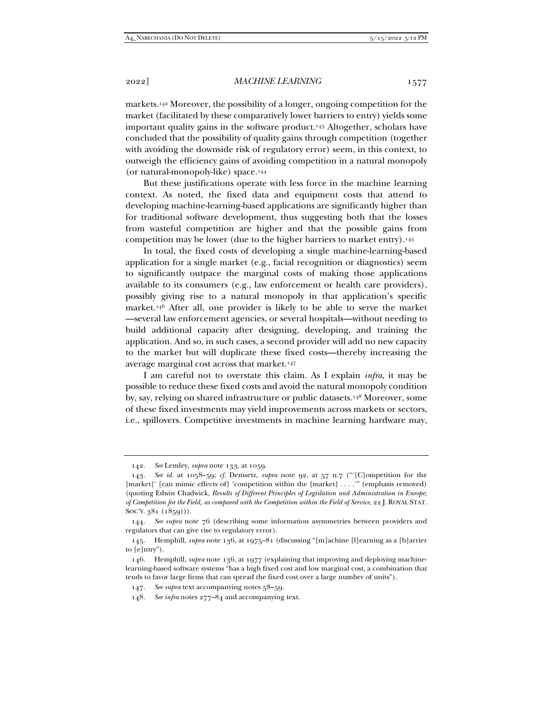markets.142 Moreover, the possibility of a longer, ongoing competition for the market (facilitated by these comparatively lower barriers to entry) yields some important quality gains in the software product.143 Altogether, scholars have concluded that the possibility of quality gains through competition (together with avoiding the downside risk of regulatory error) seem, in this context, to outweigh the efficiency gains of avoiding competition in a natural monopoly (or natural-monopoly-like) space.144

But these justifications operate with less force in the machine learning context. As noted, the fixed data and equipment costs that attend to developing machine-learning-based applications are significantly higher than for traditional software development, thus suggesting both that the losses from wasteful competition are higher and that the possible gains from competition may be lower (due to the higher barriers to market entry).145

In total, the fixed costs of developing a single machine-learning-based application for a single market (e.g., facial recognition or diagnostics) seem to significantly outpace the marginal costs of making those applications available to its consumers (e.g., law enforcement or health care providers), possibly giving rise to a natural monopoly in that application's specific market.146 After all, one provider is likely to be able to serve the market —several law enforcement agencies, or several hospitals—without needing to build additional capacity after designing, developing, and training the application. And so, in such cases, a second provider will add no new capacity to the market but will duplicate these fixed costs—thereby increasing the average marginal cost across that market.147

I am careful not to overstate this claim. As I explain *infra*, it may be possible to reduce these fixed costs and avoid the natural monopoly condition by, say, relying on shared infrastructure or public datasets.148 Moreover, some of these fixed investments may yield improvements across markets or sectors, i.e., spillovers. Competitive investments in machine learning hardware may,

<sup>142</sup>*. See* Lemley, *supra* note 133, at 1059.

<sup>143</sup>*. See id.* at 1058–59; *cf.* Demsetz, *supra* note 92, at 57 n.7 ("'[C]ompetition for the [market]' [can mimic effects of] 'competition within the [market] . . . ." (emphasis removed) (quoting Edwin Chadwick, *Results of Different Principles of Legislation and Administration in Europe; of Competition for the Field, as compared with the Competition within the Field of Service*, 22 J. ROYAL STAT. SOC'Y. 381 (1859))).

<sup>144</sup>*. See supra* note 76 (describing some information asymmetries between providers and regulators that can give rise to regulatory error).

 <sup>145.</sup> Hemphill, *supra* note 136, at 1975–81 (discussing "[m]achine [l]earning as a [b]arrier to [e]ntry").

 <sup>146.</sup> Hemphill, *supra* note 136, at 1977 (explaining that improving and deploying machinelearning-based software systems "has a high fixed cost and low marginal cost, a combination that tends to favor large firms that can spread the fixed cost over a large number of units").

<sup>147</sup>*. See supra* text accompanying notes 58–59.

<sup>148</sup>*. See infra* notes 277–84 and accompanying text.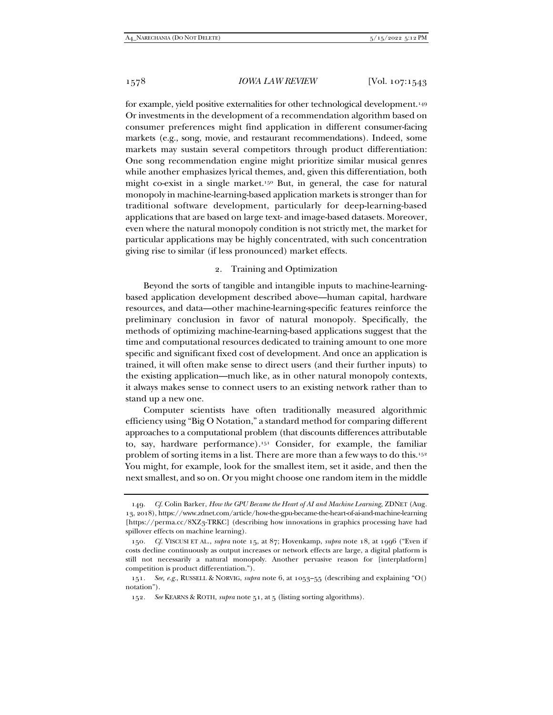for example, yield positive externalities for other technological development.149 Or investments in the development of a recommendation algorithm based on consumer preferences might find application in different consumer-facing markets (e.g., song, movie, and restaurant recommendations). Indeed, some markets may sustain several competitors through product differentiation: One song recommendation engine might prioritize similar musical genres while another emphasizes lyrical themes, and, given this differentiation, both might co-exist in a single market.150 But, in general, the case for natural monopoly in machine-learning-based application markets is stronger than for traditional software development, particularly for deep-learning-based applications that are based on large text- and image-based datasets. Moreover, even where the natural monopoly condition is not strictly met, the market for particular applications may be highly concentrated, with such concentration giving rise to similar (if less pronounced) market effects.

## 2. Training and Optimization

Beyond the sorts of tangible and intangible inputs to machine-learningbased application development described above—human capital, hardware resources, and data—other machine-learning-specific features reinforce the preliminary conclusion in favor of natural monopoly. Specifically, the methods of optimizing machine-learning-based applications suggest that the time and computational resources dedicated to training amount to one more specific and significant fixed cost of development. And once an application is trained, it will often make sense to direct users (and their further inputs) to the existing application—much like, as in other natural monopoly contexts, it always makes sense to connect users to an existing network rather than to stand up a new one.

Computer scientists have often traditionally measured algorithmic efficiency using "Big O Notation," a standard method for comparing different approaches to a computational problem (that discounts differences attributable to, say, hardware performance).151 Consider, for example, the familiar problem of sorting items in a list. There are more than a few ways to do this.<sup>152</sup> You might, for example, look for the smallest item, set it aside, and then the next smallest, and so on. Or you might choose one random item in the middle

<sup>149</sup>*. Cf.* Colin Barker, *How the GPU Became the Heart of AI and Machine Learning,* ZDNET (Aug. 13, 2018), https://www.zdnet.com/article/how-the-gpu-became-the-heart-of-ai-and-machine-learning [https://perma.cc/8XZ3-TRKC] (describing how innovations in graphics processing have had spillover effects on machine learning).

<sup>150</sup>*. Cf.* VISCUSI ET AL., *supra* note 15, at 87; Hovenkamp, *supra* note 18, at 1996 ("Even if costs decline continuously as output increases or network effects are large, a digital platform is still not necessarily a natural monopoly. Another pervasive reason for [interplatform] competition is product differentiation.").

<sup>151</sup>*. See, e.g.*, RUSSELL & NORVIG, *supra* note 6, at 1053–55 (describing and explaining "O() notation").

<sup>152</sup>*. See* KEARNS & ROTH, *supra* note 51, at 5 (listing sorting algorithms).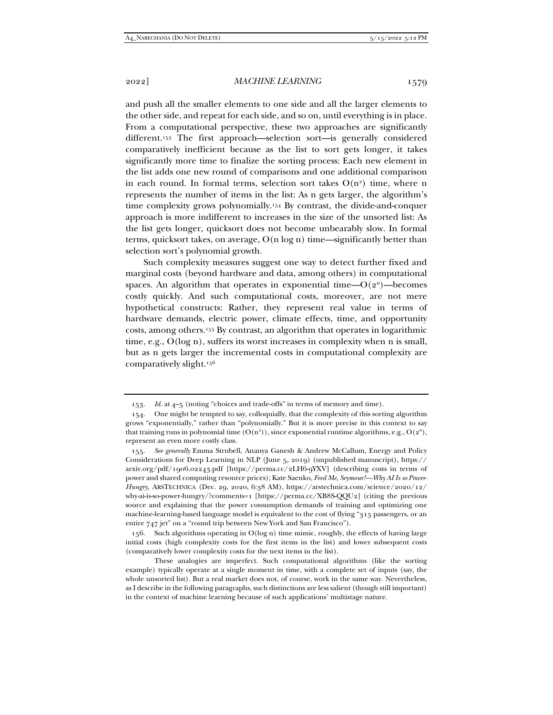and push all the smaller elements to one side and all the larger elements to the other side, and repeat for each side, and so on, until everything is in place. From a computational perspective, these two approaches are significantly different.153 The first approach—selection sort—is generally considered comparatively inefficient because as the list to sort gets longer, it takes significantly more time to finalize the sorting process: Each new element in the list adds one new round of comparisons and one additional comparison in each round. In formal terms, selection sort takes  $O(n^2)$  time, where n represents the number of items in the list: As n gets larger, the algorithm's time complexity grows polynomially.154 By contrast, the divide-and-conquer approach is more indifferent to increases in the size of the unsorted list: As the list gets longer, quicksort does not become unbearably slow. In formal terms, quicksort takes, on average,  $O(n \log n)$  time—significantly better than selection sort's polynomial growth.

Such complexity measures suggest one way to detect further fixed and marginal costs (beyond hardware and data, among others) in computational spaces. An algorithm that operates in exponential time— $O(2^n)$ —becomes costly quickly. And such computational costs, moreover, are not mere hypothetical constructs: Rather, they represent real value in terms of hardware demands, electric power, climate effects, time, and opportunity costs, among others.155 By contrast, an algorithm that operates in logarithmic time, e.g., O(log n), suffers its worst increases in complexity when n is small, but as n gets larger the incremental costs in computational complexity are comparatively slight.156

<sup>153</sup>*. Id.* at 4–5 (noting "choices and trade-offs" in terms of memory and time).

 <sup>154.</sup> One might be tempted to say, colloquially, that the complexity of this sorting algorithm grows "exponentially," rather than "polynomially." But it is more precise in this context to say that training runs in polynomial time  $(O(n^2))$ , since exponential runtime algorithms, e.g.,  $O(2^n)$ , represent an even more costly class.

<sup>155</sup>*. See generally* Emma Strubell, Ananya Ganesh & Andrew McCallum, Energy and Policy Considerations for Deep Learning in NLP (June 5, 2019) (unpublished manuscript), https:// arxiv.org/pdf/1906.02243.pdf [https://perma.cc/2LH6-9YXV] (describing costs in terms of power and shared computing resource prices); Kate Saenko, *Feed Me, Seymour!—Why AI Is so Power-Hungry*, ARSTECHNICA (Dec. 29, 2020, 6:38 AM), https://arstechnica.com/science/2020/12/ why-ai-is-so-power-hungry/?comments=1 [https://perma.cc/XB8S-QQU2] (citing the previous source and explaining that the power consumption demands of training and optimizing one machine-learning-based language model is equivalent to the cost of flying "315 passengers, or an entire 747 jet" on a "round trip between New York and San Francisco").

 <sup>156.</sup> Such algorithms operating in O(log n) time mimic, roughly, the effects of having large initial costs (high complexity costs for the first items in the list) and lower subsequent costs (comparatively lower complexity costs for the next items in the list).

These analogies are imperfect. Such computational algorithms (like the sorting example) typically operate at a single moment in time, with a complete set of inputs (say, the whole unsorted list). But a real market does not, of course, work in the same way. Nevertheless, as I describe in the following paragraphs, such distinctions are less salient (though still important) in the context of machine learning because of such applications' multistage nature.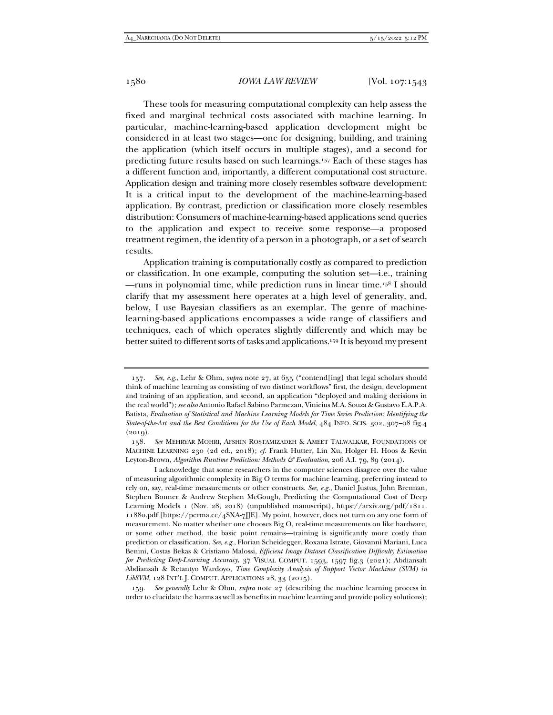These tools for measuring computational complexity can help assess the fixed and marginal technical costs associated with machine learning. In particular, machine-learning-based application development might be considered in at least two stages—one for designing, building, and training the application (which itself occurs in multiple stages), and a second for predicting future results based on such learnings.157 Each of these stages has a different function and, importantly, a different computational cost structure. Application design and training more closely resembles software development: It is a critical input to the development of the machine-learning-based application. By contrast, prediction or classification more closely resembles distribution: Consumers of machine-learning-based applications send queries to the application and expect to receive some response—a proposed treatment regimen, the identity of a person in a photograph, or a set of search results.

Application training is computationally costly as compared to prediction or classification. In one example, computing the solution set—i.e., training —runs in polynomial time, while prediction runs in linear time.158 I should clarify that my assessment here operates at a high level of generality, and, below, I use Bayesian classifiers as an exemplar. The genre of machinelearning-based applications encompasses a wide range of classifiers and techniques, each of which operates slightly differently and which may be better suited to different sorts of tasks and applications.159 It is beyond my present

<sup>157</sup>*. See, e.g.*, Lehr & Ohm, *supra* note 27, at 655 ("contend[ing] that legal scholars should think of machine learning as consisting of two distinct workflows" first, the design, development and training of an application, and second, an application "deployed and making decisions in the real world"); *see also* Antonio Rafael Sabino Parmezan, Vinicius M.A. Souza & Gustavo E.A.P.A. Batista, *Evaluation of Statistical and Machine Learning Models for Time Series Prediction: Identifying the State-of-the-Art and the Best Conditions for the Use of Each Model*, 484 INFO. SCIS. 302, 307–08 fig.4  $(2019).$ 

<sup>158</sup>*. See* MEHRYAR MOHRI, AFSHIN ROSTAMIZADEH & AMEET TALWALKAR, FOUNDATIONS OF MACHINE LEARNING 230 (2d ed., 2018); *cf.* Frank Hutter, Lin Xu, Holger H. Hoos & Kevin Leyton-Brown, *Algorithm Runtime Prediction: Methods & Evaluation*, 206 A.I. 79, 89 (2014).

I acknowledge that some researchers in the computer sciences disagree over the value of measuring algorithmic complexity in Big O terms for machine learning, preferring instead to rely on, say, real-time measurements or other constructs. *See, e.g.*, Daniel Justus, John Brennan, Stephen Bonner & Andrew Stephen McGough, Predicting the Computational Cost of Deep Learning Models 1 (Nov. 28, 2018) (unpublished manuscript), https://arxiv.org/pdf/1811. 11880.pdf [https://perma.cc/4SXA-7JJE]. My point, however, does not turn on any one form of measurement. No matter whether one chooses Big O, real-time measurements on like hardware, or some other method, the basic point remains—training is significantly more costly than prediction or classification. *See, e.g.*, Florian Scheidegger, Roxana Istrate, Giovanni Mariani, Luca Benini, Costas Bekas & Cristiano Malossi, *Efficient Image Dataset Classification Difficulty Estimation for Predicting Deep-Learning Accuracy*, 37 VISUAL COMPUT. 1593, 1597 fig.3 (2021); Abdiansah Abdiansah & Retantyo Wardoyo, *Time Complexity Analysis of Support Vector Machines (SVM) in*  LibSVM, 128 INT'L J. COMPUT. APPLICATIONS 28, 33 (2015).

<sup>159</sup>*. See generally* Lehr & Ohm, *supra* note 27 (describing the machine learning process in order to elucidate the harms as well as benefits in machine learning and provide policy solutions);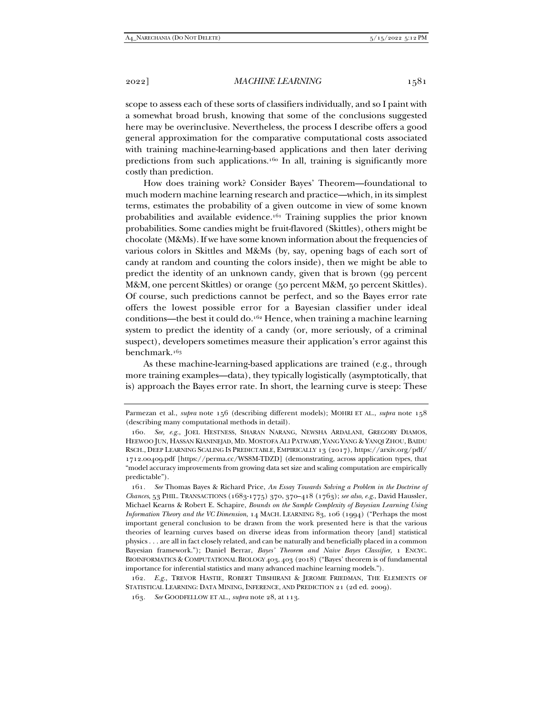scope to assess each of these sorts of classifiers individually, and so I paint with a somewhat broad brush, knowing that some of the conclusions suggested here may be overinclusive. Nevertheless, the process I describe offers a good general approximation for the comparative computational costs associated with training machine-learning-based applications and then later deriving predictions from such applications.<sup>160</sup> In all, training is significantly more costly than prediction.

How does training work? Consider Bayes' Theorem—foundational to much modern machine learning research and practice—which, in its simplest terms, estimates the probability of a given outcome in view of some known probabilities and available evidence.161 Training supplies the prior known probabilities. Some candies might be fruit-flavored (Skittles), others might be chocolate (M&Ms). If we have some known information about the frequencies of various colors in Skittles and M&Ms (by, say, opening bags of each sort of candy at random and counting the colors inside), then we might be able to predict the identity of an unknown candy, given that is brown (99 percent M&M, one percent Skittles) or orange (50 percent M&M, 50 percent Skittles). Of course, such predictions cannot be perfect, and so the Bayes error rate offers the lowest possible error for a Bayesian classifier under ideal conditions—the best it could do.162 Hence, when training a machine learning system to predict the identity of a candy (or, more seriously, of a criminal suspect), developers sometimes measure their application's error against this benchmark.163

As these machine-learning-based applications are trained (e.g., through more training examples—data), they typically logistically (asymptotically, that is) approach the Bayes error rate. In short, the learning curve is steep: These

Parmezan et al., *supra* note 156 (describing different models); MOHRI ET AL., *supra* note 158 (describing many computational methods in detail).

<sup>160</sup>*. See, e.g.*, JOEL HESTNESS, SHARAN NARANG, NEWSHA ARDALANI, GREGORY DIAMOS, HEEWOO JUN, HASSAN KIANINEJAD, MD. MOSTOFA ALI PATWARY, YANG YANG & YANQI ZHOU, BAIDU RSCH., DEEP LEARNING SCALING IS PREDICTABLE, EMPIRICALLY 13 (2017), https://arxiv.org/pdf/ 1712.00409.pdf [https://perma.cc/WS8M-TDZD] (demonstrating, across application types, that "model accuracy improvements from growing data set size and scaling computation are empirically predictable").

<sup>161</sup>*. See* Thomas Bayes & Richard Price, *An Essay Towards Solving a Problem in the Doctrine of Chances*, 53 PHIL. TRANSACTIONS (1683-1775) 370, 370–418 (1763); *see also*, *e.g.*, David Haussler, Michael Kearns & Robert E. Schapire, *Bounds on the Sample Complexity of Bayesian Learning Using Information Theory and the VC Dimension*, 14 MACH. LEARNING 83, 106 (1994) ("Perhaps the most important general conclusion to be drawn from the work presented here is that the various theories of learning curves based on diverse ideas from information theory [and] statistical physics . . . are all in fact closely related, and can be naturally and beneficially placed in a common Bayesian framework."); Daniel Berrar, *Bayes' Theorem and Naive Bayes Classifier*, 1 ENCYC. BIOINFORMATICS & COMPUTATIONAL BIOLOGY 403, 403 (2018) ("Bayes' theorem is of fundamental importance for inferential statistics and many advanced machine learning models.").

<sup>162</sup>*. E.g.*, TREVOR HASTIE, ROBERT TIBSHIRANI & JEROME FRIEDMAN, THE ELEMENTS OF STATISTICAL LEARNING: DATA MINING, INFERENCE, AND PREDICTION 21 (2d ed. 2009).

<sup>163</sup>*. See* GOODFELLOW ET AL., *supra* note 28, at 113.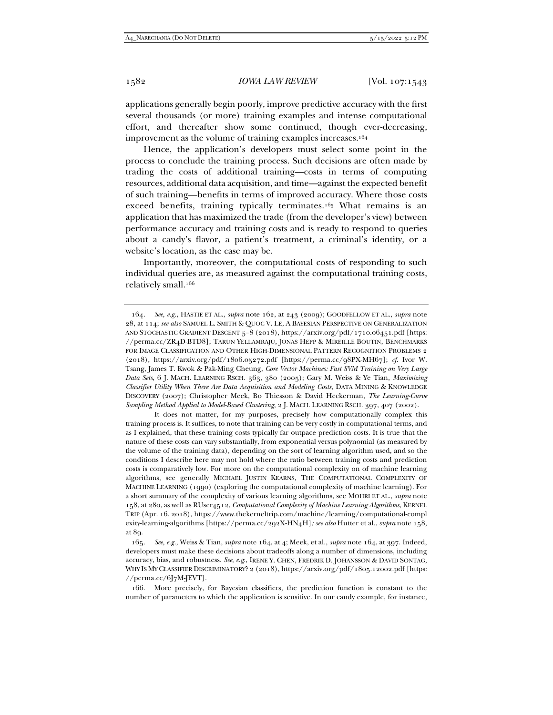applications generally begin poorly, improve predictive accuracy with the first several thousands (or more) training examples and intense computational effort, and thereafter show some continued, though ever-decreasing, improvement as the volume of training examples increases.164

Hence, the application's developers must select some point in the process to conclude the training process. Such decisions are often made by trading the costs of additional training—costs in terms of computing resources, additional data acquisition, and time—against the expected benefit of such training—benefits in terms of improved accuracy. Where those costs exceed benefits, training typically terminates.165 What remains is an application that has maximized the trade (from the developer's view) between performance accuracy and training costs and is ready to respond to queries about a candy's flavor, a patient's treatment, a criminal's identity, or a website's location, as the case may be.

Importantly, moreover, the computational costs of responding to such individual queries are, as measured against the computational training costs, relatively small.166

 It does not matter, for my purposes, precisely how computationally complex this training process is. It suffices, to note that training can be very costly in computational terms, and as I explained, that these training costs typically far outpace prediction costs. It is true that the nature of these costs can vary substantially, from exponential versus polynomial (as measured by the volume of the training data), depending on the sort of learning algorithm used, and so the conditions I describe here may not hold where the ratio between training costs and prediction costs is comparatively low. For more on the computational complexity on of machine learning algorithms, see generally MICHAEL JUSTIN KEARNS, THE COMPUTATIONAL COMPLEXITY OF MACHINE LEARNING (1990) (exploring the computational complexity of machine learning). For a short summary of the complexity of various learning algorithms, see MOHRI ET AL., *supra* note 158, at 280, as well as RUser4512, *Computational Complexity of Machine Learning Algorithms*, KERNEL TRIP (Apr. 16, 2018), https://www.thekerneltrip.com/machine/learning/computational-compl exity-learning-algorithms [https://perma.cc/292X-HN4H]*; see also* Hutter et al., *supra* note 158, at 89.

<sup>164</sup>*. See, e.g.*, HASTIE ET AL., *supra* note 162, at 243 (2009); GOODFELLOW ET AL., *supra* note 28, at 114; *see also* SAMUEL L. SMITH & QUOC V. LE, A BAYESIAN PERSPECTIVE ON GENERALIZATION AND STOCHASTIC GRADIENT DESCENT 5–8 (2018), https://arxiv.org/pdf/1710.06451.pdf [https: //perma.cc/ZR4D-BTD8]; TARUN YELLAMRAJU, JONAS HEPP & MIREILLE BOUTIN, BENCHMARKS FOR IMAGE CLASSIFICATION AND OTHER HIGH-DIMENSIONAL PATTERN RECOGNITION PROBLEMS 2 (2018), https://arxiv.org/pdf/1806.05272.pdf [https://perma.cc/98PX-MH67]; *cf.* Ivor W. Tsang, James T. Kwok & Pak-Ming Cheung, *Core Vector Machines: Fast SVM Training on Very Large Data Sets*, 6 J. MACH. LEARNING RSCH. 363, 380 (2005); Gary M. Weiss & Ye Tian, *Maximizing Classifier Utility When There Are Data Acquisition and Modeling Costs*, DATA MINING & KNOWLEDGE DISCOVERY (2007); Christopher Meek, Bo Thiesson & David Heckerman, *The Learning-Curve Sampling Method Applied to Model-Based Clustering*, 2 J. MACH. LEARNING RSCH. 397, 407 (2002).

<sup>165</sup>*. See, e.g.*, Weiss & Tian, *supra* note 164, at 4; Meek, et al., *supra* note 164, at 397. Indeed, developers must make these decisions about tradeoffs along a number of dimensions, including accuracy, bias, and robustness. *See*, *e.g.*, IRENE Y. CHEN, FREDRIK D. JOHANSSON & DAVID SONTAG, WHY IS MY CLASSIFIER DISCRIMINATORY? 2 (2018), https://arxiv.org/pdf/1805.12002.pdf [https: //perma.cc/6J7M-JEVT].

 <sup>166.</sup> More precisely, for Bayesian classifiers, the prediction function is constant to the number of parameters to which the application is sensitive. In our candy example, for instance,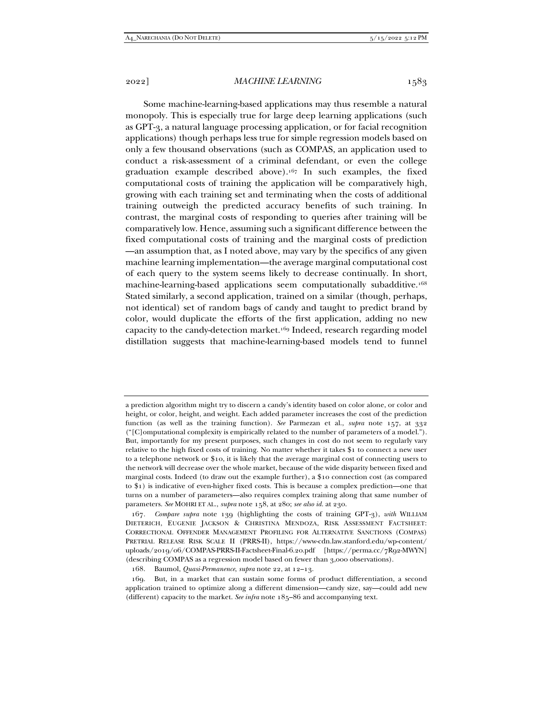Some machine-learning-based applications may thus resemble a natural monopoly. This is especially true for large deep learning applications (such as GPT-3, a natural language processing application, or for facial recognition applications) though perhaps less true for simple regression models based on only a few thousand observations (such as COMPAS, an application used to conduct a risk-assessment of a criminal defendant, or even the college graduation example described above).167 In such examples, the fixed computational costs of training the application will be comparatively high, growing with each training set and terminating when the costs of additional training outweigh the predicted accuracy benefits of such training. In contrast, the marginal costs of responding to queries after training will be comparatively low. Hence, assuming such a significant difference between the fixed computational costs of training and the marginal costs of prediction —an assumption that, as I noted above, may vary by the specifics of any given machine learning implementation—the average marginal computational cost of each query to the system seems likely to decrease continually. In short, machine-learning-based applications seem computationally subadditive.168 Stated similarly, a second application, trained on a similar (though, perhaps, not identical) set of random bags of candy and taught to predict brand by color, would duplicate the efforts of the first application, adding no new capacity to the candy-detection market.169 Indeed, research regarding model distillation suggests that machine-learning-based models tend to funnel

a prediction algorithm might try to discern a candy's identity based on color alone, or color and height, or color, height, and weight. Each added parameter increases the cost of the prediction function (as well as the training function). *See* Parmezan et al., *supra* note 157, at 332 ("[C]omputational complexity is empirically related to the number of parameters of a model."). But, importantly for my present purposes, such changes in cost do not seem to regularly vary relative to the high fixed costs of training. No matter whether it takes \$1 to connect a new user to a telephone network or \$10, it is likely that the average marginal cost of connecting users to the network will decrease over the whole market, because of the wide disparity between fixed and marginal costs. Indeed (to draw out the example further), a \$10 connection cost (as compared to \$1) is indicative of even-higher fixed costs. This is because a complex prediction—one that turns on a number of parameters—also requires complex training along that same number of parameters. *See* MOHRI ET AL., *supra* note 158, at 280; *see also id.* at 230.

<sup>167</sup>*. Compare supra* note 139 (highlighting the costs of training GPT-3), *with* WILLIAM DIETERICH, EUGENIE JACKSON & CHRISTINA MENDOZA, RISK ASSESSMENT FACTSHEET: CORRECTIONAL OFFENDER MANAGEMENT PROFILING FOR ALTERNATIVE SANCTIONS (COMPAS) PRETRIAL RELEASE RISK SCALE II (PRRS-II), https://www-cdn.law.stanford.edu/wp-content/ uploads/2019/06/COMPAS-PRRS-II-Factsheet-Final-6.20.pdf [https://perma.cc/7R92-MWYN] (describing COMPAS as a regression model based on fewer than 3,000 observations).

 <sup>168.</sup> Baumol, *Quasi-Permanence*, *supra* note 22, at 12–13.

 <sup>169.</sup> But, in a market that can sustain some forms of product differentiation, a second application trained to optimize along a different dimension—candy size, say—could add new (different) capacity to the market. *See infra* note 185–86 and accompanying text.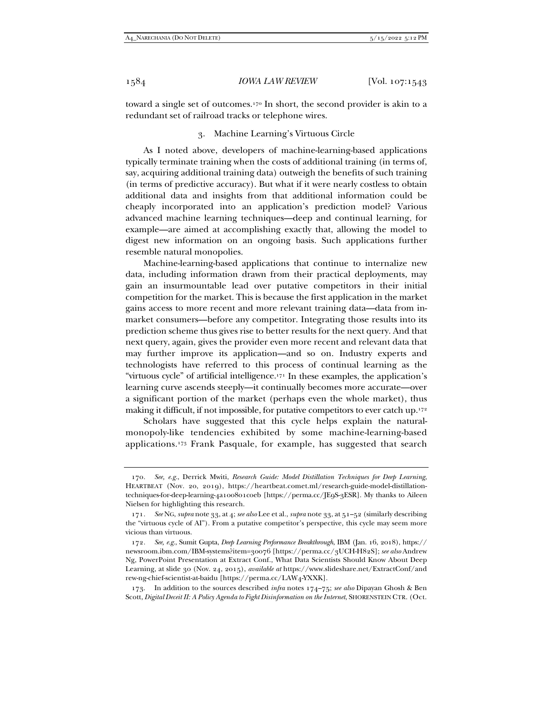toward a single set of outcomes.170 In short, the second provider is akin to a redundant set of railroad tracks or telephone wires.

## 3. Machine Learning's Virtuous Circle

As I noted above, developers of machine-learning-based applications typically terminate training when the costs of additional training (in terms of, say, acquiring additional training data) outweigh the benefits of such training (in terms of predictive accuracy). But what if it were nearly costless to obtain additional data and insights from that additional information could be cheaply incorporated into an application's prediction model? Various advanced machine learning techniques—deep and continual learning, for example—are aimed at accomplishing exactly that, allowing the model to digest new information on an ongoing basis. Such applications further resemble natural monopolies.

Machine-learning-based applications that continue to internalize new data, including information drawn from their practical deployments, may gain an insurmountable lead over putative competitors in their initial competition for the market. This is because the first application in the market gains access to more recent and more relevant training data—data from inmarket consumers—before any competitor. Integrating those results into its prediction scheme thus gives rise to better results for the next query. And that next query, again, gives the provider even more recent and relevant data that may further improve its application—and so on. Industry experts and technologists have referred to this process of continual learning as the "virtuous cycle" of artificial intelligence.171 In these examples, the application's learning curve ascends steeply—it continually becomes more accurate—over a significant portion of the market (perhaps even the whole market), thus making it difficult, if not impossible, for putative competitors to ever catch up.<sup>172</sup>

Scholars have suggested that this cycle helps explain the naturalmonopoly-like tendencies exhibited by some machine-learning-based applications.173 Frank Pasquale, for example, has suggested that search

<sup>170</sup>*. See, e.g.*, Derrick Mwiti, *Research Guide: Model Distillation Techniques for Deep Learning*, HEARTBEAT (Nov. 20, 2019), https://heartbeat.comet.ml/research-guide-model-distillationtechniques-for-deep-learning-4a100801c0eb [https://perma.cc/JE9S-3ESR]. My thanks to Aileen Nielsen for highlighting this research.

<sup>171</sup>*. See* NG, *supra* note 33, at 4; *see also* Lee et al., *supra* note 33, at 51–52 (similarly describing the "virtuous cycle of AI"). From a putative competitor's perspective, this cycle may seem more vicious than virtuous.

<sup>172</sup>*. See, e.g.*, Sumit Gupta, *Deep Learning Performance Breakthrough*, IBM (Jan. 16, 2018), https:// newsroom.ibm.com/IBM-systems?item=30076 [https://perma.cc/3UCH-H82S]; *see also* Andrew Ng, PowerPoint Presentation at Extract Conf., What Data Scientists Should Know About Deep Learning, at slide 30 (Nov. 24, 2015), *available at* https://www.slideshare.net/ExtractConf/and rew-ng-chief-scientist-at-baidu [https://perma.cc/LAW4-YXXK].

 <sup>173.</sup> In addition to the sources described *infra* notes 174–75; *see also* Dipayan Ghosh & Ben Scott, *Digital Deceit II: A Policy Agenda to Fight Disinformation on the Internet*, SHORENSTEIN CTR. (Oct.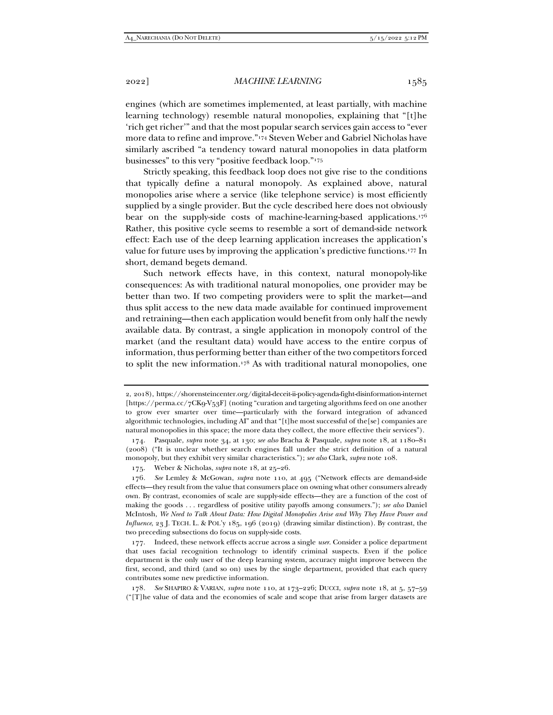engines (which are sometimes implemented, at least partially, with machine learning technology) resemble natural monopolies, explaining that "[t]he 'rich get richer'" and that the most popular search services gain access to "ever more data to refine and improve."174 Steven Weber and Gabriel Nicholas have similarly ascribed "a tendency toward natural monopolies in data platform businesses" to this very "positive feedback loop."175

Strictly speaking, this feedback loop does not give rise to the conditions that typically define a natural monopoly. As explained above, natural monopolies arise where a service (like telephone service) is most efficiently supplied by a single provider. But the cycle described here does not obviously bear on the supply-side costs of machine-learning-based applications.176 Rather, this positive cycle seems to resemble a sort of demand-side network effect: Each use of the deep learning application increases the application's value for future uses by improving the application's predictive functions.177 In short, demand begets demand.

Such network effects have, in this context, natural monopoly-like consequences: As with traditional natural monopolies, one provider may be better than two. If two competing providers were to split the market—and thus split access to the new data made available for continued improvement and retraining—then each application would benefit from only half the newly available data. By contrast, a single application in monopoly control of the market (and the resultant data) would have access to the entire corpus of information, thus performing better than either of the two competitors forced to split the new information.178 As with traditional natural monopolies, one

<sup>2, 2018),</sup> https://shorensteincenter.org/digital-deceit-ii-policy-agenda-fight-disinformation-internet [https://perma.cc/7CK9-V53F] (noting "curation and targeting algorithms feed on one another to grow ever smarter over time—particularly with the forward integration of advanced algorithmic technologies, including AI" and that "[t]he most successful of the[se] companies are natural monopolies in this space; the more data they collect, the more effective their services").

 <sup>174.</sup> Pasquale, *supra* note 34, at 130; *see also* Bracha & Pasquale, *supra* note 18, at 1180–81 (2008) ("It is unclear whether search engines fall under the strict definition of a natural monopoly, but they exhibit very similar characteristics."); *see also* Clark, *supra* note 108.

 <sup>175.</sup> Weber & Nicholas, *supra* note 18, at 25–26.

<sup>176</sup>*. See* Lemley & McGowan, *supra* note 110, at 495 ("Network effects are demand-side effects—they result from the value that consumers place on owning what other consumers already own. By contrast, economies of scale are supply-side effects—they are a function of the cost of making the goods . . . regardless of positive utility payoffs among consumers."); *see also* Daniel McIntosh, *We Need to Talk About Data: How Digital Monopolies Arise and Why They Have Power and Influence*, 23 J. TECH. L. & POL'y 185, 196 (2019) (drawing similar distinction). By contrast, the two preceding subsections do focus on supply-side costs.

 <sup>177.</sup> Indeed, these network effects accrue across a single *user*. Consider a police department that uses facial recognition technology to identify criminal suspects. Even if the police department is the only user of the deep learning system, accuracy might improve between the first, second, and third (and so on) uses by the single department, provided that each query contributes some new predictive information.

<sup>178</sup>*. See* SHAPIRO & VARIAN, *supra* note 110, at 173–226; DUCCI, *supra* note 18, at 5, 57–59 ("[T]he value of data and the economies of scale and scope that arise from larger datasets are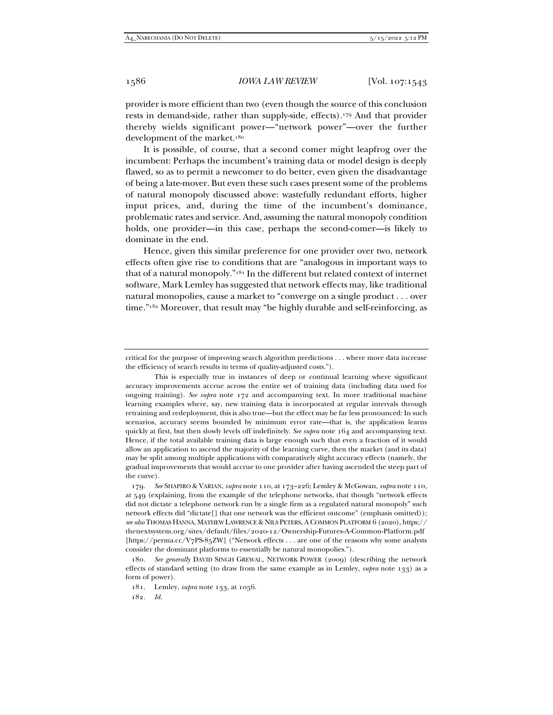provider is more efficient than two (even though the source of this conclusion rests in demand-side, rather than supply-side, effects).179 And that provider thereby wields significant power—"network power"—over the further development of the market.<sup>180</sup>

It is possible, of course, that a second comer might leapfrog over the incumbent: Perhaps the incumbent's training data or model design is deeply flawed, so as to permit a newcomer to do better, even given the disadvantage of being a late-mover. But even these such cases present some of the problems of natural monopoly discussed above: wastefully redundant efforts, higher input prices, and, during the time of the incumbent's dominance, problematic rates and service. And, assuming the natural monopoly condition holds, one provider—in this case, perhaps the second-comer—is likely to dominate in the end.

Hence, given this similar preference for one provider over two, network effects often give rise to conditions that are "analogous in important ways to that of a natural monopoly."181 In the different but related context of internet software, Mark Lemley has suggested that network effects may, like traditional natural monopolies, cause a market to "converge on a single product . . . over time."<sup>182</sup> Moreover, that result may "be highly durable and self-reinforcing, as

179*. See* SHAPIRO & VARIAN, *supra* note 110, at 173–226; Lemley & McGowan, *supra* note 110, at 549 (explaining, from the example of the telephone networks, that though "network effects did not dictate a telephone network run by a single firm as a regulated natural monopoly" such network effects did "dictate[] that one network was the efficient outcome" (emphasis omitted)); *see also* THOMAS HANNA, MATHEW LAWRENCE & NILS PETERS, ACOMMON PLATFORM 6 (2020), https:// thenextsystem.org/sites/default/files/2020-12/Ownership-Futures-A-Common-Platform.pdf [https://perma.cc/V7PS-85ZW] ("Network effects . . . are one of the reasons why some analysts consider the dominant platforms to essentially be natural monopolies.").

180*. See generally* DAVID SINGH GREWAL, NETWORK POWER (2009) (describing the network effects of standard setting (to draw from the same example as in Lemley, *supra* note 133) as a form of power).

181. Lemley, *supra* note 133, at 1056.

182*. Id.*

critical for the purpose of improving search algorithm predictions . . . where more data increase the efficiency of search results in terms of quality-adjusted costs.").

This is especially true in instances of deep or continual learning where significant accuracy improvements accrue across the entire set of training data (including data used for ongoing training). *See supra* note 172 and accompanying text. In more traditional machine learning examples where, say, new training data is incorporated at regular intervals through retraining and redeployment, this is also true—but the effect may be far less pronounced: In such scenarios, accuracy seems bounded by minimum error rate—that is, the application learns quickly at first, but then slowly levels off indefinitely. *See supra* note 164 and accompanying text. Hence, if the total available training data is large enough such that even a fraction of it would allow an application to ascend the majority of the learning curve, then the market (and its data) may be split among multiple applications with comparatively slight accuracy effects (namely, the gradual improvements that would accrue to one provider after having ascended the steep part of the curve).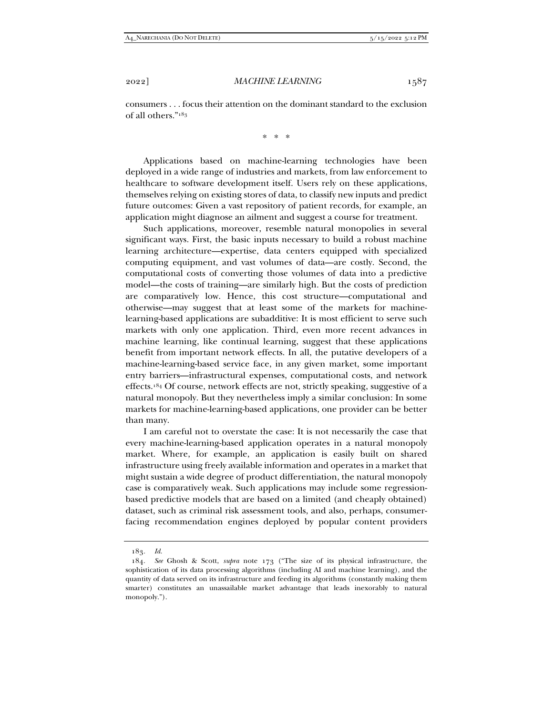consumers . . . focus their attention on the dominant standard to the exclusion of all others."183

\* \* \*

Applications based on machine-learning technologies have been deployed in a wide range of industries and markets, from law enforcement to healthcare to software development itself. Users rely on these applications, themselves relying on existing stores of data, to classify new inputs and predict future outcomes: Given a vast repository of patient records, for example, an application might diagnose an ailment and suggest a course for treatment.

Such applications, moreover, resemble natural monopolies in several significant ways. First, the basic inputs necessary to build a robust machine learning architecture—expertise, data centers equipped with specialized computing equipment, and vast volumes of data—are costly. Second, the computational costs of converting those volumes of data into a predictive model—the costs of training—are similarly high. But the costs of prediction are comparatively low. Hence, this cost structure—computational and otherwise—may suggest that at least some of the markets for machinelearning-based applications are subadditive: It is most efficient to serve such markets with only one application. Third, even more recent advances in machine learning, like continual learning, suggest that these applications benefit from important network effects. In all, the putative developers of a machine-learning-based service face, in any given market, some important entry barriers—infrastructural expenses, computational costs, and network effects.184 Of course, network effects are not, strictly speaking, suggestive of a natural monopoly. But they nevertheless imply a similar conclusion: In some markets for machine-learning-based applications, one provider can be better than many.

I am careful not to overstate the case: It is not necessarily the case that every machine-learning-based application operates in a natural monopoly market. Where, for example, an application is easily built on shared infrastructure using freely available information and operates in a market that might sustain a wide degree of product differentiation, the natural monopoly case is comparatively weak. Such applications may include some regressionbased predictive models that are based on a limited (and cheaply obtained) dataset, such as criminal risk assessment tools, and also, perhaps, consumerfacing recommendation engines deployed by popular content providers

<sup>183</sup>*. Id.* 

<sup>184</sup>*. See* Ghosh & Scott, *supra* note 173 ("The size of its physical infrastructure, the sophistication of its data processing algorithms (including AI and machine learning), and the quantity of data served on its infrastructure and feeding its algorithms (constantly making them smarter) constitutes an unassailable market advantage that leads inexorably to natural monopoly.").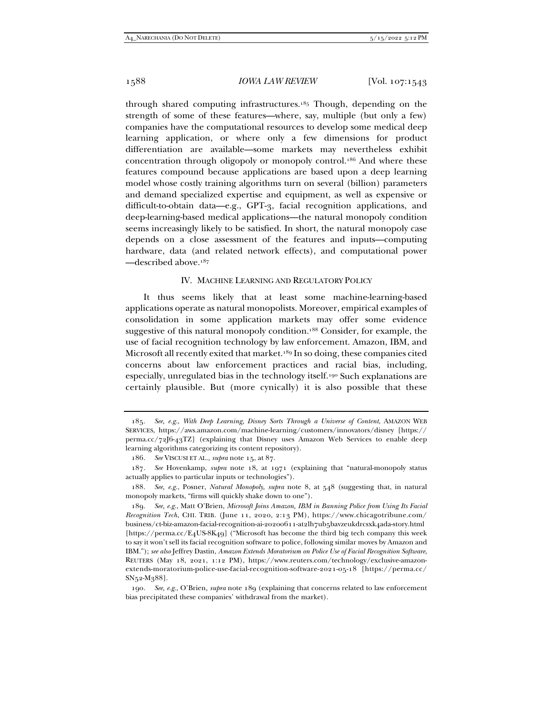through shared computing infrastructures.185 Though, depending on the strength of some of these features—where, say, multiple (but only a few) companies have the computational resources to develop some medical deep learning application, or where only a few dimensions for product differentiation are available—some markets may nevertheless exhibit concentration through oligopoly or monopoly control.186 And where these features compound because applications are based upon a deep learning model whose costly training algorithms turn on several (billion) parameters and demand specialized expertise and equipment, as well as expensive or difficult-to-obtain data—e.g., GPT-3, facial recognition applications, and deep-learning-based medical applications—the natural monopoly condition seems increasingly likely to be satisfied. In short, the natural monopoly case depends on a close assessment of the features and inputs—computing hardware, data (and related network effects), and computational power —described above.187

#### IV. MACHINE LEARNING AND REGULATORY POLICY

It thus seems likely that at least some machine-learning-based applications operate as natural monopolists. Moreover, empirical examples of consolidation in some application markets may offer some evidence suggestive of this natural monopoly condition.188 Consider, for example, the use of facial recognition technology by law enforcement. Amazon, IBM, and Microsoft all recently exited that market.<sup>189</sup> In so doing, these companies cited concerns about law enforcement practices and racial bias, including, especially, unregulated bias in the technology itself.190 Such explanations are certainly plausible. But (more cynically) it is also possible that these

<sup>185</sup>*. See, e.g.*, *With Deep Learning, Disney Sorts Through a Universe of Content*, AMAZON WEB SERVICES, https://aws.amazon.com/machine-learning/customers/innovators/disney [https:// perma.cc/72J6-43TZ] (explaining that Disney uses Amazon Web Services to enable deep learning algorithms categorizing its content repository).

<sup>186</sup>*. See* VISCUSI ET AL., *supra* note 15, at 87.

<sup>187</sup>*. See* Hovenkamp, *supra* note 18, at 1971 (explaining that "natural-monopoly status actually applies to particular inputs or technologies").

<sup>188</sup>*. See, e.g.*, Posner, *Natural Monopoly*, *supra* note 8, at 548 (suggesting that, in natural monopoly markets, "firms will quickly shake down to one").

<sup>189</sup>*. See, e.g.*, Matt O'Brien, *Microsoft Joins Amazon, IBM in Banning Police from Using Its Facial Recognition Tech*, CHI. TRIB. (June 11, 2020, 2:13 PM), https://www.chicagotribune.com/ business/ct-biz-amazon-facial-recognition-ai-20200611-at2lh7ub5bavzeukdrcsxk4ada-story.html [https://perma.cc/E4US-8K49] ("Microsoft has become the third big tech company this week to say it won't sell its facial recognition software to police, following similar moves by Amazon and IBM."); *see also* Jeffrey Dastin, *Amazon Extends Moratorium on Police Use of Facial Recognition Software*, REUTERS (May 18, 2021, 1:12 PM), https://www.reuters.com/technology/exclusive-amazonextends-moratorium-police-use-facial-recognition-software-2021-05-18 [https://perma.cc/ SN52-M388].

<sup>190</sup>*. See, e.g*., O'Brien*, supra* note 189 (explaining that concerns related to law enforcement bias precipitated these companies' withdrawal from the market).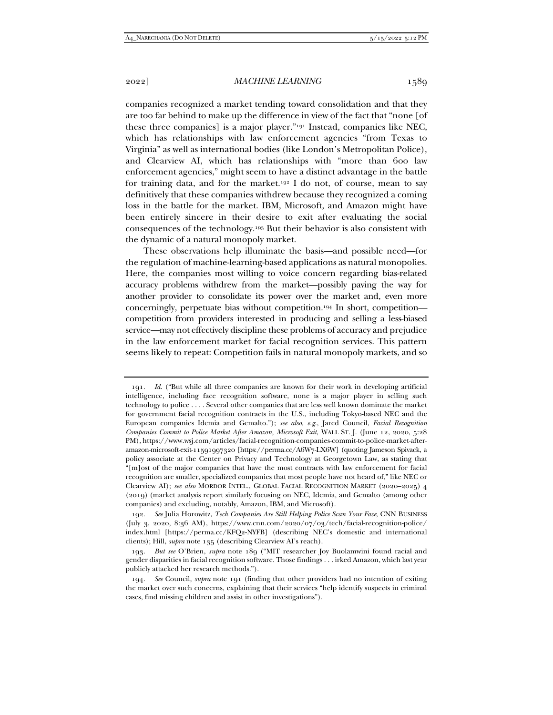companies recognized a market tending toward consolidation and that they are too far behind to make up the difference in view of the fact that "none [of these three companies] is a major player."191 Instead, companies like NEC, which has relationships with law enforcement agencies "from Texas to Virginia" as well as international bodies (like London's Metropolitan Police), and Clearview AI, which has relationships with "more than 600 law enforcement agencies," might seem to have a distinct advantage in the battle for training data, and for the market.<sup>192</sup> I do not, of course, mean to say definitively that these companies withdrew because they recognized a coming loss in the battle for the market. IBM, Microsoft, and Amazon might have been entirely sincere in their desire to exit after evaluating the social consequences of the technology.193 But their behavior is also consistent with the dynamic of a natural monopoly market.

These observations help illuminate the basis—and possible need—for the regulation of machine-learning-based applications as natural monopolies. Here, the companies most willing to voice concern regarding bias-related accuracy problems withdrew from the market—possibly paving the way for another provider to consolidate its power over the market and, even more concerningly, perpetuate bias without competition.194 In short, competition competition from providers interested in producing and selling a less-biased service—may not effectively discipline these problems of accuracy and prejudice in the law enforcement market for facial recognition services. This pattern seems likely to repeat: Competition fails in natural monopoly markets, and so

<sup>191</sup>*. Id.* ("But while all three companies are known for their work in developing artificial intelligence, including face recognition software, none is a major player in selling such technology to police . . . . Several other companies that are less well known dominate the market for government facial recognition contracts in the U.S., including Tokyo-based NEC and the European companies Idemia and Gemalto."); *see also, e.g*., Jared Council, *Facial Recognition Companies Commit to Police Market After Amazon, Microsoft Exit*, WALL ST. J. (June 12, 2020, 5:28 PM), https://www.wsj.com/articles/facial-recognition-companies-commit-to-police-market-afteramazon-microsoft-exit-11591997320 [https://perma.cc/A6W7-LX6W] (quoting Jameson Spivack, a policy associate at the Center on Privacy and Technology at Georgetown Law, as stating that "[m]ost of the major companies that have the most contracts with law enforcement for facial recognition are smaller, specialized companies that most people have not heard of," like NEC or Clearview AI); *see also* MORDOR INTEL., GLOBAL FACIAL RECOGNITION MARKET (2020–2025) 4 (2019) (market analysis report similarly focusing on NEC, Idemia, and Gemalto (among other companies) and excluding, notably, Amazon, IBM, and Microsoft).

<sup>192</sup>*. See* Julia Horowitz, *Tech Companies Are Still Helping Police Scan Your Face*, CNN BUSINESS (July 3, 2020, 8:36 AM), https://www.cnn.com/2020/07/03/tech/facial-recognition-police/ index.html [https://perma.cc/KFQ2-NYFB] (describing NEC's domestic and international clients); Hill, *supra* note 135 (describing Clearview AI's reach).

<sup>193</sup>*. But see* O'Brien, *supra* note 189 ("MIT researcher Joy Buolamwini found racial and gender disparities in facial recognition software. Those findings . . . irked Amazon, which last year publicly attacked her research methods.").

<sup>194</sup>*. See* Council, *supra* note 191 (finding that other providers had no intention of exiting the market over such concerns, explaining that their services "help identify suspects in criminal cases, find missing children and assist in other investigations").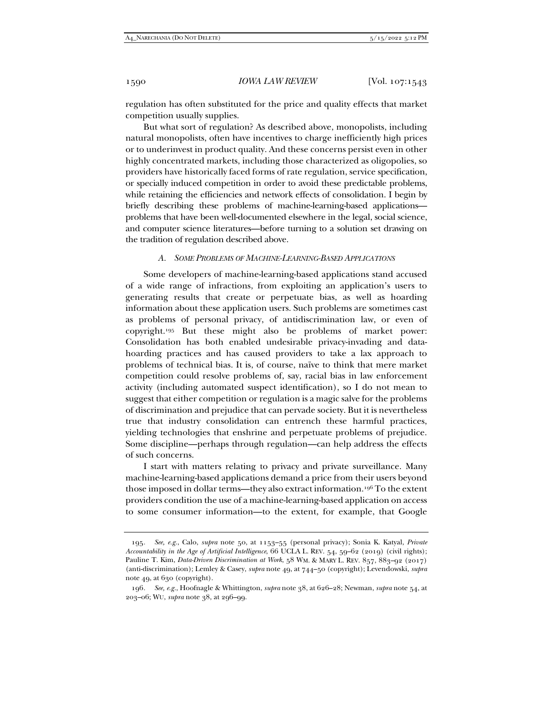regulation has often substituted for the price and quality effects that market competition usually supplies.

But what sort of regulation? As described above, monopolists, including natural monopolists, often have incentives to charge inefficiently high prices or to underinvest in product quality. And these concerns persist even in other highly concentrated markets, including those characterized as oligopolies, so providers have historically faced forms of rate regulation, service specification, or specially induced competition in order to avoid these predictable problems, while retaining the efficiencies and network effects of consolidation. I begin by briefly describing these problems of machine-learning-based applications problems that have been well-documented elsewhere in the legal, social science, and computer science literatures—before turning to a solution set drawing on the tradition of regulation described above.

#### *A. SOME PROBLEMS OF MACHINE-LEARNING-BASED APPLICATIONS*

Some developers of machine-learning-based applications stand accused of a wide range of infractions, from exploiting an application's users to generating results that create or perpetuate bias, as well as hoarding information about these application users. Such problems are sometimes cast as problems of personal privacy, of antidiscrimination law, or even of copyright.195 But these might also be problems of market power: Consolidation has both enabled undesirable privacy-invading and datahoarding practices and has caused providers to take a lax approach to problems of technical bias. It is, of course, naïve to think that mere market competition could resolve problems of, say, racial bias in law enforcement activity (including automated suspect identification), so I do not mean to suggest that either competition or regulation is a magic salve for the problems of discrimination and prejudice that can pervade society. But it is nevertheless true that industry consolidation can entrench these harmful practices, yielding technologies that enshrine and perpetuate problems of prejudice. Some discipline—perhaps through regulation—can help address the effects of such concerns.

I start with matters relating to privacy and private surveillance. Many machine-learning-based applications demand a price from their users beyond those imposed in dollar terms—they also extract information.196 To the extent providers condition the use of a machine-learning-based application on access to some consumer information—to the extent, for example, that Google

<sup>195</sup>*. See, e.g.*, Calo, *supra* note 50, at 1153–55 (personal privacy); Sonia K. Katyal, *Private Accountability in the Age of Artificial Intelligence*, 66 UCLA L. REV. 54, 59–62 (2019) (civil rights); Pauline T. Kim, *Data-Driven Discrimination at Work*, 58 WM. & MARY L. REV. 857, 883–92 (2017) (anti-discrimination); Lemley & Casey, *supra* note 49, at 744–50 (copyright); Levendowski, *supra* note 49, at 630 (copyright).

<sup>196</sup>*. See, e.g.*, Hoofnagle & Whittington, *supra* note 38, at 626–28; Newman, *supra* note 54, at 203–06; WU, *supra* note 38, at 296–99.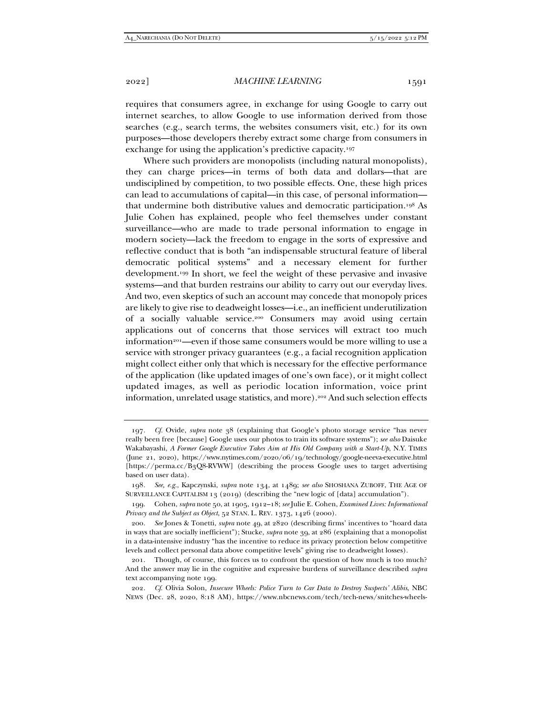2022] *MACHINE LEARNING* 1591

requires that consumers agree, in exchange for using Google to carry out internet searches, to allow Google to use information derived from those searches (e.g., search terms, the websites consumers visit, etc.) for its own purposes—those developers thereby extract some charge from consumers in exchange for using the application's predictive capacity.197

Where such providers are monopolists (including natural monopolists), they can charge prices—in terms of both data and dollars—that are undisciplined by competition, to two possible effects. One, these high prices can lead to accumulations of capital—in this case, of personal information that undermine both distributive values and democratic participation.198 As Julie Cohen has explained, people who feel themselves under constant surveillance—who are made to trade personal information to engage in modern society—lack the freedom to engage in the sorts of expressive and reflective conduct that is both "an indispensable structural feature of liberal democratic political systems" and a necessary element for further development.199 In short, we feel the weight of these pervasive and invasive systems—and that burden restrains our ability to carry out our everyday lives. And two, even skeptics of such an account may concede that monopoly prices are likely to give rise to deadweight losses—i.e., an inefficient underutilization of a socially valuable service.200 Consumers may avoid using certain applications out of concerns that those services will extract too much information<sup>201</sup>—even if those same consumers would be more willing to use a service with stronger privacy guarantees (e.g., a facial recognition application might collect either only that which is necessary for the effective performance of the application (like updated images of one's own face), or it might collect updated images, as well as periodic location information, voice print information, unrelated usage statistics, and more).202 And such selection effects

<sup>197</sup>*. Cf.* Ovide, *supra* note 38 (explaining that Google's photo storage service "has never really been free [because] Google uses our photos to train its software systems"); *see also* Daisuke Wakabayashi, *A Former Google Executive Takes Aim at His Old Company with a Start-Up*, N.Y. TIMES (June 21, 2020), https://www.nytimes.com/2020/06/19/technology/google-neeva-executive.html [https://perma.cc/B3Q8-RVWW] (describing the process Google uses to target advertising based on user data).

<sup>198</sup>*. See, e.g.*, Kapczynski, *supra* note 134, at 1489; *see also* SHOSHANA ZUBOFF, THE AGE OF SURVEILLANCE CAPITALISM 13 (2019) (describing the "new logic of [data] accumulation").

 <sup>199.</sup> Cohen, *supra* note 50, at 1905, 1912–18; *see* Julie E. Cohen, *Examined Lives: Informational Privacy and the Subject as Object*, 52 STAN. L. REV. 1373, 1426 (2000).

<sup>200</sup>*. See* Jones & Tonetti, *supra* note 49, at 2820 (describing firms' incentives to "hoard data in ways that are socially inefficient"); Stucke, *supra* note 39, at 286 (explaining that a monopolist in a data-intensive industry "has the incentive to reduce its privacy protection below competitive levels and collect personal data above competitive levels" giving rise to deadweight losses).

 <sup>201.</sup> Though, of course, this forces us to confront the question of how much is too much? And the answer may lie in the cognitive and expressive burdens of surveillance described *supra* text accompanying note 199.

<sup>202</sup>*. Cf*. Olivia Solon, *Insecure Wheels: Police Turn to Car Data to Destroy Suspects' Alibis*, NBC NEWS (Dec. 28, 2020, 8:18 AM), https://www.nbcnews.com/tech/tech-news/snitches-wheels-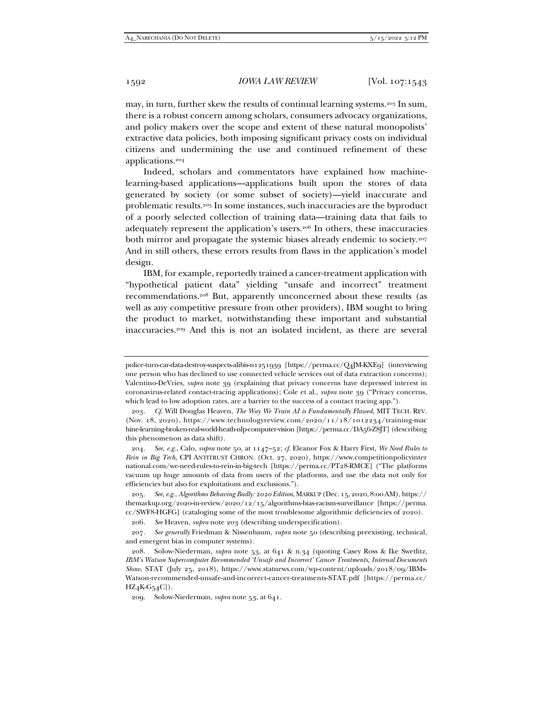may, in turn, further skew the results of continual learning systems.203 In sum, there is a robust concern among scholars, consumers advocacy organizations, and policy makers over the scope and extent of these natural monopolists' extractive data policies, both imposing significant privacy costs on individual citizens and undermining the use and continued refinement of these applications.204

Indeed, scholars and commentators have explained how machinelearning-based applications—applications built upon the stores of data generated by society (or some subset of society)—yield inaccurate and problematic results.205 In some instances, such inaccuracies are the byproduct of a poorly selected collection of training data—training data that fails to adequately represent the application's users.206 In others, these inaccuracies both mirror and propagate the systemic biases already endemic to society.<sup>207</sup> And in still others, these errors results from flaws in the application's model design.

IBM, for example, reportedly trained a cancer-treatment application with "hypothetical patient data" yielding "unsafe and incorrect" treatment recommendations.208 But, apparently unconcerned about these results (as well as any competitive pressure from other providers), IBM sought to bring the product to market, notwithstanding these important and substantial inaccuracies.209 And this is not an isolated incident, as there are several

206*. See* Heaven, *supra* note 203 (describing underspecification).

police-turn-car-data-destroy-suspects-alibis-n1251939 [https://perma.cc/Q4JM-KXE9] (interviewing one person who has declined to use connected vehicle services out of data extraction concerns); Valentino-DeVries, *supra* note 39 (explaining that privacy concerns have depressed interest in coronavirus-related contact-tracing applications); Cole et al., *supra* note 39 ("Privacy concerns, which lead to low adoption rates, are a barrier to the success of a contact tracing app.").

<sup>203</sup>*. Cf*. Will Douglas Heaven, *The Way We Train AI is Fundamentally Flawed*, MIT TECH. REV. (Nov. 18, 2020), https://www.technologyreview.com/2020/11/18/1012234/training-mac hine-learning-broken-real-world-heath-nlp-computer-vision [https://perma.cc/DA56-Z8JT] (describing this phenomenon as data shift).

<sup>204</sup>*. See, e.g.*, Calo, *supra* note 50, at 1147–52; *cf*. Eleanor Fox & Harry First, *We Need Rules to Rein in Big Tech*, CPI ANTITRUST CHRON. (Oct. 27, 2020), https://www.competitionpolicyinter national.com/we-need-rules-to-rein-in-big-tech [https://perma.cc/PT28-RMCE] ("The platforms vacuum up huge amounts of data from users of the platforms, and use the data not only for efficiencies but also for exploitations and exclusions.").

<sup>205</sup>*. See, e.g.*, *Algorithms Behaving Badly: 2020 Edition*,MARKUP (Dec. 15, 2020, 8:00AM), https:// themarkup.org/2020-in-review/2020/12/15/algorithms-bias-racism-surveillance [https://perma. cc/SWF8-HGFG] (cataloging some of the most troublesome algorithmic deficiencies of 2020).

<sup>207</sup>*. See generally* Friedman & Nissenbaum, *supra* note 50 (describing preexisting, technical, and emergent bias in computer systems).

 <sup>208.</sup> Solow-Niederman, *supra* note 53, at 641 & n.34 (quoting Casey Ross & Ike Swetlitz, *IBM's Watson Supercomputer Recommended 'Unsafe and Incorrect' Cancer Treatments, Internal Documents Show*, STAT (July 25, 2018), https://www.statnews.com/wp-content/uploads/2018/09/IBMs-Watson-recommended-unsafe-and-incorrect-cancer-treatments-STAT.pdf [https://perma.cc/ HZ4K-G54C]).

 <sup>209.</sup> Solow-Niederman, *supra* note 53, at 641.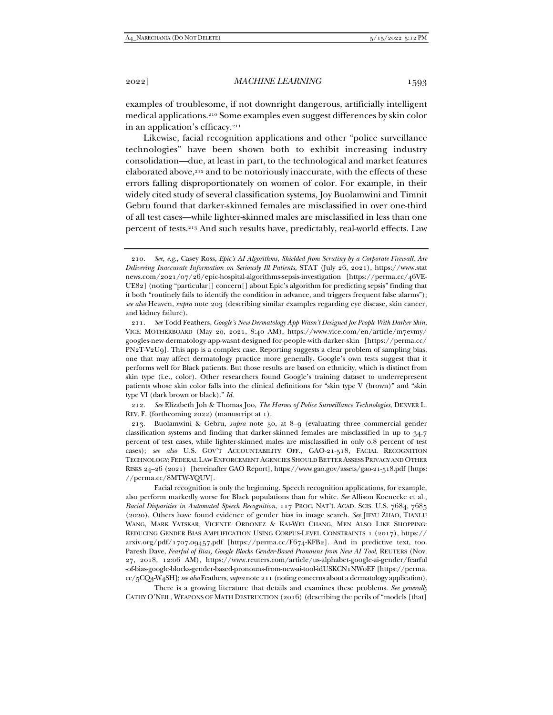examples of troublesome, if not downright dangerous, artificially intelligent medical applications.210 Some examples even suggest differences by skin color in an application's efficacy.211

Likewise, facial recognition applications and other "police surveillance technologies" have been shown both to exhibit increasing industry consolidation—due, at least in part, to the technological and market features elaborated above,212 and to be notoriously inaccurate, with the effects of these errors falling disproportionately on women of color. For example, in their widely cited study of several classification systems, Joy Buolamwini and Timnit Gebru found that darker-skinned females are misclassified in over one-third of all test cases—while lighter-skinned males are misclassified in less than one percent of tests.213 And such results have, predictably, real-world effects. Law

212*. See* Elizabeth Joh & Thomas Joo, *The Harms of Police Surveillance Technologies*, DENVER L. REV. F. (forthcoming 2022) (manuscript at 1).

 213. Buolamwini & Gebru, *supra* note 50, at 8–9 (evaluating three commercial gender classification systems and finding that darker-skinned females are misclassified in up to 34.7 percent of test cases, while lighter-skinned males are misclassified in only 0.8 percent of test cases); *see also* U.S. GOV'T ACCOUNTABILITY OFF., GAO-21-518, FACIAL RECOGNITION TECHNOLOGY: FEDERAL LAW ENFORCEMENT AGENCIES SHOULD BETTER ASSESS PRIVACY AND OTHER RISKS 24–26 (2021) [hereinafter GAO Report], https://www.gao.gov/assets/gao-21-518.pdf [https: //perma.cc/8MTW-YQUV].

 Facial recognition is only the beginning. Speech recognition applications, for example, also perform markedly worse for Black populations than for white. *See* Allison Koenecke et al., *Racial Disparities in Automated Speech Recognition*, 117 PROC. NAT'L ACAD. SCIS. U.S. 7684, 7685 (2020). Others have found evidence of gender bias in image search. *See* JIEYU ZHAO, TIANLU WANG, MARK YATSKAR, VICENTE ORDONEZ & KAI-WEI CHANG, MEN ALSO LIKE SHOPPING: REDUCING GENDER BIAS AMPLIFICATION USING CORPUS-LEVEL CONSTRAINTS 1 (2017), https:// arxiv.org/pdf/1707.09457.pdf [https://perma.cc/F674-KFB2]. And in predictive text, too. Paresh Dave, *Fearful of Bias, Google Blocks Gender-Based Pronouns from New AI Tool*, REUTERS (Nov. 27, 2018, 12:06 AM), https://www.reuters.com/article/us-alphabet-google-ai-gender/fearful -of-bias-google-blocks-gender-based-pronouns-from-new-ai-tool-idUSKCN1NW0EF [https://perma. cc/5CQ3-W4SH]; *see also* Feathers, *supra* note 211 (noting concerns about a dermatology application).

 There is a growing literature that details and examines these problems. *See generally* CATHY O'NEIL, WEAPONS OF MATH DESTRUCTION (2016) (describing the perils of "models [that]

<sup>210</sup>*. See, e.g.,* Casey Ross, *Epic's AI Algorithms, Shielded from Scrutiny by a Corporate Firewall, Are Delivering Inaccurate Information on Seriously Ill Patients*, STAT (July 26, 2021), https://www.stat news.com/2021/07/26/epic-hospital-algorithms-sepsis-investigation [https://perma.cc/46VE-UE82] (noting "particular[] concern[] about Epic's algorithm for predicting sepsis" finding that it both "routinely fails to identify the condition in advance, and triggers frequent false alarms"); *see also* Heaven, *supra* note 203 (describing similar examples regarding eye disease, skin cancer, and kidney failure).

<sup>211</sup>*. See* Todd Feathers, *Google's New Dermatology App Wasn't Designed for People With Darker Skin*, VICE: MOTHERBOARD (May 20, 2021, 8:40 AM), https://www.vice.com/en/article/m7evmy/ googles-new-dermatology-app-wasnt-designed-for-people-with-darker-skin [https://perma.cc/ PN2T-V2U9]. This app is a complex case. Reporting suggests a clear problem of sampling bias, one that may affect dermatology practice more generally. Google's own tests suggest that it performs well for Black patients. But those results are based on ethnicity, which is distinct from skin type (i.e., color). Other researchers found Google's training dataset to underrepresent patients whose skin color falls into the clinical definitions for "skin type V (brown)" and "skin type VI (dark brown or black)." *Id.*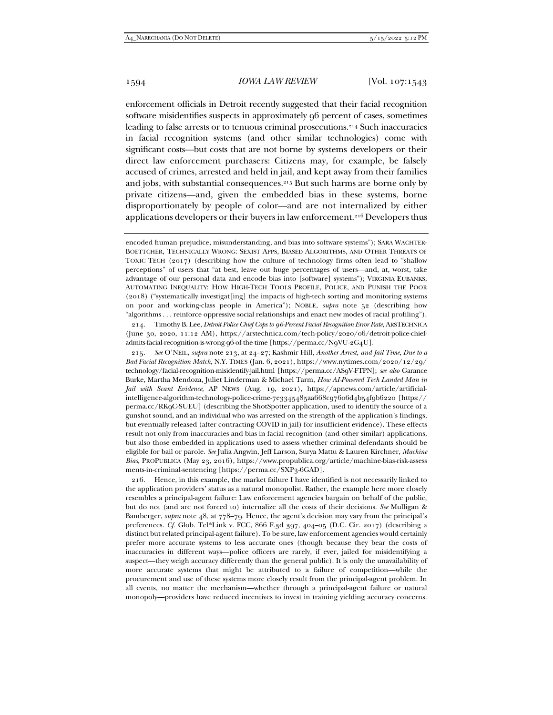enforcement officials in Detroit recently suggested that their facial recognition software misidentifies suspects in approximately 96 percent of cases, sometimes leading to false arrests or to tenuous criminal prosecutions.214 Such inaccuracies in facial recognition systems (and other similar technologies) come with significant costs—but costs that are not borne by systems developers or their direct law enforcement purchasers: Citizens may, for example, be falsely accused of crimes, arrested and held in jail, and kept away from their families and jobs, with substantial consequences.215 But such harms are borne only by private citizens—and, given the embedded bias in these systems, borne disproportionately by people of color—and are not internalized by either applications developers or their buyers in law enforcement.216 Developers thus

 214. Timothy B. Lee, *Detroit Police Chief Cops to 96-Percent Facial Recognition Error Rate*, ARSTECHNICA (June 30, 2020, 11:12 AM), https://arstechnica.com/tech-policy/2020/06/detroit-police-chiefadmits-facial-recognition-is-wrong-96-of-the-time [https://perma.cc/N9VU-2G4U].

215*. See* O'NEIL, *supra* note 213, at 24–27; Kashmir Hill, *Another Arrest, and Jail Time, Due to a Bad Facial Recognition Match*, N.Y. TIMES (Jan. 6, 2021), https://www.nytimes.com/2020/12/29/ technology/facial-recognition-misidentify-jail.html [https://perma.cc/AS9V-FTPN]; *see also* Garance Burke, Martha Mendoza, Juliet Linderman & Michael Tarm, *How AI-Powered Tech Landed Man in Jail with Scant Evidence*, AP NEWS (Aug. 19, 2021), https://apnews.com/article/artificialintelligence-algorithm-technology-police-crime-7e3345485aa668c97606d4b54f9b6220 [https:// perma.cc/RK9C-SUEU] (describing the ShotSpotter application, used to identify the source of a gunshot sound, and an individual who was arrested on the strength of the application's findings, but eventually released (after contracting COVID in jail) for insufficient evidence). These effects result not only from inaccuracies and bias in facial recognition (and other similar) applications, but also those embedded in applications used to assess whether criminal defendants should be eligible for bail or parole. *See* Julia Angwin, Jeff Larson, Surya Mattu & Lauren Kirchner, *Machine Bias*, PROPUBLICA (May 23, 2016), https://www.propublica.org/article/machine-bias-risk-assess ments-in-criminal-sentencing [https://perma.cc/SXP3-6GAD].

 216. Hence, in this example, the market failure I have identified is not necessarily linked to the application providers' status as a natural monopolist. Rather, the example here more closely resembles a principal-agent failure: Law enforcement agencies bargain on behalf of the public, but do not (and are not forced to) internalize all the costs of their decisions. *See* Mulligan & Bamberger, *supra* note 48, at 778–79. Hence, the agent's decision may vary from the principal's preferences. *Cf.* Glob. Tel\*Link v. FCC, 866 F.3d 397, 404–05 (D.C. Cir. 2017) (describing a distinct but related principal-agent failure). To be sure, law enforcement agencies would certainly prefer more accurate systems to less accurate ones (though because they bear the costs of inaccuracies in different ways—police officers are rarely, if ever, jailed for misidentifying a suspect—they weigh accuracy differently than the general public). It is only the unavailability of more accurate systems that might be attributed to a failure of competition—while the procurement and use of these systems more closely result from the principal-agent problem. In all events, no matter the mechanism—whether through a principal-agent failure or natural monopoly—providers have reduced incentives to invest in training yielding accuracy concerns.

encoded human prejudice, misunderstanding, and bias into software systems"); SARA WACHTER-BOETTCHER, TECHNICALLY WRONG: SEXIST APPS, BIASED ALGORITHMS, AND OTHER THREATS OF TOXIC TECH (2017) (describing how the culture of technology firms often lead to "shallow perceptions" of users that "at best, leave out huge percentages of users—and, at, worst, take advantage of our personal data and encode bias into [software] systems"); VIRGINIA EUBANKS, AUTOMATING INEQUALITY: HOW HIGH-TECH TOOLS PROFILE, POLICE, AND PUNISH THE POOR (2018) ("systematically investigat[ing] the impacts of high-tech sorting and monitoring systems on poor and working-class people in America"); NOBLE, *supra* note 52 (describing how "algorithms . . . reinforce oppressive social relationships and enact new modes of racial profiling").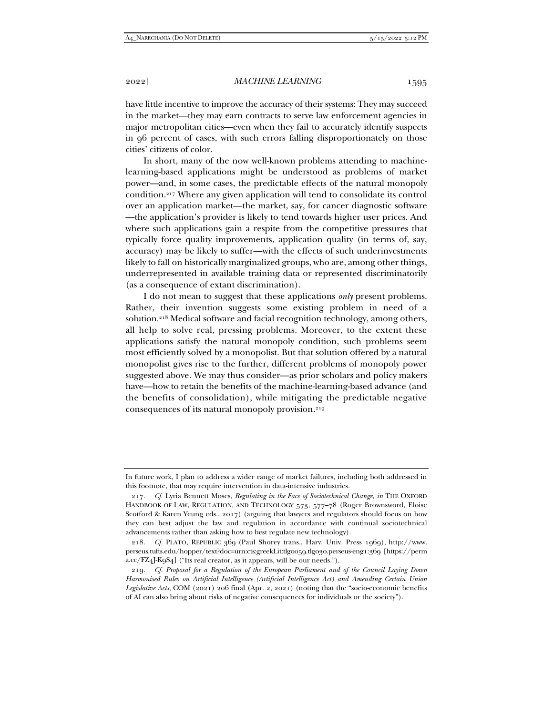have little incentive to improve the accuracy of their systems: They may succeed in the market—they may earn contracts to serve law enforcement agencies in major metropolitan cities—even when they fail to accurately identify suspects in 96 percent of cases, with such errors falling disproportionately on those cities' citizens of color.

In short, many of the now well-known problems attending to machinelearning-based applications might be understood as problems of market power—and, in some cases, the predictable effects of the natural monopoly condition.217 Where any given application will tend to consolidate its control over an application market—the market, say, for cancer diagnostic software —the application's provider is likely to tend towards higher user prices. And where such applications gain a respite from the competitive pressures that typically force quality improvements, application quality (in terms of, say, accuracy) may be likely to suffer—with the effects of such underinvestments likely to fall on historically marginalized groups, who are, among other things, underrepresented in available training data or represented discriminatorily (as a consequence of extant discrimination).

I do not mean to suggest that these applications *only* present problems. Rather, their invention suggests some existing problem in need of a solution.218 Medical software and facial recognition technology, among others, all help to solve real, pressing problems. Moreover, to the extent these applications satisfy the natural monopoly condition, such problems seem most efficiently solved by a monopolist. But that solution offered by a natural monopolist gives rise to the further, different problems of monopoly power suggested above. We may thus consider—as prior scholars and policy makers have—how to retain the benefits of the machine-learning-based advance (and the benefits of consolidation), while mitigating the predictable negative consequences of its natural monopoly provision.<sup>219</sup>

In future work, I plan to address a wider range of market failures, including both addressed in this footnote, that may require intervention in data-intensive industries.

<sup>217</sup>*. Cf.* Lyria Bennett Moses, *Regulating in the Face of Sociotechnical Change*, *in* THE OXFORD HANDBOOK OF LAW, REGULATION, AND TECHNOLOGY 573, 577–78 (Roger Brownsword, Eloise Scotford & Karen Yeung eds., 2017) (arguing that lawyers and regulators should focus on how they can best adjust the law and regulation in accordance with continual sociotechnical advancements rather than asking how to best regulate new technology).

<sup>218</sup>*. Cf.* PLATO, REPUBLIC 369 (Paul Shorey trans., Harv. Univ. Press 1969), http://www. perseus.tufts.edu/hopper/text?doc=urn:cts:greekLit:tlg0059.tlg030.perseus-eng1:369 [https://perm a.cc/FZ4J-K9S4] ("Its real creator, as it appears, will be our needs.").

<sup>219</sup>*. Cf. Proposal for a Regulation of the European Parliament and of the Council Laying Down Harmonised Rules on Artificial Intelligence (Artificial Intelligence Act) and Amending Certain Union Legislative Acts*, COM (2021) 206 final (Apr. 2, 2021) (noting that the "socio-economic benefits of AI can also bring about risks of negative consequences for individuals or the society").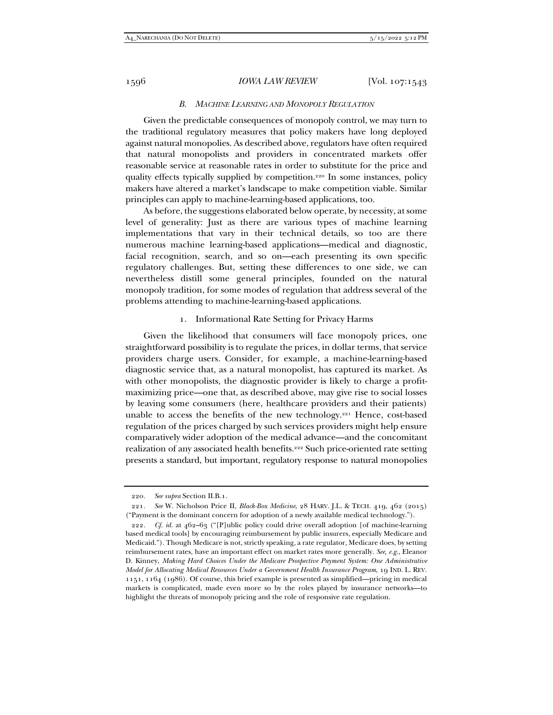### *B. MACHINE LEARNING AND MONOPOLY REGULATION*

Given the predictable consequences of monopoly control, we may turn to the traditional regulatory measures that policy makers have long deployed against natural monopolies. As described above, regulators have often required that natural monopolists and providers in concentrated markets offer reasonable service at reasonable rates in order to substitute for the price and quality effects typically supplied by competition.220 In some instances, policy makers have altered a market's landscape to make competition viable. Similar principles can apply to machine-learning-based applications, too.

As before, the suggestions elaborated below operate, by necessity, at some level of generality: Just as there are various types of machine learning implementations that vary in their technical details, so too are there numerous machine learning-based applications—medical and diagnostic, facial recognition, search, and so on—each presenting its own specific regulatory challenges. But, setting these differences to one side, we can nevertheless distill some general principles, founded on the natural monopoly tradition, for some modes of regulation that address several of the problems attending to machine-learning-based applications.

#### 1. Informational Rate Setting for Privacy Harms

Given the likelihood that consumers will face monopoly prices, one straightforward possibility is to regulate the prices, in dollar terms, that service providers charge users. Consider, for example, a machine-learning-based diagnostic service that, as a natural monopolist, has captured its market. As with other monopolists, the diagnostic provider is likely to charge a profitmaximizing price—one that, as described above, may give rise to social losses by leaving some consumers (here, healthcare providers and their patients) unable to access the benefits of the new technology.221 Hence, cost-based regulation of the prices charged by such services providers might help ensure comparatively wider adoption of the medical advance—and the concomitant realization of any associated health benefits.222 Such price-oriented rate setting presents a standard, but important, regulatory response to natural monopolies

<sup>220</sup>*. See supra* Section II.B.1.

<sup>221</sup>*. See* W. Nicholson Price II, *Black-Box Medicine*, 28 HARV. J.L. & TECH. 419, 462 (2015) ("Payment is the dominant concern for adoption of a newly available medical technology.").

<sup>222</sup>*. Cf. id.* at 462–63 ("[P]ublic policy could drive overall adoption [of machine-learning based medical tools] by encouraging reimbursement by public insurers, especially Medicare and Medicaid."). Though Medicare is not, strictly speaking, a rate regulator, Medicare does, by setting reimbursement rates, have an important effect on market rates more generally*. See, e.g.*, Eleanor D. Kinney, *Making Hard Choices Under the Medicare Prospective Payment System: One Administrative Model for Allocating Medical Resources Under a Government Health Insurance Program*, 19 IND. L. REV. 1151, 1164 (1986). Of course, this brief example is presented as simplified—pricing in medical markets is complicated, made even more so by the roles played by insurance networks—to highlight the threats of monopoly pricing and the role of responsive rate regulation.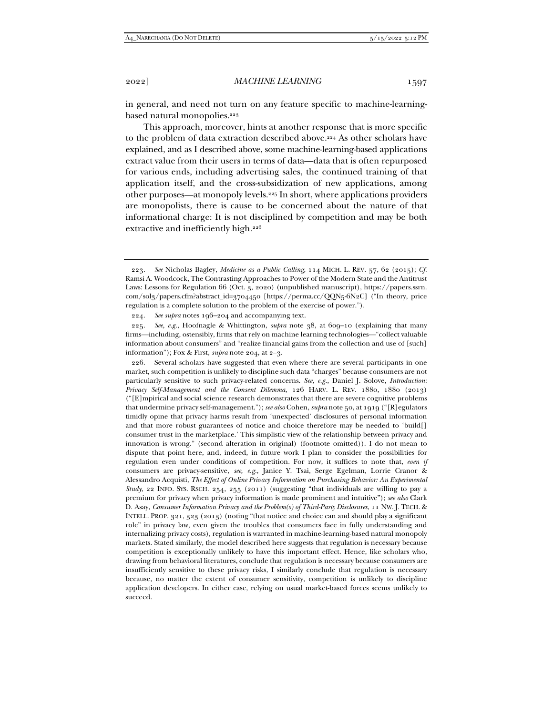in general, and need not turn on any feature specific to machine-learningbased natural monopolies.<sup>223</sup>

This approach, moreover, hints at another response that is more specific to the problem of data extraction described above.224 As other scholars have explained, and as I described above, some machine-learning-based applications extract value from their users in terms of data—data that is often repurposed for various ends, including advertising sales, the continued training of that application itself, and the cross-subsidization of new applications, among other purposes—at monopoly levels.225 In short, where applications providers are monopolists, there is cause to be concerned about the nature of that informational charge: It is not disciplined by competition and may be both extractive and inefficiently high.<sup>226</sup>

224*. See supra* notes 196–204 and accompanying text.

225*. See, e.g.*, Hoofnagle & Whittington, *supra* note 38, at 609–10 (explaining that many firms—including, ostensibly, firms that rely on machine learning technologies—"collect valuable information about consumers" and "realize financial gains from the collection and use of [such] information"); Fox & First, *supra* note 204, at 2–3.

 226. Several scholars have suggested that even where there are several participants in one market, such competition is unlikely to discipline such data "charges" because consumers are not particularly sensitive to such privacy-related concerns. *See, e.g.*, Daniel J. Solove, *Introduction: Privacy Self-Management and the Consent Dilemma*, 126 HARV. L. REV. 1880, 1880 (2013) ("[E]mpirical and social science research demonstrates that there are severe cognitive problems that undermine privacy self-management."); *see also* Cohen, *supra* note 50, at 1919 ("[R]egulators timidly opine that privacy harms result from 'unexpected' disclosures of personal information and that more robust guarantees of notice and choice therefore may be needed to 'build[] consumer trust in the marketplace.' This simplistic view of the relationship between privacy and innovation is wrong." (second alteration in original) (footnote omitted)). I do not mean to dispute that point here, and, indeed, in future work I plan to consider the possibilities for regulation even under conditions of competition. For now, it suffices to note that, *even if* consumers are privacy-sensitive, *see, e.g.*, Janice Y. Tsai, Serge Egelman, Lorrie Cranor & Alessandro Acquisti, *The Effect of Online Privacy Information on Purchasing Behavior: An Experimental Study*, 22 INFO. SYS. RSCH. 254, 255 (2011) (suggesting "that individuals are willing to pay a premium for privacy when privacy information is made prominent and intuitive"); *see also* Clark D. Asay, *Consumer Information Privacy and the Problem(s) of Third-Party Disclosures*, 11 NW. J. TECH. & INTELL. PROP. 321, 323 (2013) (noting "that notice and choice can and should play a significant role" in privacy law, even given the troubles that consumers face in fully understanding and internalizing privacy costs), regulation is warranted in machine-learning-based natural monopoly markets. Stated similarly, the model described here suggests that regulation is necessary because competition is exceptionally unlikely to have this important effect. Hence, like scholars who, drawing from behavioral literatures, conclude that regulation is necessary because consumers are insufficiently sensitive to these privacy risks, I similarly conclude that regulation is necessary because, no matter the extent of consumer sensitivity, competition is unlikely to discipline application developers. In either case, relying on usual market-based forces seems unlikely to succeed.

<sup>223</sup>*. See* Nicholas Bagley, *Medicine as a Public Calling*, 114 MICH. L. REV. 57, 62 (2015); *Cf.* Ramsi A. Woodcock, The Contrasting Approaches to Power of the Modern State and the Antitrust Laws: Lessons for Regulation 66 (Oct. 3, 2020) (unpublished manuscript), https://papers.ssrn. com/sol3/papers.cfm?abstract\_id=3704450 [https://perma.cc/QQN5-6N2C] ("In theory, price regulation is a complete solution to the problem of the exercise of power.").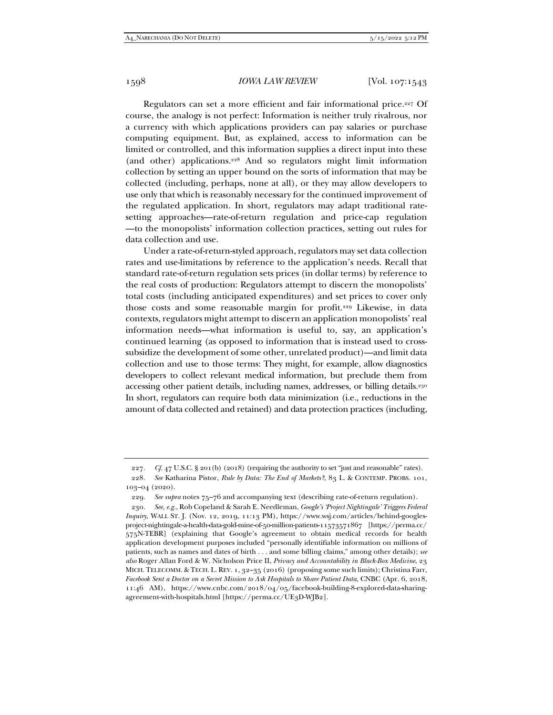Regulators can set a more efficient and fair informational price.227 Of course, the analogy is not perfect: Information is neither truly rivalrous, nor a currency with which applications providers can pay salaries or purchase computing equipment. But, as explained, access to information can be limited or controlled, and this information supplies a direct input into these (and other) applications.228 And so regulators might limit information collection by setting an upper bound on the sorts of information that may be collected (including, perhaps, none at all), or they may allow developers to use only that which is reasonably necessary for the continued improvement of the regulated application. In short, regulators may adapt traditional ratesetting approaches—rate-of-return regulation and price-cap regulation —to the monopolists' information collection practices, setting out rules for data collection and use.

Under a rate-of-return-styled approach, regulators may set data collection rates and use-limitations by reference to the application's needs. Recall that standard rate-of-return regulation sets prices (in dollar terms) by reference to the real costs of production: Regulators attempt to discern the monopolists' total costs (including anticipated expenditures) and set prices to cover only those costs and some reasonable margin for profit.229 Likewise, in data contexts, regulators might attempt to discern an application monopolists' real information needs—what information is useful to, say, an application's continued learning (as opposed to information that is instead used to crosssubsidize the development of some other, unrelated product)—and limit data collection and use to those terms: They might, for example, allow diagnostics developers to collect relevant medical information, but preclude them from accessing other patient details, including names, addresses, or billing details.230 In short, regulators can require both data minimization (i.e., reductions in the amount of data collected and retained) and data protection practices (including,

<sup>227</sup>*. Cf.* 47 U.S.C. § 201(b) (2018) (requiring the authority to set "just and reasonable" rates).

<sup>228</sup>*. See* Katharina Pistor, *Rule by Data: The End of Markets?*, 83 L. & CONTEMP. PROBS. 101, 103–04 (2020).

<sup>229</sup>*. See supra* notes 75–76 and accompanying text (describing rate-of-return regulation).

<sup>230</sup>*. See, e.g.*, Rob Copeland & Sarah E. Needleman, *Google's 'Project Nightingale' Triggers Federal Inquiry*, WALL ST. J. (Nov. 12, 2019, 11:13 PM), https://www.wsj.com/articles/behind-googlesproject-nightingale-a-health-data-gold-mine-of-50-million-patients-11573571867 [https://perma.cc/ 575N-TEBR] (explaining that Google's agreement to obtain medical records for health application development purposes included "personally identifiable information on millions of patients, such as names and dates of birth . . . and some billing claims," among other details); *see also* Roger Allan Ford & W. Nicholson Price II, *Privacy and Accountability in Black-Box Medicine*, 23 MICH. TELECOMM. & TECH. L. REV. 1, 32–35 (2016) (proposing some such limits); Christina Farr, *Facebook Sent a Doctor on a Secret Mission to Ask Hospitals to Share Patient Data*, CNBC (Apr. 6, 2018, 11:46 AM), https://www.cnbc.com/2018/04/05/facebook-building-8-explored-data-sharingagreement-with-hospitals.html [https://perma.cc/UE3D-WJB2].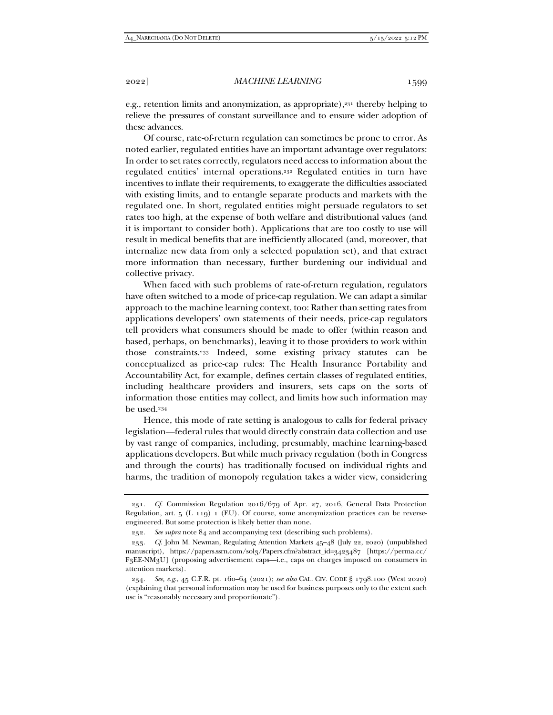e.g., retention limits and anonymization, as appropriate),<sup>231</sup> thereby helping to relieve the pressures of constant surveillance and to ensure wider adoption of these advances.

Of course, rate-of-return regulation can sometimes be prone to error. As noted earlier, regulated entities have an important advantage over regulators: In order to set rates correctly, regulators need access to information about the regulated entities' internal operations.232 Regulated entities in turn have incentives to inflate their requirements, to exaggerate the difficulties associated with existing limits, and to entangle separate products and markets with the regulated one. In short, regulated entities might persuade regulators to set rates too high, at the expense of both welfare and distributional values (and it is important to consider both). Applications that are too costly to use will result in medical benefits that are inefficiently allocated (and, moreover, that internalize new data from only a selected population set), and that extract more information than necessary, further burdening our individual and collective privacy.

When faced with such problems of rate-of-return regulation, regulators have often switched to a mode of price-cap regulation. We can adapt a similar approach to the machine learning context, too: Rather than setting rates from applications developers' own statements of their needs, price-cap regulators tell providers what consumers should be made to offer (within reason and based, perhaps, on benchmarks), leaving it to those providers to work within those constraints.233 Indeed, some existing privacy statutes can be conceptualized as price-cap rules: The Health Insurance Portability and Accountability Act, for example, defines certain classes of regulated entities, including healthcare providers and insurers, sets caps on the sorts of information those entities may collect, and limits how such information may be used.234

Hence, this mode of rate setting is analogous to calls for federal privacy legislation—federal rules that would directly constrain data collection and use by vast range of companies, including, presumably, machine learning-based applications developers. But while much privacy regulation (both in Congress and through the courts) has traditionally focused on individual rights and harms, the tradition of monopoly regulation takes a wider view, considering

<sup>231</sup>*. Cf.* Commission Regulation 2016/679 of Apr. 27, 2016, General Data Protection Regulation, art.  $5$  (L 119) 1 (EU). Of course, some anonymization practices can be reverseengineered. But some protection is likely better than none.

<sup>232</sup>*. See supra* note 84 and accompanying text (describing such problems).

<sup>233</sup>*. Cf.* John M. Newman, Regulating Attention Markets 45–48 (July 22, 2020) (unpublished manuscript), https://papers.ssrn.com/sol3/Papers.cfm?abstract\_id=3423487 [https://perma.cc/ F3EE-NM3U] (proposing advertisement caps—i.e., caps on charges imposed on consumers in attention markets).

<sup>234</sup>*. See, e.g.*, 45 C.F.R. pt. 160–64 (2021); *see also* CAL. CIV. CODE § 1798.100 (West 2020) (explaining that personal information may be used for business purposes only to the extent such use is "reasonably necessary and proportionate").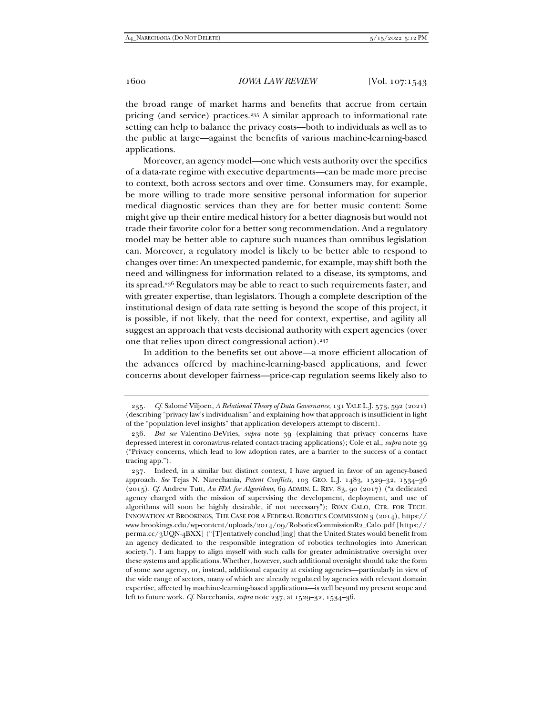the broad range of market harms and benefits that accrue from certain pricing (and service) practices.235 A similar approach to informational rate setting can help to balance the privacy costs—both to individuals as well as to the public at large—against the benefits of various machine-learning-based applications.

Moreover, an agency model—one which vests authority over the specifics of a data-rate regime with executive departments—can be made more precise to context, both across sectors and over time. Consumers may, for example, be more willing to trade more sensitive personal information for superior medical diagnostic services than they are for better music content: Some might give up their entire medical history for a better diagnosis but would not trade their favorite color for a better song recommendation. And a regulatory model may be better able to capture such nuances than omnibus legislation can. Moreover, a regulatory model is likely to be better able to respond to changes over time: An unexpected pandemic, for example, may shift both the need and willingness for information related to a disease, its symptoms, and its spread.236 Regulators may be able to react to such requirements faster, and with greater expertise, than legislators. Though a complete description of the institutional design of data rate setting is beyond the scope of this project, it is possible, if not likely, that the need for context, expertise, and agility all suggest an approach that vests decisional authority with expert agencies (over one that relies upon direct congressional action).237

In addition to the benefits set out above—a more efficient allocation of the advances offered by machine-learning-based applications, and fewer concerns about developer fairness—price-cap regulation seems likely also to

<sup>235</sup>*. Cf.* Salomé Viljoen, *A Relational Theory of Data Governance*, 131 YALE L.J. 573, 592 (2021) (describing "privacy law's individualism" and explaining how that approach is insufficient in light of the "population-level insights" that application developers attempt to discern).

<sup>236</sup>*. But see* Valentino-DeVries, *supra* note 39 (explaining that privacy concerns have depressed interest in coronavirus-related contact-tracing applications); Cole et al., *supra* note 39 ("Privacy concerns, which lead to low adoption rates, are a barrier to the success of a contact tracing app.").

 <sup>237.</sup> Indeed, in a similar but distinct context, I have argued in favor of an agency-based approach. *See* Tejas N. Narechania, *Patent Conflicts,* 103 GEO. L.J. 1483, 1529–32, 1534–36 (2015). *Cf.* Andrew Tutt, *An FDA for Algorithms*, 69 ADMIN. L. REV. 83, 90 (2017) ("a dedicated agency charged with the mission of supervising the development, deployment, and use of algorithms will soon be highly desirable, if not necessary"); RYAN CALO, CTR. FOR TECH. INNOVATION AT BROOKINGS, THE CASE FOR A FEDERAL ROBOTICS COMMISSION 3 (2014), https:// www.brookings.edu/wp-content/uploads/2014/09/RoboticsCommissionR2\_Calo.pdf [https:// perma.cc/3UQN-4BXX] ("[T]entatively conclud[ing] that the United States would benefit from an agency dedicated to the responsible integration of robotics technologies into American society."). I am happy to align myself with such calls for greater administrative oversight over these systems and applications. Whether, however, such additional oversight should take the form of some *new* agency, or, instead, additional capacity at existing agencies—particularly in view of the wide range of sectors, many of which are already regulated by agencies with relevant domain expertise, affected by machine-learning-based applications—is well beyond my present scope and left to future work. *Cf.* Narechania, *supra* note 237, at 1529–32, 1534–36.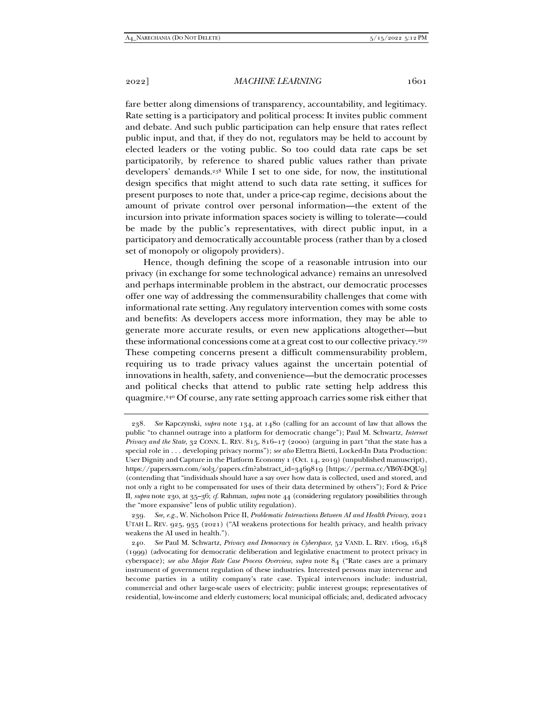fare better along dimensions of transparency, accountability, and legitimacy. Rate setting is a participatory and political process: It invites public comment and debate. And such public participation can help ensure that rates reflect public input, and that, if they do not, regulators may be held to account by elected leaders or the voting public. So too could data rate caps be set participatorily, by reference to shared public values rather than private developers' demands.238 While I set to one side, for now, the institutional design specifics that might attend to such data rate setting, it suffices for present purposes to note that, under a price-cap regime, decisions about the amount of private control over personal information—the extent of the incursion into private information spaces society is willing to tolerate—could be made by the public's representatives, with direct public input, in a participatory and democratically accountable process (rather than by a closed set of monopoly or oligopoly providers).

Hence, though defining the scope of a reasonable intrusion into our privacy (in exchange for some technological advance) remains an unresolved and perhaps interminable problem in the abstract, our democratic processes offer one way of addressing the commensurability challenges that come with informational rate setting. Any regulatory intervention comes with some costs and benefits: As developers access more information, they may be able to generate more accurate results, or even new applications altogether—but these informational concessions come at a great cost to our collective privacy.239 These competing concerns present a difficult commensurability problem, requiring us to trade privacy values against the uncertain potential of innovations in health, safety, and convenience—but the democratic processes and political checks that attend to public rate setting help address this quagmire.240 Of course, any rate setting approach carries some risk either that

<sup>238</sup>*. See* Kapczynski, *supra* note 134, at 1480 (calling for an account of law that allows the public "to channel outrage into a platform for democratic change"); Paul M. Schwartz, *Internet Privacy and the State*, 32 CONN. L. REV. 815, 816–17 (2000) (arguing in part "that the state has a special role in . . . developing privacy norms"); *see also* Elettra Bietti, Locked-In Data Production: User Dignity and Capture in the Platform Economy 1 (Oct. 14, 2019) (unpublished manuscript), https://papers.ssrn.com/sol3/papers.cfm?abstract\_id=3469819 [https://perma.cc/YB6Y-DQU9] (contending that "individuals should have a say over how data is collected, used and stored, and not only a right to be compensated for uses of their data determined by others"); Ford & Price II, *supra* note 230, at 35–36; *cf.* Rahman, *supra* note 44 (considering regulatory possibilities through the "more expansive" lens of public utility regulation).

<sup>239</sup>*. See, e.g.*, W. Nicholson Price II, *Problematic Interactions Between AI and Health Privacy*, 2021 UTAH L. REV. 925, 935 (2021) ("AI weakens protections for health privacy, and health privacy weakens the AI used in health.").

<sup>240</sup>*. See* Paul M. Schwartz, *Privacy and Democracy in Cyberspace*, 52 VAND. L. REV. 1609, 1648 (1999) (advocating for democratic deliberation and legislative enactment to protect privacy in cyberspace); *see also Major Rate Case Process Overview*, *supra* note 84 ("Rate cases are a primary instrument of government regulation of these industries. Interested persons may intervene and become parties in a utility company's rate case. Typical intervenors include: industrial, commercial and other large-scale users of electricity; public interest groups; representatives of residential, low-income and elderly customers; local municipal officials; and, dedicated advocacy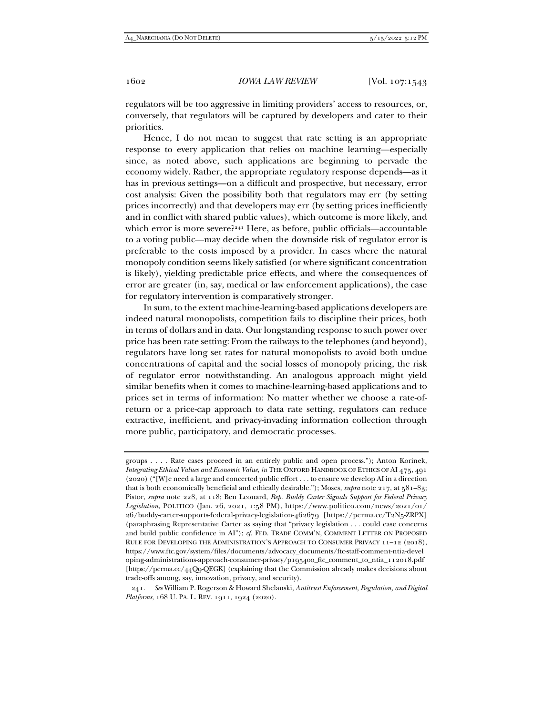regulators will be too aggressive in limiting providers' access to resources, or, conversely, that regulators will be captured by developers and cater to their priorities.

Hence, I do not mean to suggest that rate setting is an appropriate response to every application that relies on machine learning—especially since, as noted above, such applications are beginning to pervade the economy widely. Rather, the appropriate regulatory response depends—as it has in previous settings—on a difficult and prospective, but necessary, error cost analysis: Given the possibility both that regulators may err (by setting prices incorrectly) and that developers may err (by setting prices inefficiently and in conflict with shared public values), which outcome is more likely, and which error is more severe?<sup>241</sup> Here, as before, public officials—accountable to a voting public—may decide when the downside risk of regulator error is preferable to the costs imposed by a provider. In cases where the natural monopoly condition seems likely satisfied (or where significant concentration is likely), yielding predictable price effects, and where the consequences of error are greater (in, say, medical or law enforcement applications), the case for regulatory intervention is comparatively stronger.

In sum, to the extent machine-learning-based applications developers are indeed natural monopolists, competition fails to discipline their prices, both in terms of dollars and in data. Our longstanding response to such power over price has been rate setting: From the railways to the telephones (and beyond), regulators have long set rates for natural monopolists to avoid both undue concentrations of capital and the social losses of monopoly pricing, the risk of regulator error notwithstanding. An analogous approach might yield similar benefits when it comes to machine-learning-based applications and to prices set in terms of information: No matter whether we choose a rate-ofreturn or a price-cap approach to data rate setting, regulators can reduce extractive, inefficient, and privacy-invading information collection through more public, participatory, and democratic processes.

groups . . . . Rate cases proceed in an entirely public and open process."); Anton Korinek, *Integrating Ethical Values and Economic Value*, *in* THE OXFORD HANDBOOK OF ETHICS OF AI 475, 491 (2020) ("[W]e need a large and concerted public effort . . . to ensure we develop AI in a direction that is both economically beneficial and ethically desirable."); Moses, *supra* note 217, at 581–83; Pistor, *supra* note 228, at 118; Ben Leonard, *Rep. Buddy Carter Signals Support for Federal Privacy Legislation*, POLITICO (Jan. 26, 2021, 1:58 PM), https://www.politico.com/news/2021/01/ 26/buddy-carter-supports-federal-privacy-legislation-462679 [https://perma.cc/T2N5-ZRPX] (paraphrasing Representative Carter as saying that "privacy legislation . . . could ease concerns and build public confidence in AI"); *cf.* FED. TRADE COMM'N, COMMENT LETTER ON PROPOSED RULE FOR DEVELOPING THE ADMINISTRATION'S APPROACH TO CONSUMER PRIVACY 11-12 (2018), https://www.ftc.gov/system/files/documents/advocacy\_documents/ftc-staff-comment-ntia-devel oping-administrations-approach-consumer-privacy/p195400\_ftc\_comment\_to\_ntia\_112018.pdf [https://perma.cc/44Q9-QEGK] (explaining that the Commission already makes decisions about trade-offs among, say, innovation, privacy, and security).

241*. See* William P. Rogerson & Howard Shelanski, *Antitrust Enforcement, Regulation, and Digital Platforms*, 168 U. PA. L. REV. 1911, 1924 (2020).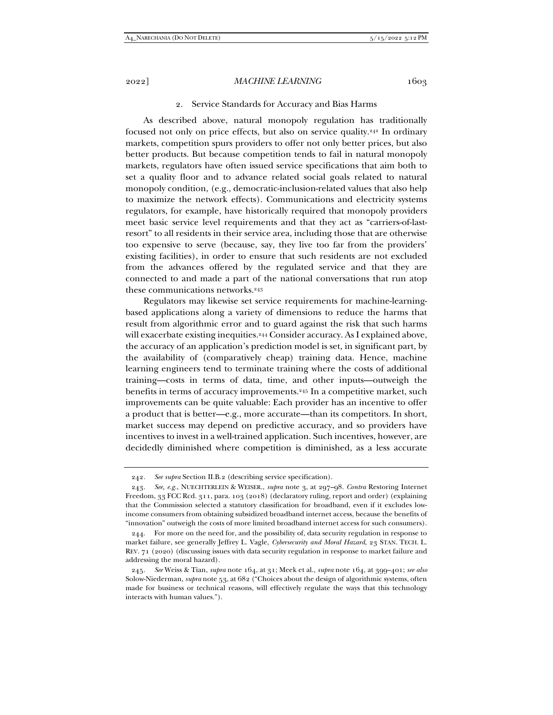#### 2. Service Standards for Accuracy and Bias Harms

As described above, natural monopoly regulation has traditionally focused not only on price effects, but also on service quality.242 In ordinary markets, competition spurs providers to offer not only better prices, but also better products. But because competition tends to fail in natural monopoly markets, regulators have often issued service specifications that aim both to set a quality floor and to advance related social goals related to natural monopoly condition, (e.g., democratic-inclusion-related values that also help to maximize the network effects). Communications and electricity systems regulators, for example, have historically required that monopoly providers meet basic service level requirements and that they act as "carriers-of-lastresort" to all residents in their service area, including those that are otherwise too expensive to serve (because, say, they live too far from the providers' existing facilities), in order to ensure that such residents are not excluded from the advances offered by the regulated service and that they are connected to and made a part of the national conversations that run atop these communications networks.243

Regulators may likewise set service requirements for machine-learningbased applications along a variety of dimensions to reduce the harms that result from algorithmic error and to guard against the risk that such harms will exacerbate existing inequities.<sup>244</sup> Consider accuracy. As I explained above, the accuracy of an application's prediction model is set, in significant part, by the availability of (comparatively cheap) training data. Hence, machine learning engineers tend to terminate training where the costs of additional training—costs in terms of data, time, and other inputs—outweigh the benefits in terms of accuracy improvements.245 In a competitive market, such improvements can be quite valuable: Each provider has an incentive to offer a product that is better—e.g., more accurate—than its competitors. In short, market success may depend on predictive accuracy, and so providers have incentives to invest in a well-trained application. Such incentives, however, are decidedly diminished where competition is diminished, as a less accurate

<sup>242</sup>*. See supra* Section II.B.2 (describing service specification).

<sup>243</sup>*. See, e.g.*, NUECHTERLEIN & WEISER., *supra* note 3, at 297–98. *Contra* Restoring Internet Freedom, 33 FCC Rcd. 311, para. 103 (2018) (declaratory ruling, report and order) (explaining that the Commission selected a statutory classification for broadband, even if it excludes lowincome consumers from obtaining subsidized broadband internet access, because the benefits of "innovation" outweigh the costs of more limited broadband internet access for such consumers).

 <sup>244.</sup> For more on the need for, and the possibility of, data security regulation in response to market failure, see generally Jeffrey L. Vagle, *Cybersecurity and Moral Hazard*, 23 STAN. TECH. L. REV. 71 (2020) (discussing issues with data security regulation in response to market failure and addressing the moral hazard).

<sup>245</sup>*. See* Weiss & Tian, *supra* note 164, at 31; Meek et al., *supra* note 164, at 399–401; *see also* Solow-Niederman, *supra* note 53, at 682 ("Choices about the design of algorithmic systems, often made for business or technical reasons, will effectively regulate the ways that this technology interacts with human values.").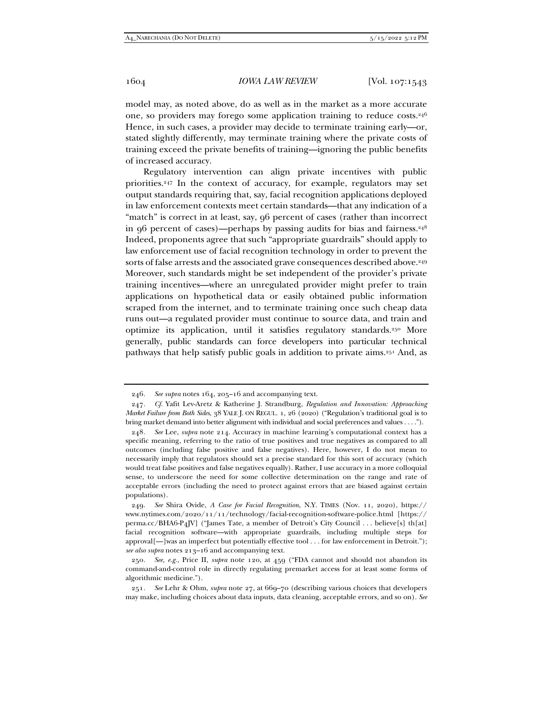model may, as noted above, do as well as in the market as a more accurate one, so providers may forego some application training to reduce costs.246 Hence, in such cases, a provider may decide to terminate training early—or, stated slightly differently, may terminate training where the private costs of training exceed the private benefits of training—ignoring the public benefits of increased accuracy.

Regulatory intervention can align private incentives with public priorities.247 In the context of accuracy, for example, regulators may set output standards requiring that, say, facial recognition applications deployed in law enforcement contexts meet certain standards—that any indication of a "match" is correct in at least, say, 96 percent of cases (rather than incorrect in 96 percent of cases)—perhaps by passing audits for bias and fairness. $248$ Indeed, proponents agree that such "appropriate guardrails" should apply to law enforcement use of facial recognition technology in order to prevent the sorts of false arrests and the associated grave consequences described above.<sup>249</sup> Moreover, such standards might be set independent of the provider's private training incentives—where an unregulated provider might prefer to train applications on hypothetical data or easily obtained public information scraped from the internet, and to terminate training once such cheap data runs out—a regulated provider must continue to source data, and train and optimize its application, until it satisfies regulatory standards.250 More generally, public standards can force developers into particular technical pathways that help satisfy public goals in addition to private aims.251 And, as

<sup>246</sup>*. See supra* notes 164, 205–16 and accompanying text.

<sup>247</sup>*. Cf.* Yafit Lev-Aretz & Katherine J. Strandburg, *Regulation and Innovation: Approaching Market Failure from Both Sides*, 38 YALE J. ON REGUL. 1, 26 (2020) ("Regulation's traditional goal is to bring market demand into better alignment with individual and social preferences and values . . . .").

<sup>248</sup>*. See* Lee, *supra* note 214. Accuracy in machine learning's computational context has a specific meaning, referring to the ratio of true positives and true negatives as compared to all outcomes (including false positive and false negatives). Here, however, I do not mean to necessarily imply that regulators should set a precise standard for this sort of accuracy (which would treat false positives and false negatives equally). Rather, I use accuracy in a more colloquial sense, to underscore the need for some collective determination on the range and rate of acceptable errors (including the need to protect against errors that are biased against certain populations).

<sup>249</sup>*. See* Shira Ovide, *A Case for Facial Recognition*, N.Y. TIMES (Nov. 11, 2020), https:// www.nytimes.com/2020/11/11/technology/facial-recognition-software-police.html [https:// perma.cc/BHA6-P4JV] ("James Tate, a member of Detroit's City Council . . . believe[s] th[at] facial recognition software—with appropriate guardrails, including multiple steps for approval[--]was an imperfect but potentially effective tool . . . for law enforcement in Detroit."); *see also supra* notes 213–16 and accompanying text.

<sup>250</sup>*. See, e.g.*, Price II, *supra* note 120, at 459 ("FDA cannot and should not abandon its command-and-control role in directly regulating premarket access for at least some forms of algorithmic medicine.").

<sup>251</sup>*. See* Lehr & Ohm, *supra* note 27, at 669–70 (describing various choices that developers may make, including choices about data inputs, data cleaning, acceptable errors, and so on)*. See*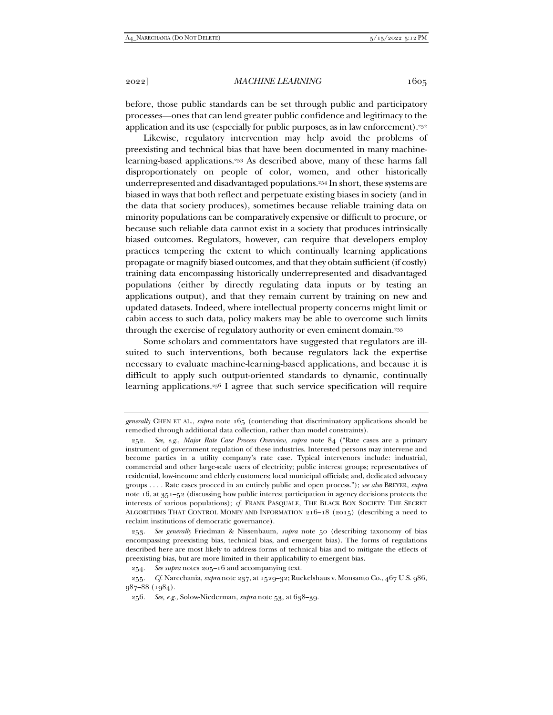before, those public standards can be set through public and participatory processes—ones that can lend greater public confidence and legitimacy to the application and its use (especially for public purposes, as in law enforcement).<sup>252</sup>

Likewise, regulatory intervention may help avoid the problems of preexisting and technical bias that have been documented in many machinelearning-based applications.253 As described above, many of these harms fall disproportionately on people of color, women, and other historically underrepresented and disadvantaged populations.254 In short, these systems are biased in ways that both reflect and perpetuate existing biases in society (and in the data that society produces), sometimes because reliable training data on minority populations can be comparatively expensive or difficult to procure, or because such reliable data cannot exist in a society that produces intrinsically biased outcomes. Regulators, however, can require that developers employ practices tempering the extent to which continually learning applications propagate or magnify biased outcomes, and that they obtain sufficient (if costly) training data encompassing historically underrepresented and disadvantaged populations (either by directly regulating data inputs or by testing an applications output), and that they remain current by training on new and updated datasets. Indeed, where intellectual property concerns might limit or cabin access to such data, policy makers may be able to overcome such limits through the exercise of regulatory authority or even eminent domain.255

Some scholars and commentators have suggested that regulators are illsuited to such interventions, both because regulators lack the expertise necessary to evaluate machine-learning-based applications, and because it is difficult to apply such output-oriented standards to dynamic, continually learning applications.256 I agree that such service specification will require

*generally* CHEN ET AL., *supra* note 165 (contending that discriminatory applications should be remedied through additional data collection, rather than model constraints).

<sup>252</sup>*. See, e.g.*, *Major Rate Case Process Overview*, *supra* note 84 ("Rate cases are a primary instrument of government regulation of these industries. Interested persons may intervene and become parties in a utility company's rate case. Typical intervenors include: industrial, commercial and other large-scale users of electricity; public interest groups; representatives of residential, low-income and elderly customers; local municipal officials; and, dedicated advocacy groups . . . . Rate cases proceed in an entirely public and open process."); *see also* BREYER, *supra*  note 16, at 351–52 (discussing how public interest participation in agency decisions protects the interests of various populations); *cf.* FRANK PASQUALE, THE BLACK BOX SOCIETY: THE SECRET ALGORITHMS THAT CONTROL MONEY AND INFORMATION 216–18 (2015) (describing a need to reclaim institutions of democratic governance).

<sup>253</sup>*. See generally* Friedman & Nissenbaum, *supra* note 50 (describing taxonomy of bias encompassing preexisting bias, technical bias, and emergent bias). The forms of regulations described here are most likely to address forms of technical bias and to mitigate the effects of preexisting bias, but are more limited in their applicability to emergent bias.

<sup>254</sup>*. See supra* notes 205–16 and accompanying text.

<sup>255</sup>*. Cf.* Narechania, *supra* note 237, at 1529–32; Ruckelshaus v. Monsanto Co., 467 U.S. 986, 987–88 (1984).

<sup>256</sup>*. See, e.g.*, Solow-Niederman, *supra* note 53, at 638–39.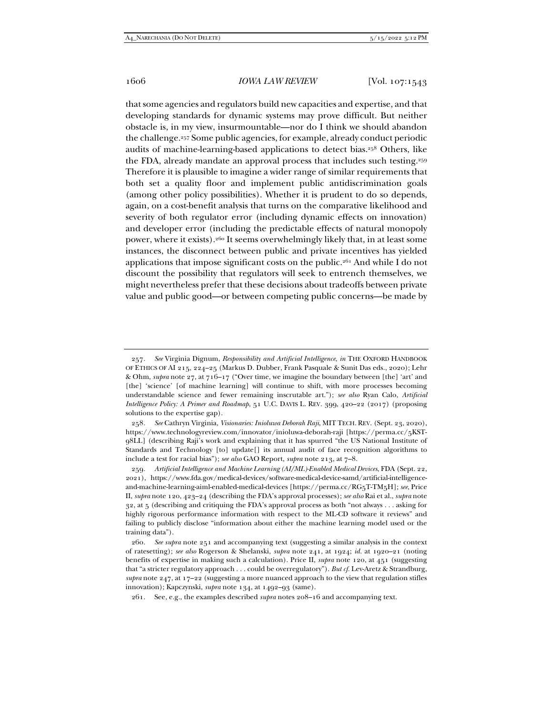that some agencies and regulators build new capacities and expertise, and that developing standards for dynamic systems may prove difficult. But neither obstacle is, in my view, insurmountable—nor do I think we should abandon the challenge.257 Some public agencies, for example, already conduct periodic audits of machine-learning-based applications to detect bias.258 Others, like the FDA, already mandate an approval process that includes such testing.<sup>259</sup> Therefore it is plausible to imagine a wider range of similar requirements that both set a quality floor and implement public antidiscrimination goals (among other policy possibilities). Whether it is prudent to do so depends, again, on a cost-benefit analysis that turns on the comparative likelihood and severity of both regulator error (including dynamic effects on innovation) and developer error (including the predictable effects of natural monopoly power, where it exists).260 It seems overwhelmingly likely that, in at least some instances, the disconnect between public and private incentives has yielded applications that impose significant costs on the public.<sup>261</sup> And while I do not discount the possibility that regulators will seek to entrench themselves, we might nevertheless prefer that these decisions about tradeoffs between private value and public good—or between competing public concerns—be made by

<sup>257</sup>*. See* Virginia Dignum, *Responsibility and Artificial Intelligence*, *in* THE OXFORD HANDBOOK OF ETHICS OF AI 215, 224–25 (Markus D. Dubber, Frank Pasquale & Sunit Das eds., 2020); Lehr & Ohm, *supra* note 27, at 716–17 ("Over time, we imagine the boundary between [the] 'art' and [the] 'science' [of machine learning] will continue to shift, with more processes becoming understandable science and fewer remaining inscrutable art."); *see also* Ryan Calo, *Artificial Intelligence Policy: A Primer and Roadmap*, 51 U.C. DAVIS L. REV. 399, 420–22 (2017) (proposing solutions to the expertise gap).

<sup>258</sup>*. See* Cathryn Virginia, *Visionaries: Inioluwa Deborah Raji*, MIT TECH. REV. (Sept. 23, 2020), https://www.technologyreview.com/innovator/inioluwa-deborah-raji [https://perma.cc/5KST-98LL] (describing Raji's work and explaining that it has spurred "the US National Institute of Standards and Technology [to] update[] its annual audit of face recognition algorithms to include a test for racial bias"); *see also* GAO Report, *supra* note 213, at 7–8.

<sup>259</sup>*. Artificial Intelligence and Machine Learning (AI/ML)-Enabled Medical Devices*, FDA (Sept. 22, 2021), https://www.fda.gov/medical-devices/software-medical-device-samd/artificial-intelligenceand-machine-learning-aiml-enabled-medical-devices [https://perma.cc/RG5T-TM5H]; *see*, Price II, *supra* note 120, 423–24 (describing the FDA's approval processes); *see also* Rai et al., *supra* note 32, at 5 (describing and critiquing the FDA's approval process as both "not always . . . asking for highly rigorous performance information with respect to the ML-CD software it reviews" and failing to publicly disclose "information about either the machine learning model used or the training data").

<sup>260</sup>*. See supra* note 251 and accompanying text (suggesting a similar analysis in the context of ratesetting); *see also* Rogerson & Shelanski, *supra* note 241, at 1924; *id.* at 1920–21 (noting benefits of expertise in making such a calculation). Price II, *supra* note 120, at 451 (suggesting that "a stricter regulatory approach . . . could be overregulatory"). *But cf.* Lev-Aretz & Strandburg, *supra* note 247, at 17–22 (suggesting a more nuanced approach to the view that regulation stifles innovation); Kapczynski, *supra* note 134, at 1492–93 (same).

 <sup>261.</sup> See, e.g., the examples described *supra* notes 208–16 and accompanying text.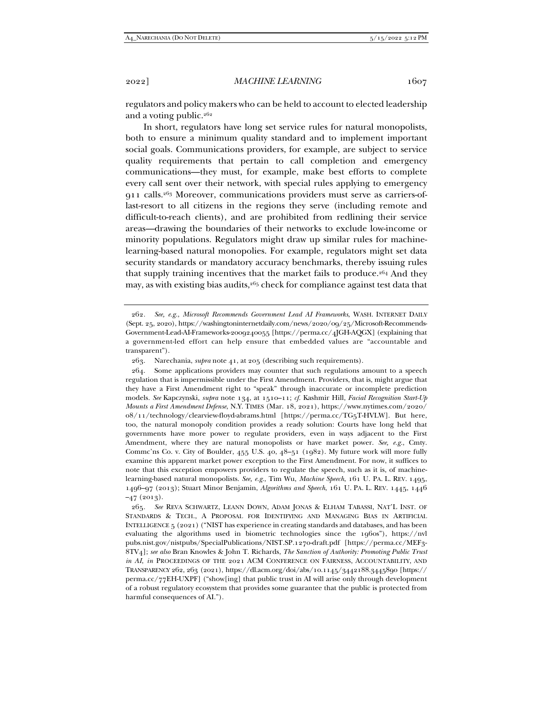regulators and policy makers who can be held to account to elected leadership and a voting public. $262$ 

In short, regulators have long set service rules for natural monopolists, both to ensure a minimum quality standard and to implement important social goals. Communications providers, for example, are subject to service quality requirements that pertain to call completion and emergency communications—they must, for example, make best efforts to complete every call sent over their network, with special rules applying to emergency 911 calls.263 Moreover, communications providers must serve as carriers-oflast-resort to all citizens in the regions they serve (including remote and difficult-to-reach clients), and are prohibited from redlining their service areas—drawing the boundaries of their networks to exclude low-income or minority populations. Regulators might draw up similar rules for machinelearning-based natural monopolies. For example, regulators might set data security standards or mandatory accuracy benchmarks, thereby issuing rules that supply training incentives that the market fails to produce.264 And they may, as with existing bias audits,<sup>265</sup> check for compliance against test data that

<sup>262</sup>*. See, e.g.*, *Microsoft Recommends Government Lead AI Frameworks*, WASH. INTERNET DAILY (Sept. 25, 2020), https://washingtoninternetdaily.com/news/2020/09/25/Microsoft-Recommends-Government-Lead-AI-Frameworks-2009240055 [https://perma.cc/4JGH-AQGX] (explaining that a government-led effort can help ensure that embedded values are "accountable and transparent").

 <sup>263.</sup> Narechania, *supra* note 41, at 205 (describing such requirements).

 <sup>264.</sup> Some applications providers may counter that such regulations amount to a speech regulation that is impermissible under the First Amendment. Providers, that is, might argue that they have a First Amendment right to "speak" through inaccurate or incomplete prediction models. *See* Kapczynski, *supra* note 134, at 1510–11; *cf.* Kashmir Hill, *Facial Recognition Start-Up Mounts a First Amendment Defense*, N.Y. TIMES (Mar. 18, 2021), https://www.nytimes.com/2020/ 08/11/technology/clearview-floyd-abrams.html [https://perma.cc/TG5T-HVLW]. But here, too, the natural monopoly condition provides a ready solution: Courts have long held that governments have more power to regulate providers, even in ways adjacent to the First Amendment, where they are natural monopolists or have market power. *See, e.g.*, Cmty. Commc'ns Co. v. City of Boulder, 455 U.S. 40, 48–51 (1982). My future work will more fully examine this apparent market power exception to the First Amendment. For now, it suffices to note that this exception empowers providers to regulate the speech, such as it is, of machinelearning-based natural monopolists. *See, e.g.*, Tim Wu, *Machine Speech*, 161 U. PA. L. REV. 1495, 1496–97 (2013); Stuart Minor Benjamin, *Algorithms and Speech*, 161 U. PA. L. REV. 1445, 1446  $-47$  (2013).

<sup>265</sup>*. See* REVA SCHWARTZ, LEANN DOWN, ADAM JONAS & ELHAM TABASSI, NAT'L INST. OF STANDARDS & TECH., A PROPOSAL FOR IDENTIFYING AND MANAGING BIAS IN ARTIFICIAL INTELLIGENCE 5 (2021) ("NIST has experience in creating standards and databases, and has been evaluating the algorithms used in biometric technologies since the 1960s"), https://nvl pubs.nist.gov/nistpubs/SpecialPublications/NIST.SP.1270-draft.pdf [https://perma.cc/MEF3- 8TV4]; *see also* Bran Knowles & John T. Richards, *The Sanction of Authority: Promoting Public Trust in AI*, *in* PROCEEDINGS OF THE 2021 ACM CONFERENCE ON FAIRNESS, ACCOUNTABILITY, AND TRANSPARENCY 262, 263 (2021), https://dl.acm.org/doi/abs/10.1145/3442188.3445890 [https:// perma.cc/77EH-UXPF] ("show[ing] that public trust in AI will arise only through development of a robust regulatory ecosystem that provides some guarantee that the public is protected from harmful consequences of AI.").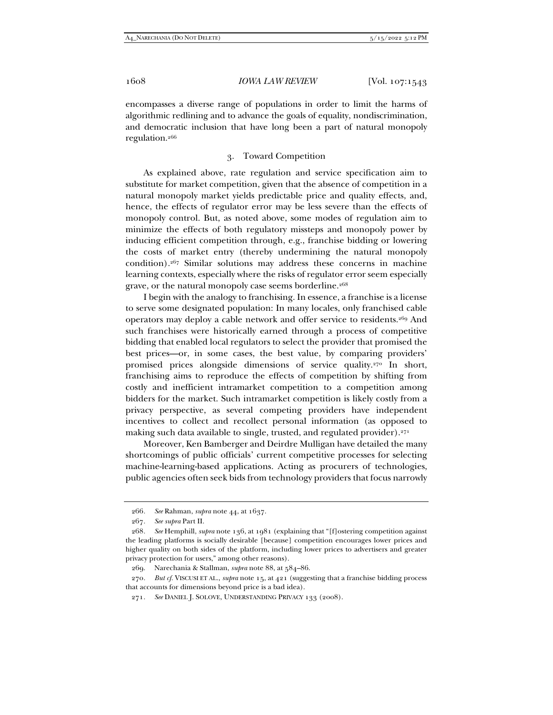encompasses a diverse range of populations in order to limit the harms of algorithmic redlining and to advance the goals of equality, nondiscrimination, and democratic inclusion that have long been a part of natural monopoly regulation.266

### 3. Toward Competition

As explained above, rate regulation and service specification aim to substitute for market competition, given that the absence of competition in a natural monopoly market yields predictable price and quality effects, and, hence, the effects of regulator error may be less severe than the effects of monopoly control. But, as noted above, some modes of regulation aim to minimize the effects of both regulatory missteps and monopoly power by inducing efficient competition through, e.g., franchise bidding or lowering the costs of market entry (thereby undermining the natural monopoly condition).267 Similar solutions may address these concerns in machine learning contexts, especially where the risks of regulator error seem especially grave, or the natural monopoly case seems borderline.268

I begin with the analogy to franchising. In essence, a franchise is a license to serve some designated population: In many locales, only franchised cable operators may deploy a cable network and offer service to residents.269 And such franchises were historically earned through a process of competitive bidding that enabled local regulators to select the provider that promised the best prices—or, in some cases, the best value, by comparing providers' promised prices alongside dimensions of service quality.270 In short, franchising aims to reproduce the effects of competition by shifting from costly and inefficient intramarket competition to a competition among bidders for the market. Such intramarket competition is likely costly from a privacy perspective, as several competing providers have independent incentives to collect and recollect personal information (as opposed to making such data available to single, trusted, and regulated provider).<sup>271</sup>

Moreover, Ken Bamberger and Deirdre Mulligan have detailed the many shortcomings of public officials' current competitive processes for selecting machine-learning-based applications. Acting as procurers of technologies, public agencies often seek bids from technology providers that focus narrowly

<sup>266</sup>*. See* Rahman, *supra* note 44, at 1637.

<sup>267</sup>*. See supra* Part II.

<sup>268</sup>*. See* Hemphill, *supra* note 136, at 1981 (explaining that "[f]ostering competition against the leading platforms is socially desirable [because] competition encourages lower prices and higher quality on both sides of the platform, including lower prices to advertisers and greater privacy protection for users," among other reasons).

 <sup>269.</sup> Narechania & Stallman, *supra* note 88, at 584–86.

<sup>270</sup>*. But cf.* VISCUSI ET AL., *supra* note 15, at 421 (suggesting that a franchise bidding process that accounts for dimensions beyond price is a bad idea).

<sup>271</sup>*. See* DANIEL J. SOLOVE, UNDERSTANDING PRIVACY 133 (2008).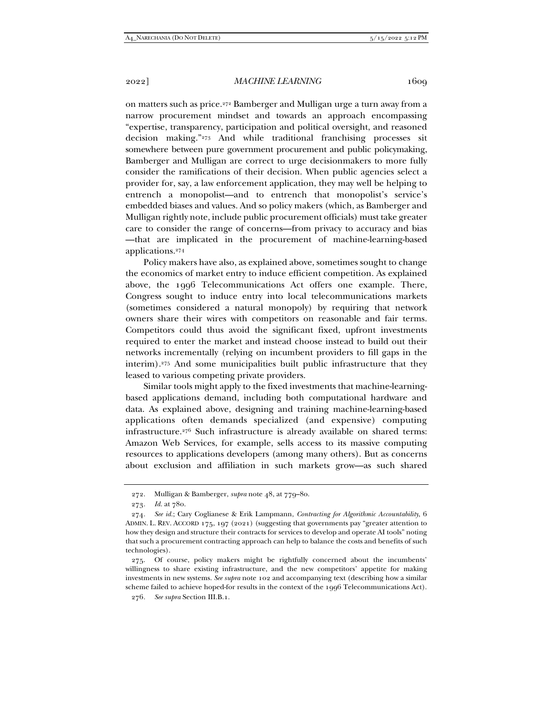narrow procurement mindset and towards an approach encompassing "expertise, transparency, participation and political oversight, and reasoned decision making."273 And while traditional franchising processes sit somewhere between pure government procurement and public policymaking, Bamberger and Mulligan are correct to urge decisionmakers to more fully consider the ramifications of their decision. When public agencies select a provider for, say, a law enforcement application, they may well be helping to entrench a monopolist—and to entrench that monopolist's service's embedded biases and values. And so policy makers (which, as Bamberger and Mulligan rightly note, include public procurement officials) must take greater care to consider the range of concerns—from privacy to accuracy and bias —that are implicated in the procurement of machine-learning-based applications.274

Policy makers have also, as explained above, sometimes sought to change the economics of market entry to induce efficient competition. As explained above, the 1996 Telecommunications Act offers one example. There, Congress sought to induce entry into local telecommunications markets (sometimes considered a natural monopoly) by requiring that network owners share their wires with competitors on reasonable and fair terms. Competitors could thus avoid the significant fixed, upfront investments required to enter the market and instead choose instead to build out their networks incrementally (relying on incumbent providers to fill gaps in the interim).275 And some municipalities built public infrastructure that they leased to various competing private providers.

Similar tools might apply to the fixed investments that machine-learningbased applications demand, including both computational hardware and data. As explained above, designing and training machine-learning-based applications often demands specialized (and expensive) computing infrastructure.276 Such infrastructure is already available on shared terms: Amazon Web Services, for example, sells access to its massive computing resources to applications developers (among many others). But as concerns about exclusion and affiliation in such markets grow—as such shared

 <sup>272.</sup> Mulligan & Bamberger, *supra* note 48, at 779–80.

<sup>273</sup>*. Id.* at 780.

<sup>274</sup>*. See id.*; Cary Coglianese & Erik Lampmann, *Contracting for Algorithmic Accountability*, 6 ADMIN. L. REV. ACCORD 175, 197 (2021) (suggesting that governments pay "greater attention to how they design and structure their contracts for services to develop and operate AI tools" noting that such a procurement contracting approach can help to balance the costs and benefits of such technologies).

 <sup>275.</sup> Of course, policy makers might be rightfully concerned about the incumbents' willingness to share existing infrastructure, and the new competitors' appetite for making investments in new systems. *See supra* note 102 and accompanying text (describing how a similar scheme failed to achieve hoped-for results in the context of the 1996 Telecommunications Act).

<sup>276</sup>*. See supra* Section III.B.1.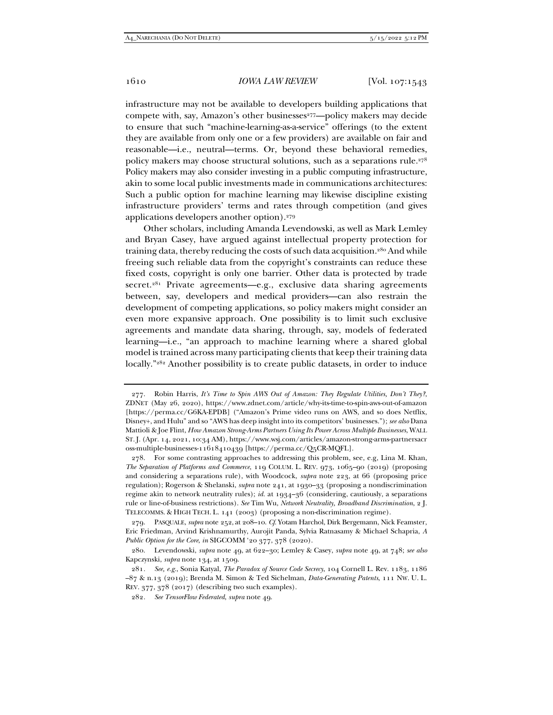infrastructure may not be available to developers building applications that compete with, say, Amazon's other businesses<sup>277</sup>—policy makers may decide to ensure that such "machine-learning-as-a-service" offerings (to the extent they are available from only one or a few providers) are available on fair and reasonable—i.e., neutral—terms. Or, beyond these behavioral remedies, policy makers may choose structural solutions, such as a separations rule.<sup>278</sup> Policy makers may also consider investing in a public computing infrastructure, akin to some local public investments made in communications architectures: Such a public option for machine learning may likewise discipline existing infrastructure providers' terms and rates through competition (and gives applications developers another option).279

Other scholars, including Amanda Levendowski, as well as Mark Lemley and Bryan Casey, have argued against intellectual property protection for training data, thereby reducing the costs of such data acquisition.<sup>280</sup> And while freeing such reliable data from the copyright's constraints can reduce these fixed costs, copyright is only one barrier. Other data is protected by trade secret.<sup>281</sup> Private agreements—e.g., exclusive data sharing agreements between, say, developers and medical providers—can also restrain the development of competing applications, so policy makers might consider an even more expansive approach. One possibility is to limit such exclusive agreements and mandate data sharing, through, say, models of federated learning—i.e., "an approach to machine learning where a shared global model is trained across many participating clients that keep their training data locally."<sup>282</sup> Another possibility is to create public datasets, in order to induce

 <sup>277.</sup> Robin Harris, *It's Time to Spin AWS Out of Amazon: They Regulate Utilities, Don't They?*, ZDNET (May 26, 2020), https://www.zdnet.com/article/why-its-time-to-spin-aws-out-of-amazon [https://perma.cc/G6KA-EPDB] ("Amazon's Prime video runs on AWS, and so does Netflix, Disney+, and Hulu" and so "AWS has deep insight into its competitors' businesses."); *see also* Dana Mattioli & Joe Flint, *How Amazon Strong-Arms Partners Using Its Power Across Multiple Businesses*, WALL ST. J. (Apr. 14, 2021, 10:34 AM), https://www.wsj.com/articles/amazon-strong-arms-partnersacr oss-multiple-businesses-11618410439 [https://perma.cc/Q5CR-MQFL].

 <sup>278.</sup> For some contrasting approaches to addressing this problem, see, e.g, Lina M. Khan, *The Separation of Platforms and Commerce*, 119 COLUM. L. REV. 973, 1065–90 (2019) (proposing and considering a separations rule), with Woodcock, *supra* note 223, at 66 (proposing price regulation); Rogerson & Shelanski, *supra* note 241, at 1930–33 (proposing a nondiscrimination regime akin to network neutrality rules); *id.* at 1934–36 (considering, cautiously, a separations rule or line-of-business restrictions). *See* Tim Wu, *Network Neutrality, Broadband Discrimination*, 2 J. TELECOMMS. & HIGH TECH. L. 141 (2003) (proposing a non-discrimination regime).

 <sup>279.</sup> PASQUALE, *supra* note 252, at 208–10. *Cf.* Yotam Harchol, Dirk Bergemann, Nick Feamster, Eric Friedman, Arvind Krishnamurthy, Aurojit Panda, Sylvia Ratnasamy & Michael Schapria, *A Public Option for the Core*, *in* SIGCOMM '20 377, 378 (2020).

 <sup>280.</sup> Levendowski, *supra* note 49, at 622–30; Lemley & Casey, *supra* note 49, at 748; *see also* Kapczynski, *supra* note 134, at 1509.

<sup>281</sup>*. See, e.g.*, Sonia Katyal, *The Paradox of Source Code Secrecy*, 104 Cornell L. Rev. 1183, 1186 –87 & n.13 (2019); Brenda M. Simon & Ted Sichelman, *Data-Generating Patents*, 111 NW. U. L. REV. 377, 378 (2017) (describing two such examples).

<sup>282</sup>*. See TensorFlow Federated*, *supra* note 49.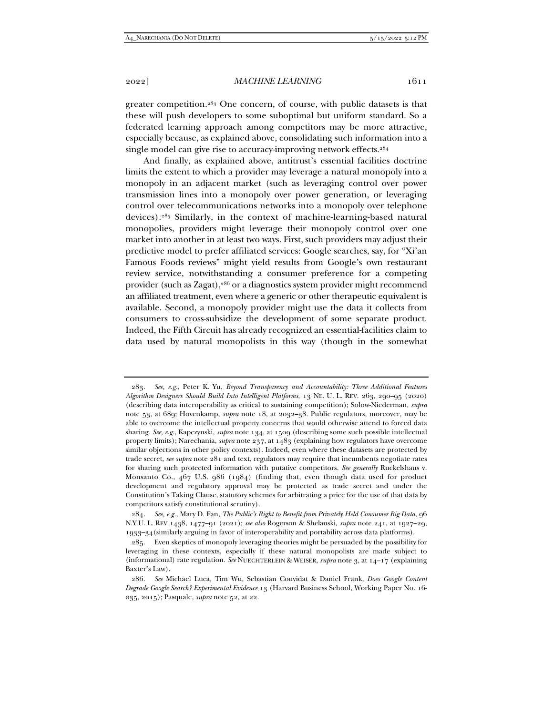2022] *MACHINE LEARNING* 1611

greater competition.283 One concern, of course, with public datasets is that these will push developers to some suboptimal but uniform standard. So a federated learning approach among competitors may be more attractive, especially because, as explained above, consolidating such information into a single model can give rise to accuracy-improving network effects.<sup>284</sup>

And finally, as explained above, antitrust's essential facilities doctrine limits the extent to which a provider may leverage a natural monopoly into a monopoly in an adjacent market (such as leveraging control over power transmission lines into a monopoly over power generation, or leveraging control over telecommunications networks into a monopoly over telephone devices).285 Similarly, in the context of machine-learning-based natural monopolies, providers might leverage their monopoly control over one market into another in at least two ways. First, such providers may adjust their predictive model to prefer affiliated services: Google searches, say, for "Xi'an Famous Foods reviews" might yield results from Google's own restaurant review service, notwithstanding a consumer preference for a competing provider (such as Zagat),286 or a diagnostics system provider might recommend an affiliated treatment, even where a generic or other therapeutic equivalent is available. Second, a monopoly provider might use the data it collects from consumers to cross-subsidize the development of some separate product. Indeed, the Fifth Circuit has already recognized an essential-facilities claim to data used by natural monopolists in this way (though in the somewhat

<sup>283</sup>*. See, e.g.*, Peter K. Yu, *Beyond Transparency and Accountability: Three Additional Features Algorithm Designers Should Build Into Intelligent Platforms*, 13 NE. U. L. REV. 263, 290–95 (2020) (describing data interoperability as critical to sustaining competition); Solow-Niederman, *supra* note 53, at 689; Hovenkamp, *supra* note 18, at 2032–38. Public regulators, moreover, may be able to overcome the intellectual property concerns that would otherwise attend to forced data sharing. *See, e.g.*, Kapczynski, *supra* note 134, at 1509 (describing some such possible intellectual property limits); Narechania, *supra* note 237, at 1483 (explaining how regulators have overcome similar objections in other policy contexts). Indeed, even where these datasets are protected by trade secret, *see supra* note 281 and text, regulators may require that incumbents negotiate rates for sharing such protected information with putative competitors. *See generally* Ruckelshaus v. Monsanto Co., 467 U.S. 986 (1984) (finding that, even though data used for product development and regulatory approval may be protected as trade secret and under the Constitution's Taking Clause, statutory schemes for arbitrating a price for the use of that data by competitors satisfy constitutional scrutiny).

<sup>284</sup>*. See, e.g.*, Mary D. Fan, *The Public's Right to Benefit from Privately Held Consumer Big Data*, 96 N.Y.U. L. REV 1438, 1477–91 (2021); *see also* Rogerson & Shelanski, *supra* note 241, at 1927–29, 1933–34(similarly arguing in favor of interoperability and portability across data platforms).

 <sup>285.</sup> Even skeptics of monopoly leveraging theories might be persuaded by the possibility for leveraging in these contexts, especially if these natural monopolists are made subject to (informational) rate regulation. *See* NUECHTERLEIN & WEISER, *supra* note 3, at 14–17 (explaining Baxter's Law).

<sup>286</sup>*. See* Michael Luca, Tim Wu, Sebastian Couvidat & Daniel Frank, *Does Google Content Degrade Google Search? Experimental Evidence* 13 (Harvard Business School, Working Paper No. 16- 035, 2015); Pasquale, *supra* note 52, at 22.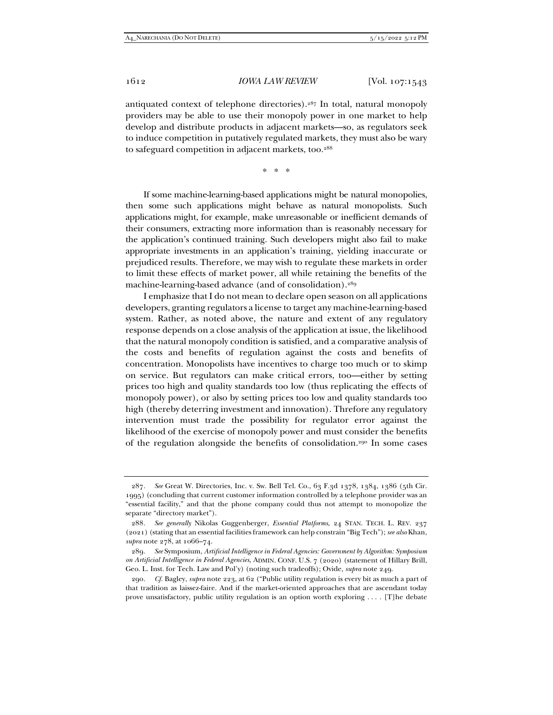antiquated context of telephone directories).287 In total, natural monopoly providers may be able to use their monopoly power in one market to help develop and distribute products in adjacent markets—so, as regulators seek to induce competition in putatively regulated markets, they must also be wary to safeguard competition in adjacent markets, too.<sup>288</sup>

\* \* \*

If some machine-learning-based applications might be natural monopolies, then some such applications might behave as natural monopolists. Such applications might, for example, make unreasonable or inefficient demands of their consumers, extracting more information than is reasonably necessary for the application's continued training. Such developers might also fail to make appropriate investments in an application's training, yielding inaccurate or prejudiced results. Therefore, we may wish to regulate these markets in order to limit these effects of market power, all while retaining the benefits of the machine-learning-based advance (and of consolidation).289

I emphasize that I do not mean to declare open season on all applications developers, granting regulators a license to target any machine-learning-based system. Rather, as noted above, the nature and extent of any regulatory response depends on a close analysis of the application at issue, the likelihood that the natural monopoly condition is satisfied, and a comparative analysis of the costs and benefits of regulation against the costs and benefits of concentration. Monopolists have incentives to charge too much or to skimp on service. But regulators can make critical errors, too—either by setting prices too high and quality standards too low (thus replicating the effects of monopoly power), or also by setting prices too low and quality standards too high (thereby deterring investment and innovation). Threfore any regulatory intervention must trade the possibility for regulator error against the likelihood of the exercise of monopoly power and must consider the benefits of the regulation alongside the benefits of consolidation.290 In some cases

<sup>287</sup>*. See* Great W. Directories, Inc. v. Sw. Bell Tel. Co., 63 F.3d 1378, 1384, 1386 (5th Cir. 1995) (concluding that current customer information controlled by a telephone provider was an "essential facility," and that the phone company could thus not attempt to monopolize the separate "directory market").

<sup>288</sup>*. See generally* Nikolas Guggenberger, *Essential Platforms*, 24 STAN. TECH. L. REV. 237 (2021) (stating that an essential facilities framework can help constrain "Big Tech"); *see also* Khan, *supra* note 278, at 1066–74.

<sup>289</sup>*. See* Symposium, *Artificial Intelligence in Federal Agencies: Government by Algorithm: Symposium on Artificial Intelligence in Federal Agencies,* ADMIN. CONF. U.S. 7 (2020) (statement of Hillary Brill, Geo. L. Inst. for Tech. Law and Pol'y) (noting such tradeoffs); Ovide, *supra* note 249.

<sup>290</sup>*. Cf.* Bagley, *supra* note 223, at 62 ("Public utility regulation is every bit as much a part of that tradition as laissez-faire. And if the market-oriented approaches that are ascendant today prove unsatisfactory, public utility regulation is an option worth exploring . . . . [T]he debate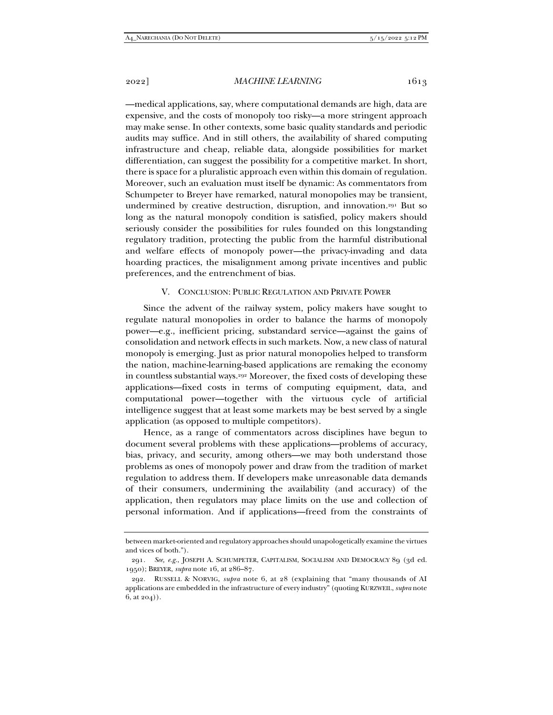—medical applications, say, where computational demands are high, data are expensive, and the costs of monopoly too risky—a more stringent approach may make sense. In other contexts, some basic quality standards and periodic audits may suffice. And in still others, the availability of shared computing infrastructure and cheap, reliable data, alongside possibilities for market differentiation, can suggest the possibility for a competitive market. In short, there is space for a pluralistic approach even within this domain of regulation. Moreover, such an evaluation must itself be dynamic: As commentators from Schumpeter to Breyer have remarked, natural monopolies may be transient, undermined by creative destruction, disruption, and innovation.291 But so long as the natural monopoly condition is satisfied, policy makers should seriously consider the possibilities for rules founded on this longstanding regulatory tradition, protecting the public from the harmful distributional and welfare effects of monopoly power—the privacy-invading and data hoarding practices, the misalignment among private incentives and public preferences, and the entrenchment of bias.

# V. CONCLUSION: PUBLIC REGULATION AND PRIVATE POWER

Since the advent of the railway system, policy makers have sought to regulate natural monopolies in order to balance the harms of monopoly power—e.g., inefficient pricing, substandard service—against the gains of consolidation and network effects in such markets. Now, a new class of natural monopoly is emerging. Just as prior natural monopolies helped to transform the nation, machine-learning-based applications are remaking the economy in countless substantial ways.292 Moreover, the fixed costs of developing these applications—fixed costs in terms of computing equipment, data, and computational power—together with the virtuous cycle of artificial intelligence suggest that at least some markets may be best served by a single application (as opposed to multiple competitors).

Hence, as a range of commentators across disciplines have begun to document several problems with these applications—problems of accuracy, bias, privacy, and security, among others—we may both understand those problems as ones of monopoly power and draw from the tradition of market regulation to address them. If developers make unreasonable data demands of their consumers, undermining the availability (and accuracy) of the application, then regulators may place limits on the use and collection of personal information. And if applications—freed from the constraints of

between market-oriented and regulatory approaches should unapologetically examine the virtues and vices of both.").

<sup>291</sup>*. See, e.g.*, JOSEPH A. SCHUMPETER, CAPITALISM, SOCIALISM AND DEMOCRACY 89 (3d ed. 1950); BREYER, *supra* note 16, at 286–87.

 <sup>292.</sup> RUSSELL & NORVIG, *supra* note 6, at 28 (explaining that "many thousands of AI applications are embedded in the infrastructure of every industry" (quoting KURZWEIL, *supra* note  $6, at 204)$ .